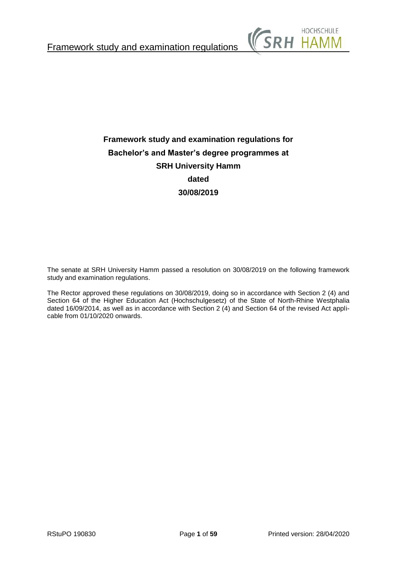

# **Framework study and examination regulations for Bachelor's and Master's degree programmes at SRH University Hamm dated 30/08/2019**

The senate at SRH University Hamm passed a resolution on 30/08/2019 on the following framework study and examination regulations.

The Rector approved these regulations on 30/08/2019, doing so in accordance with Section 2 (4) and Section 64 of the Higher Education Act (Hochschulgesetz) of the State of North-Rhine Westphalia dated 16/09/2014, as well as in accordance with Section 2 (4) and Section 64 of the revised Act applicable from 01/10/2020 onwards.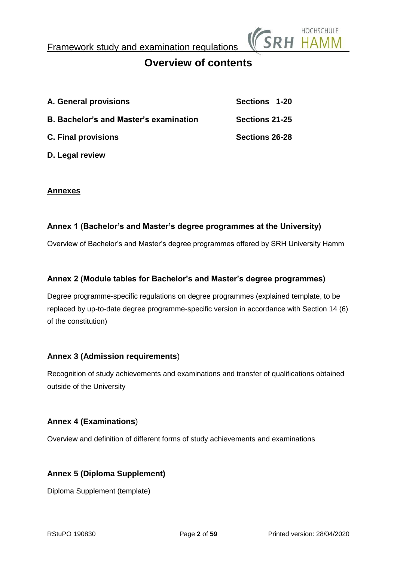

# **Overview of contents**

| A. General provisions                         | Sections 1-20  |
|-----------------------------------------------|----------------|
| <b>B. Bachelor's and Master's examination</b> | Sections 21-25 |
| <b>C. Final provisions</b>                    | Sections 26-28 |

**D. Legal review**

## **Annexes**

## **Annex 1 (Bachelor's and Master's degree programmes at the University)**

Overview of Bachelor's and Master's degree programmes offered by SRH University Hamm

## **Annex 2 (Module tables for Bachelor's and Master's degree programmes)**

Degree programme-specific regulations on degree programmes (explained template, to be replaced by up-to-date degree programme-specific version in accordance with Section 14 (6) of the constitution)

## **Annex 3 (Admission requirements**)

Recognition of study achievements and examinations and transfer of qualifications obtained outside of the University

## **Annex 4 (Examinations**)

Overview and definition of different forms of study achievements and examinations

## **Annex 5 (Diploma Supplement)**

Diploma Supplement (template)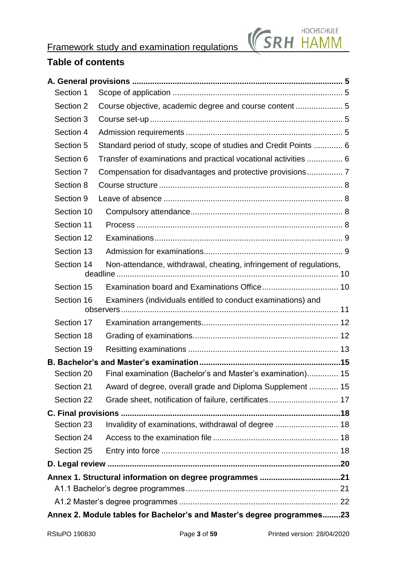



# **Table of contents**

| Section 1  |                                                                        |  |
|------------|------------------------------------------------------------------------|--|
| Section 2  | Course objective, academic degree and course content  5                |  |
| Section 3  |                                                                        |  |
| Section 4  |                                                                        |  |
| Section 5  | Standard period of study, scope of studies and Credit Points  6        |  |
| Section 6  | Transfer of examinations and practical vocational activities  6        |  |
| Section 7  | Compensation for disadvantages and protective provisions 7             |  |
| Section 8  |                                                                        |  |
| Section 9  |                                                                        |  |
| Section 10 |                                                                        |  |
| Section 11 |                                                                        |  |
| Section 12 |                                                                        |  |
| Section 13 |                                                                        |  |
| Section 14 | Non-attendance, withdrawal, cheating, infringement of regulations,     |  |
| Section 15 |                                                                        |  |
| Section 16 | Examiners (individuals entitled to conduct examinations) and           |  |
| Section 17 |                                                                        |  |
| Section 18 |                                                                        |  |
| Section 19 |                                                                        |  |
|            |                                                                        |  |
| Section 20 | Final examination (Bachelor's and Master's examination) 15             |  |
| Section 21 | Award of degree, overall grade and Diploma Supplement  15              |  |
| Section 22 |                                                                        |  |
|            |                                                                        |  |
| Section 23 | Invalidity of examinations, withdrawal of degree  18                   |  |
| Section 24 |                                                                        |  |
| Section 25 |                                                                        |  |
|            |                                                                        |  |
|            |                                                                        |  |
|            |                                                                        |  |
|            |                                                                        |  |
|            | Annex 2. Module tables for Bachelor's and Master's degree programmes23 |  |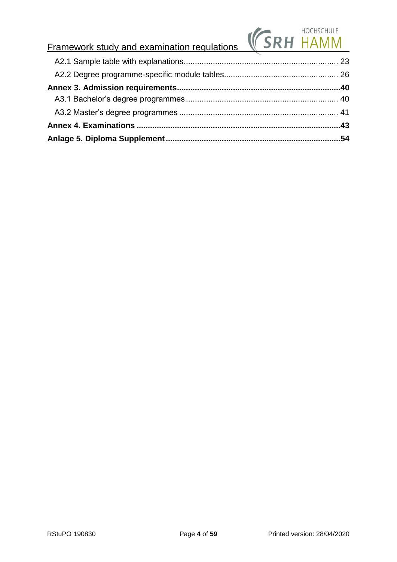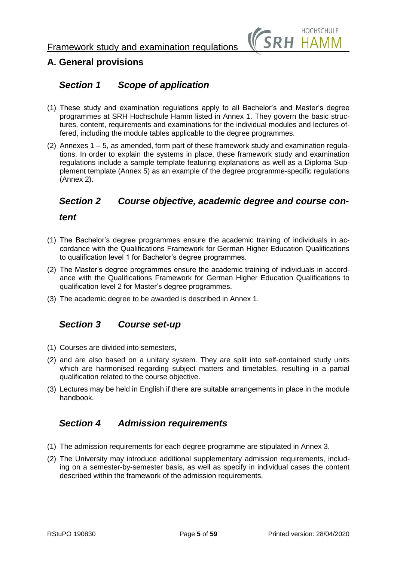

# <span id="page-4-0"></span>**A. General provisions**

## <span id="page-4-1"></span>*Section 1 Scope of application*

- (1) These study and examination regulations apply to all Bachelor's and Master's degree programmes at SRH Hochschule Hamm listed in Annex 1. They govern the basic structures, content, requirements and examinations for the individual modules and lectures offered, including the module tables applicable to the degree programmes.
- (2) Annexes  $1 5$ , as amended, form part of these framework study and examination regulations. In order to explain the systems in place, these framework study and examination regulations include a sample template featuring explanations as well as a Diploma Supplement template (Annex 5) as an example of the degree programme-specific regulations (Annex 2).

## <span id="page-4-2"></span>*Section 2 Course objective, academic degree and course con-*

## *tent*

- (1) The Bachelor's degree programmes ensure the academic training of individuals in accordance with the Qualifications Framework for German Higher Education Qualifications to qualification level 1 for Bachelor's degree programmes.
- (2) The Master's degree programmes ensure the academic training of individuals in accordance with the Qualifications Framework for German Higher Education Qualifications to qualification level 2 for Master's degree programmes.
- (3) The academic degree to be awarded is described in Annex 1.

## <span id="page-4-3"></span>*Section 3 Course set-up*

- (1) Courses are divided into semesters,
- (2) and are also based on a unitary system. They are split into self-contained study units which are harmonised regarding subject matters and timetables, resulting in a partial qualification related to the course objective.
- (3) Lectures may be held in English if there are suitable arrangements in place in the module handbook.

## <span id="page-4-4"></span>*Section 4 Admission requirements*

- (1) The admission requirements for each degree programme are stipulated in Annex 3.
- (2) The University may introduce additional supplementary admission requirements, including on a semester-by-semester basis, as well as specify in individual cases the content described within the framework of the admission requirements.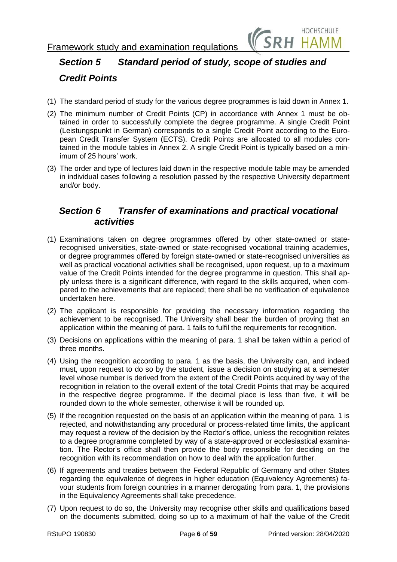

# <span id="page-5-0"></span>*Section 5 Standard period of study, scope of studies and*

## *Credit Points*

- (1) The standard period of study for the various degree programmes is laid down in Annex 1.
- (2) The minimum number of Credit Points (CP) in accordance with Annex 1 must be obtained in order to successfully complete the degree programme. A single Credit Point (Leistungspunkt in German) corresponds to a single Credit Point according to the European Credit Transfer System (ECTS). Credit Points are allocated to all modules contained in the module tables in Annex 2. A single Credit Point is typically based on a minimum of 25 hours' work.
- (3) The order and type of lectures laid down in the respective module table may be amended in individual cases following a resolution passed by the respective University department and/or body.

## <span id="page-5-1"></span>*Section 6 Transfer of examinations and practical vocational activities*

- (1) Examinations taken on degree programmes offered by other state-owned or staterecognised universities, state-owned or state-recognised vocational training academies, or degree programmes offered by foreign state-owned or state-recognised universities as well as practical vocational activities shall be recognised, upon request, up to a maximum value of the Credit Points intended for the degree programme in question. This shall apply unless there is a significant difference, with regard to the skills acquired, when compared to the achievements that are replaced; there shall be no verification of equivalence undertaken here.
- (2) The applicant is responsible for providing the necessary information regarding the achievement to be recognised. The University shall bear the burden of proving that an application within the meaning of para. 1 fails to fulfil the requirements for recognition.
- (3) Decisions on applications within the meaning of para. 1 shall be taken within a period of three months.
- (4) Using the recognition according to para. 1 as the basis, the University can, and indeed must, upon request to do so by the student, issue a decision on studying at a semester level whose number is derived from the extent of the Credit Points acquired by way of the recognition in relation to the overall extent of the total Credit Points that may be acquired in the respective degree programme. If the decimal place is less than five, it will be rounded down to the whole semester, otherwise it will be rounded up.
- (5) If the recognition requested on the basis of an application within the meaning of para. 1 is rejected, and notwithstanding any procedural or process-related time limits, the applicant may request a review of the decision by the Rector's office, unless the recognition relates to a degree programme completed by way of a state-approved or ecclesiastical examination. The Rector's office shall then provide the body responsible for deciding on the recognition with its recommendation on how to deal with the application further.
- (6) If agreements and treaties between the Federal Republic of Germany and other States regarding the equivalence of degrees in higher education (Equivalency Agreements) favour students from foreign countries in a manner derogating from para. 1, the provisions in the Equivalency Agreements shall take precedence.
- (7) Upon request to do so, the University may recognise other skills and qualifications based on the documents submitted, doing so up to a maximum of half the value of the Credit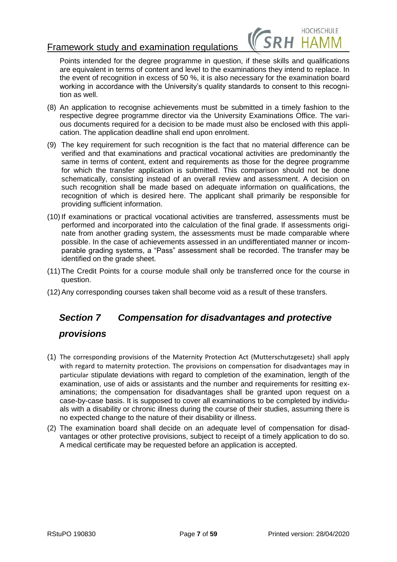

Points intended for the degree programme in question, if these skills and qualifications are equivalent in terms of content and level to the examinations they intend to replace. In the event of recognition in excess of 50 %, it is also necessary for the examination board working in accordance with the University's quality standards to consent to this recognition as well.

- (8) An application to recognise achievements must be submitted in a timely fashion to the respective degree programme director via the University Examinations Office. The various documents required for a decision to be made must also be enclosed with this application. The application deadline shall end upon enrolment.
- (9) The key requirement for such recognition is the fact that no material difference can be verified and that examinations and practical vocational activities are predominantly the same in terms of content, extent and requirements as those for the degree programme for which the transfer application is submitted. This comparison should not be done schematically, consisting instead of an overall review and assessment. A decision on such recognition shall be made based on adequate information on qualifications, the recognition of which is desired here. The applicant shall primarily be responsible for providing sufficient information.
- (10)If examinations or practical vocational activities are transferred, assessments must be performed and incorporated into the calculation of the final grade. If assessments originate from another grading system, the assessments must be made comparable where possible. In the case of achievements assessed in an undifferentiated manner or incomparable grading systems, a "Pass" assessment shall be recorded. The transfer may be identified on the grade sheet.
- (11) The Credit Points for a course module shall only be transferred once for the course in question.
- (12)Any corresponding courses taken shall become void as a result of these transfers.

# <span id="page-6-0"></span>*Section 7 Compensation for disadvantages and protective*

## *provisions*

- (1) The corresponding provisions of the Maternity Protection Act (Mutterschutzgesetz) shall apply with regard to maternity protection. The provisions on compensation for disadvantages may in particular stipulate deviations with regard to completion of the examination, length of the examination, use of aids or assistants and the number and requirements for resitting examinations; the compensation for disadvantages shall be granted upon request on a case-by-case basis. It is supposed to cover all examinations to be completed by individuals with a disability or chronic illness during the course of their studies, assuming there is no expected change to the nature of their disability or illness.
- (2) The examination board shall decide on an adequate level of compensation for disadvantages or other protective provisions, subject to receipt of a timely application to do so. A medical certificate may be requested before an application is accepted.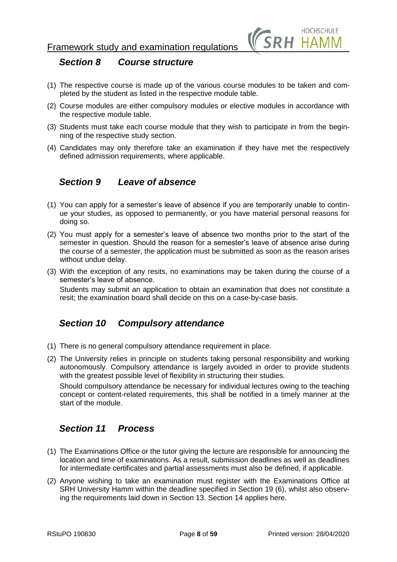

## <span id="page-7-0"></span>*Section 8 Course structure*

- (1) The respective course is made up of the various course modules to be taken and completed by the student as listed in the respective module table.
- (2) Course modules are either compulsory modules or elective modules in accordance with the respective module table.
- (3) Students must take each course module that they wish to participate in from the beginning of the respective study section.
- (4) Candidates may only therefore take an examination if they have met the respectively defined admission requirements, where applicable.

## <span id="page-7-1"></span>*Section 9 Leave of absence*

- (1) You can apply for a semester's leave of absence if you are temporarily unable to continue your studies, as opposed to permanently, or you have material personal reasons for doing so.
- (2) You must apply for a semester's leave of absence two months prior to the start of the semester in question. Should the reason for a semester's leave of absence arise during the course of a semester, the application must be submitted as soon as the reason arises without undue delay.
- (3) With the exception of any resits, no examinations may be taken during the course of a semester's leave of absence.

Students may submit an application to obtain an examination that does not constitute a resit; the examination board shall decide on this on a case-by-case basis.

## <span id="page-7-2"></span>*Section 10 Compulsory attendance*

- (1) There is no general compulsory attendance requirement in place.
- (2) The University relies in principle on students taking personal responsibility and working autonomously. Compulsory attendance is largely avoided in order to provide students with the greatest possible level of flexibility in structuring their studies.

Should compulsory attendance be necessary for individual lectures owing to the teaching concept or content-related requirements, this shall be notified in a timely manner at the start of the module.

## <span id="page-7-3"></span>*Section 11 Process*

- (1) The Examinations Office or the tutor giving the lecture are responsible for announcing the location and time of examinations. As a result, submission deadlines as well as deadlines for intermediate certificates and partial assessments must also be defined, if applicable.
- (2) Anyone wishing to take an examination must register with the Examinations Office at SRH University Hamm within the deadline specified in Section 19 (6), whilst also observing the requirements laid down in Section 13. Section 14 applies here.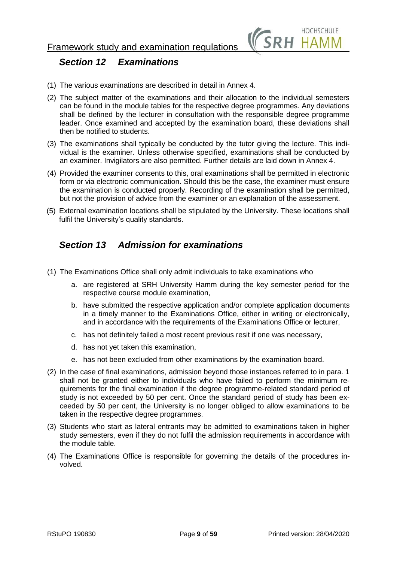

## <span id="page-8-0"></span>*Section 12 Examinations*

- (1) The various examinations are described in detail in Annex 4.
- (2) The subject matter of the examinations and their allocation to the individual semesters can be found in the module tables for the respective degree programmes. Any deviations shall be defined by the lecturer in consultation with the responsible degree programme leader. Once examined and accepted by the examination board, these deviations shall then be notified to students.
- (3) The examinations shall typically be conducted by the tutor giving the lecture. This individual is the examiner. Unless otherwise specified, examinations shall be conducted by an examiner. Invigilators are also permitted. Further details are laid down in Annex 4.
- (4) Provided the examiner consents to this, oral examinations shall be permitted in electronic form or via electronic communication. Should this be the case, the examiner must ensure the examination is conducted properly. Recording of the examination shall be permitted, but not the provision of advice from the examiner or an explanation of the assessment.
- (5) External examination locations shall be stipulated by the University. These locations shall fulfil the University's quality standards.

## <span id="page-8-1"></span>*Section 13 Admission for examinations*

- (1) The Examinations Office shall only admit individuals to take examinations who
	- a. are registered at SRH University Hamm during the key semester period for the respective course module examination,
	- b. have submitted the respective application and/or complete application documents in a timely manner to the Examinations Office, either in writing or electronically, and in accordance with the requirements of the Examinations Office or lecturer,
	- c. has not definitely failed a most recent previous resit if one was necessary,
	- d. has not yet taken this examination,
	- e. has not been excluded from other examinations by the examination board.
- (2) In the case of final examinations, admission beyond those instances referred to in para. 1 shall not be granted either to individuals who have failed to perform the minimum requirements for the final examination if the degree programme-related standard period of study is not exceeded by 50 per cent. Once the standard period of study has been exceeded by 50 per cent, the University is no longer obliged to allow examinations to be taken in the respective degree programmes.
- (3) Students who start as lateral entrants may be admitted to examinations taken in higher study semesters, even if they do not fulfil the admission requirements in accordance with the module table.
- (4) The Examinations Office is responsible for governing the details of the procedures involved.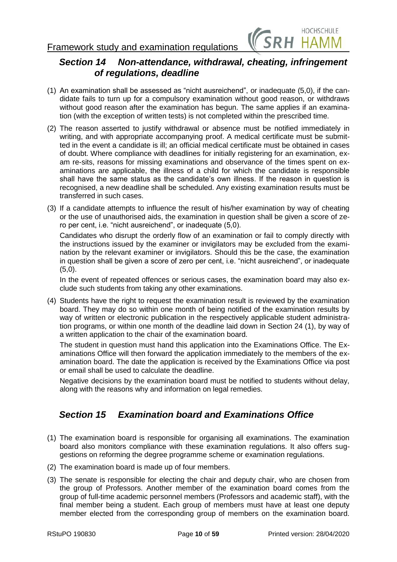

## <span id="page-9-0"></span>*Section 14 Non-attendance, withdrawal, cheating, infringement of regulations, deadline*

- (1) An examination shall be assessed as "nicht ausreichend", or inadequate (5,0), if the candidate fails to turn up for a compulsory examination without good reason, or withdraws without good reason after the examination has begun. The same applies if an examination (with the exception of written tests) is not completed within the prescribed time.
- (2) The reason asserted to justify withdrawal or absence must be notified immediately in writing, and with appropriate accompanying proof. A medical certificate must be submitted in the event a candidate is ill; an official medical certificate must be obtained in cases of doubt. Where compliance with deadlines for initially registering for an examination, exam re-sits, reasons for missing examinations and observance of the times spent on examinations are applicable, the illness of a child for which the candidate is responsible shall have the same status as the candidate's own illness. If the reason in question is recognised, a new deadline shall be scheduled. Any existing examination results must be transferred in such cases.
- (3) If a candidate attempts to influence the result of his/her examination by way of cheating or the use of unauthorised aids, the examination in question shall be given a score of zero per cent, i.e. "nicht ausreichend", or inadequate (5,0).

Candidates who disrupt the orderly flow of an examination or fail to comply directly with the instructions issued by the examiner or invigilators may be excluded from the examination by the relevant examiner or invigilators. Should this be the case, the examination in question shall be given a score of zero per cent, i.e. "nicht ausreichend", or inadequate  $(5.0)$ .

In the event of repeated offences or serious cases, the examination board may also exclude such students from taking any other examinations.

(4) Students have the right to request the examination result is reviewed by the examination board. They may do so within one month of being notified of the examination results by way of written or electronic publication in the respectively applicable student administration programs, or within one month of the deadline laid down in Section 24 (1), by way of a written application to the chair of the examination board.

The student in question must hand this application into the Examinations Office. The Examinations Office will then forward the application immediately to the members of the examination board. The date the application is received by the Examinations Office via post or email shall be used to calculate the deadline.

Negative decisions by the examination board must be notified to students without delay, along with the reasons why and information on legal remedies.

## <span id="page-9-1"></span>*Section 15 Examination board and Examinations Office*

- (1) The examination board is responsible for organising all examinations. The examination board also monitors compliance with these examination regulations. It also offers suggestions on reforming the degree programme scheme or examination regulations.
- (2) The examination board is made up of four members.
- (3) The senate is responsible for electing the chair and deputy chair, who are chosen from the group of Professors. Another member of the examination board comes from the group of full-time academic personnel members (Professors and academic staff), with the final member being a student. Each group of members must have at least one deputy member elected from the corresponding group of members on the examination board.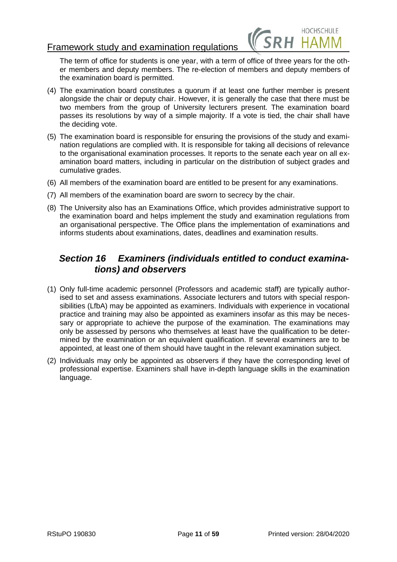

The term of office for students is one year, with a term of office of three years for the other members and deputy members. The re-election of members and deputy members of the examination board is permitted.

- (4) The examination board constitutes a quorum if at least one further member is present alongside the chair or deputy chair. However, it is generally the case that there must be two members from the group of University lecturers present. The examination board passes its resolutions by way of a simple majority. If a vote is tied, the chair shall have the deciding vote.
- (5) The examination board is responsible for ensuring the provisions of the study and examination regulations are complied with. It is responsible for taking all decisions of relevance to the organisational examination processes. It reports to the senate each year on all examination board matters, including in particular on the distribution of subject grades and cumulative grades.
- (6) All members of the examination board are entitled to be present for any examinations.
- (7) All members of the examination board are sworn to secrecy by the chair.
- (8) The University also has an Examinations Office, which provides administrative support to the examination board and helps implement the study and examination regulations from an organisational perspective. The Office plans the implementation of examinations and informs students about examinations, dates, deadlines and examination results.

## <span id="page-10-0"></span>*Section 16 Examiners (individuals entitled to conduct examinations) and observers*

- (1) Only full-time academic personnel (Professors and academic staff) are typically authorised to set and assess examinations. Associate lecturers and tutors with special responsibilities (LfbA) may be appointed as examiners. Individuals with experience in vocational practice and training may also be appointed as examiners insofar as this may be necessary or appropriate to achieve the purpose of the examination. The examinations may only be assessed by persons who themselves at least have the qualification to be determined by the examination or an equivalent qualification. If several examiners are to be appointed, at least one of them should have taught in the relevant examination subject.
- (2) Individuals may only be appointed as observers if they have the corresponding level of professional expertise. Examiners shall have in-depth language skills in the examination language.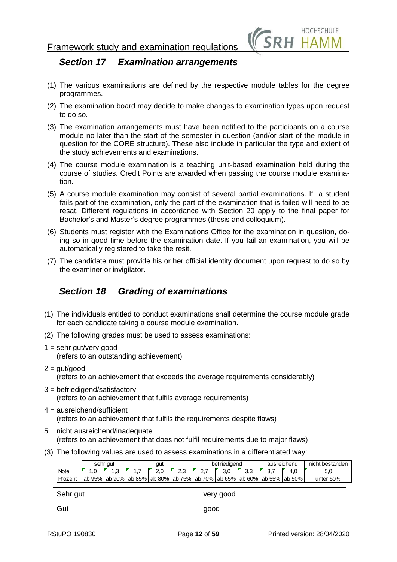

## <span id="page-11-0"></span>*Section 17 Examination arrangements*

- (1) The various examinations are defined by the respective module tables for the degree programmes.
- (2) The examination board may decide to make changes to examination types upon request to do so.
- (3) The examination arrangements must have been notified to the participants on a course module no later than the start of the semester in question (and/or start of the module in question for the CORE structure). These also include in particular the type and extent of the study achievements and examinations.
- (4) The course module examination is a teaching unit-based examination held during the course of studies. Credit Points are awarded when passing the course module examination.
- (5) A course module examination may consist of several partial examinations. If a student fails part of the examination, only the part of the examination that is failed will need to be resat. Different regulations in accordance with Section 20 apply to the final paper for Bachelor's and Master's degree programmes (thesis and colloquium).
- (6) Students must register with the Examinations Office for the examination in question, doing so in good time before the examination date. If you fail an examination, you will be automatically registered to take the resit.
- (7) The candidate must provide his or her official identity document upon request to do so by the examiner or invigilator.

## <span id="page-11-1"></span>*Section 18 Grading of examinations*

- (1) The individuals entitled to conduct examinations shall determine the course module grade for each candidate taking a course module examination.
- (2) The following grades must be used to assess examinations:
- $1 =$  sehr gut/very good (refers to an outstanding achievement)
- $2 = \frac{qut}{q}$ ood (refers to an achievement that exceeds the average requirements considerably)
- 3 = befriedigend/satisfactory (refers to an achievement that fulfils average requirements)
- $4 =$  ausreichend/sufficient (refers to an achievement that fulfils the requirements despite flaws)
- 5 = nicht ausreichend/inadequate (refers to an achievement that does not fulfil requirements due to major flaws)
- (3) The following values are used to assess examinations in a differentiated way:

|             |     | sehr gut |     | gut |     |      | befriedigend                                                                            |     |     | ausreichend | nicht bestanden |
|-------------|-----|----------|-----|-----|-----|------|-----------------------------------------------------------------------------------------|-----|-----|-------------|-----------------|
| <b>Note</b> | 1.0 | 1.3      | 1.7 | 2,0 | 2.3 | 2.7  | 3,0                                                                                     | 3,3 | 3,7 | 4,0         | 5,0             |
| Prozent     |     |          |     |     |     |      | ab 95%   ab 90%   ab 85%   ab 80%   ab 75%   ab 70%   ab 65%   ab 60%   ab 55%   ab 50% |     |     |             | unter $50%$     |
| Sehr gut    |     |          |     |     |     |      | very good                                                                               |     |     |             |                 |
| Gut         |     |          |     |     |     | good |                                                                                         |     |     |             |                 |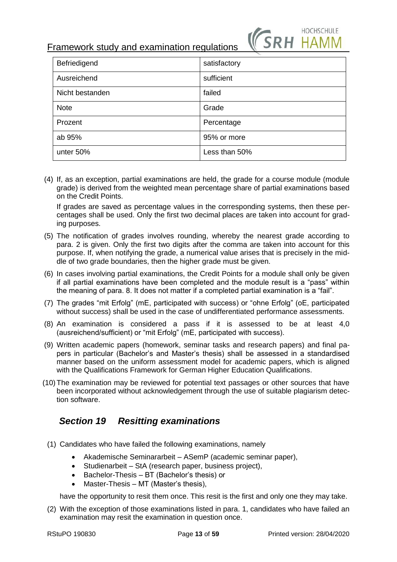

| Befriedigend    | satisfactory  |
|-----------------|---------------|
| Ausreichend     | sufficient    |
| Nicht bestanden | failed        |
| <b>Note</b>     | Grade         |
| Prozent         | Percentage    |
| ab 95%          | 95% or more   |
| unter 50%       | Less than 50% |

(4) If, as an exception, partial examinations are held, the grade for a course module (module grade) is derived from the weighted mean percentage share of partial examinations based on the Credit Points.

If grades are saved as percentage values in the corresponding systems, then these percentages shall be used. Only the first two decimal places are taken into account for grading purposes.

- (5) The notification of grades involves rounding, whereby the nearest grade according to para. 2 is given. Only the first two digits after the comma are taken into account for this purpose. If, when notifying the grade, a numerical value arises that is precisely in the middle of two grade boundaries, then the higher grade must be given.
- (6) In cases involving partial examinations, the Credit Points for a module shall only be given if all partial examinations have been completed and the module result is a "pass" within the meaning of para. 8. It does not matter if a completed partial examination is a "fail".
- (7) The grades "mit Erfolg" (mE, participated with success) or "ohne Erfolg" (oE, participated without success) shall be used in the case of undifferentiated performance assessments.
- (8) An examination is considered a pass if it is assessed to be at least 4,0 (ausreichend/sufficient) or "mit Erfolg" (mE, participated with success).
- (9) Written academic papers (homework, seminar tasks and research papers) and final papers in particular (Bachelor's and Master's thesis) shall be assessed in a standardised manner based on the uniform assessment model for academic papers, which is aligned with the Qualifications Framework for German Higher Education Qualifications.
- (10)The examination may be reviewed for potential text passages or other sources that have been incorporated without acknowledgement through the use of suitable plagiarism detection software.

## <span id="page-12-0"></span>*Section 19 Resitting examinations*

- (1) Candidates who have failed the following examinations, namely
	- Akademische Seminararbeit ASemP (academic seminar paper),
	- Studienarbeit StA (research paper, business project),
	- Bachelor-Thesis BT (Bachelor's thesis) or
	- Master-Thesis MT (Master's thesis),

have the opportunity to resit them once. This resit is the first and only one they may take.

(2) With the exception of those examinations listed in para. 1, candidates who have failed an examination may resit the examination in question once.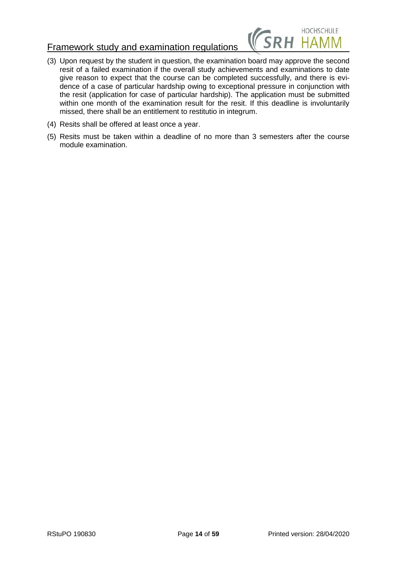

- (3) Upon request by the student in question, the examination board may approve the second resit of a failed examination if the overall study achievements and examinations to date give reason to expect that the course can be completed successfully, and there is evidence of a case of particular hardship owing to exceptional pressure in conjunction with the resit (application for case of particular hardship). The application must be submitted within one month of the examination result for the resit. If this deadline is involuntarily missed, there shall be an entitlement to restitutio in integrum.
- (4) Resits shall be offered at least once a year.
- (5) Resits must be taken within a deadline of no more than 3 semesters after the course module examination.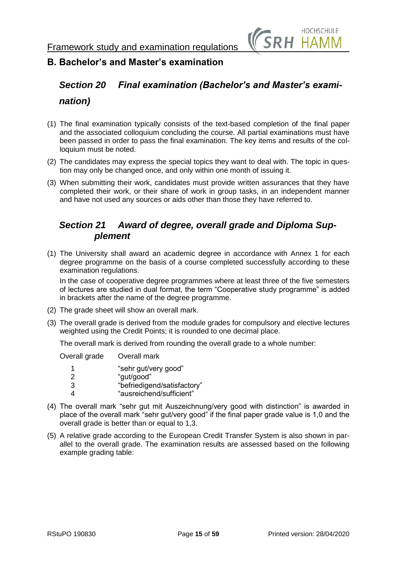

## <span id="page-14-0"></span>**B. Bachelor's and Master's examination**

# <span id="page-14-1"></span>*Section 20 Final examination (Bachelor's and Master's examination)*

- (1) The final examination typically consists of the text-based completion of the final paper and the associated colloquium concluding the course. All partial examinations must have been passed in order to pass the final examination. The key items and results of the colloquium must be noted.
- (2) The candidates may express the special topics they want to deal with. The topic in question may only be changed once, and only within one month of issuing it.
- (3) When submitting their work, candidates must provide written assurances that they have completed their work, or their share of work in group tasks, in an independent manner and have not used any sources or aids other than those they have referred to.

## <span id="page-14-2"></span>*Section 21 Award of degree, overall grade and Diploma Supplement*

(1) The University shall award an academic degree in accordance with Annex 1 for each degree programme on the basis of a course completed successfully according to these examination regulations.

In the case of cooperative degree programmes where at least three of the five semesters of lectures are studied in dual format, the term "Cooperative study programme" is added in brackets after the name of the degree programme.

- (2) The grade sheet will show an overall mark.
- (3) The overall grade is derived from the module grades for compulsory and elective lectures weighted using the Credit Points; it is rounded to one decimal place.

The overall mark is derived from rounding the overall grade to a whole number:

| Overall grade | Overall mark                                                                                  |
|---------------|-----------------------------------------------------------------------------------------------|
| 1<br>2<br>З   | "sehr gut/very good"<br>"gut/good"<br>"befriedigend/satisfactory"<br>"ausreichend/sufficient" |
|               |                                                                                               |

- (4) The overall mark "sehr gut mit Auszeichnung/very good with distinction" is awarded in place of the overall mark "sehr gut/very good" if the final paper grade value is 1,0 and the overall grade is better than or equal to 1,3.
- (5) A relative grade according to the European Credit Transfer System is also shown in parallel to the overall grade. The examination results are assessed based on the following example grading table: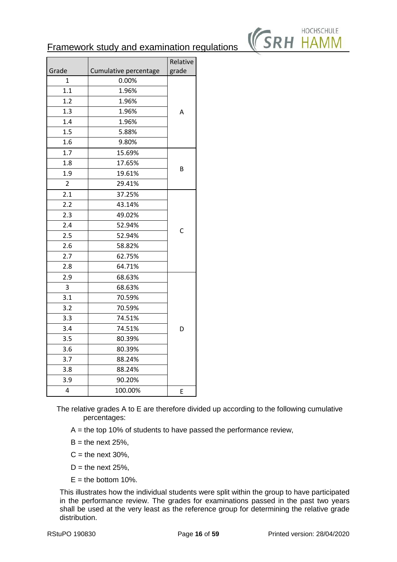

|                |                       | Relative |
|----------------|-----------------------|----------|
| Grade          | Cumulative percentage | grade    |
| 1              | 0.00%                 |          |
| 1.1            | 1.96%                 |          |
| 1.2            | 1.96%                 |          |
| 1.3            | 1.96%                 | A        |
| 1.4            | 1.96%                 |          |
| 1.5            |                       |          |
| 1.6            | 9.80%                 |          |
| 1.7            | 15.69%                |          |
| 1.8            | 17.65%                |          |
| 1.9            | 19.61%                | B        |
| $\overline{2}$ | 29.41%                |          |
| 2.1            | 37.25%                |          |
| 2.2            | 43.14%                |          |
| 2.3            | 49.02%                |          |
| 2.4            | 52.94%                |          |
| 2.5            | 52.94%                | С        |
| 2.6            | 58.82%                |          |
| 2.7            | 62.75%                |          |
| 2.8            | 64.71%                |          |
| 2.9            | 68.63%                |          |
| 3              | 68.63%                |          |
| 3.1            | 70.59%                |          |
| 3.2            | 70.59%                |          |
| 3.3            | 74.51%                |          |
| 3.4            | 74.51%                | D        |
| 3.5            | 80.39%                |          |
| 3.6            | 80.39%                |          |
| 3.7            | 88.24%                |          |
| 3.8            | 88.24%                |          |
| 3.9            | 90.20%                |          |
| 4              | 100.00%               | E        |

The relative grades A to E are therefore divided up according to the following cumulative percentages:

- $A =$  the top 10% of students to have passed the performance review,
- $B =$  the next 25%,
- $C =$  the next 30%,
- $D =$  the next 25%,
- $E =$  the bottom 10%.

This illustrates how the individual students were split within the group to have participated in the performance review. The grades for examinations passed in the past two years shall be used at the very least as the reference group for determining the relative grade distribution.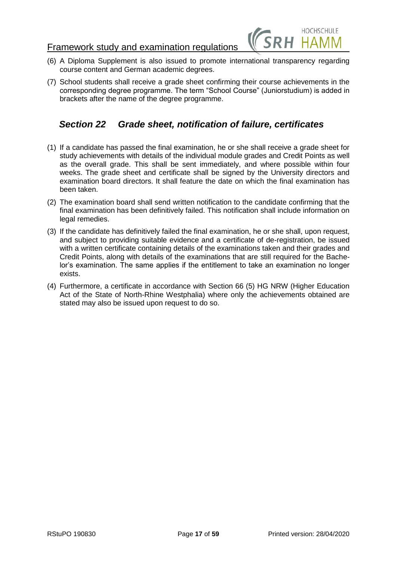

- (6) A Diploma Supplement is also issued to promote international transparency regarding course content and German academic degrees.
- (7) School students shall receive a grade sheet confirming their course achievements in the corresponding degree programme. The term "School Course" (Juniorstudium) is added in brackets after the name of the degree programme.

## <span id="page-16-0"></span>*Section 22 Grade sheet, notification of failure, certificates*

- (1) If a candidate has passed the final examination, he or she shall receive a grade sheet for study achievements with details of the individual module grades and Credit Points as well as the overall grade. This shall be sent immediately, and where possible within four weeks. The grade sheet and certificate shall be signed by the University directors and examination board directors. It shall feature the date on which the final examination has been taken.
- (2) The examination board shall send written notification to the candidate confirming that the final examination has been definitively failed. This notification shall include information on legal remedies.
- (3) If the candidate has definitively failed the final examination, he or she shall, upon request, and subject to providing suitable evidence and a certificate of de-registration, be issued with a written certificate containing details of the examinations taken and their grades and Credit Points, along with details of the examinations that are still required for the Bachelor's examination. The same applies if the entitlement to take an examination no longer exists.
- (4) Furthermore, a certificate in accordance with Section 66 (5) HG NRW (Higher Education Act of the State of North-Rhine Westphalia) where only the achievements obtained are stated may also be issued upon request to do so.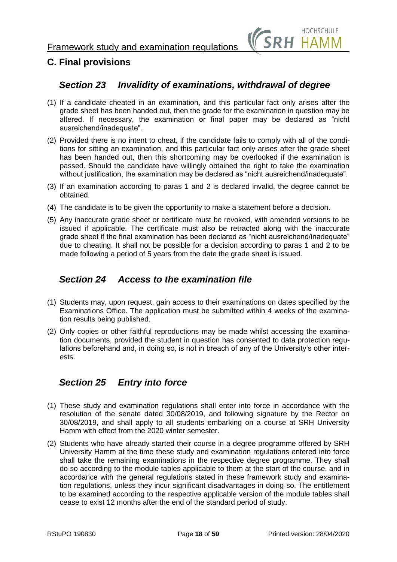

## <span id="page-17-0"></span>**C. Final provisions**

## <span id="page-17-1"></span>*Section 23 Invalidity of examinations, withdrawal of degree*

- (1) If a candidate cheated in an examination, and this particular fact only arises after the grade sheet has been handed out, then the grade for the examination in question may be altered. If necessary, the examination or final paper may be declared as "nicht ausreichend/inadequate".
- (2) Provided there is no intent to cheat, if the candidate fails to comply with all of the conditions for sitting an examination, and this particular fact only arises after the grade sheet has been handed out, then this shortcoming may be overlooked if the examination is passed. Should the candidate have willingly obtained the right to take the examination without justification, the examination may be declared as "nicht ausreichend/inadequate".
- (3) If an examination according to paras 1 and 2 is declared invalid, the degree cannot be obtained.
- (4) The candidate is to be given the opportunity to make a statement before a decision.
- (5) Any inaccurate grade sheet or certificate must be revoked, with amended versions to be issued if applicable. The certificate must also be retracted along with the inaccurate grade sheet if the final examination has been declared as "nicht ausreichend/inadequate" due to cheating. It shall not be possible for a decision according to paras 1 and 2 to be made following a period of 5 years from the date the grade sheet is issued.

## <span id="page-17-2"></span>*Section 24 Access to the examination file*

- (1) Students may, upon request, gain access to their examinations on dates specified by the Examinations Office. The application must be submitted within 4 weeks of the examination results being published.
- (2) Only copies or other faithful reproductions may be made whilst accessing the examination documents, provided the student in question has consented to data protection regulations beforehand and, in doing so, is not in breach of any of the University's other interests.

## <span id="page-17-3"></span>*Section 25 Entry into force*

- (1) These study and examination regulations shall enter into force in accordance with the resolution of the senate dated 30/08/2019, and following signature by the Rector on 30/08/2019, and shall apply to all students embarking on a course at SRH University Hamm with effect from the 2020 winter semester.
- (2) Students who have already started their course in a degree programme offered by SRH University Hamm at the time these study and examination regulations entered into force shall take the remaining examinations in the respective degree programme. They shall do so according to the module tables applicable to them at the start of the course, and in accordance with the general regulations stated in these framework study and examination regulations, unless they incur significant disadvantages in doing so. The entitlement to be examined according to the respective applicable version of the module tables shall cease to exist 12 months after the end of the standard period of study.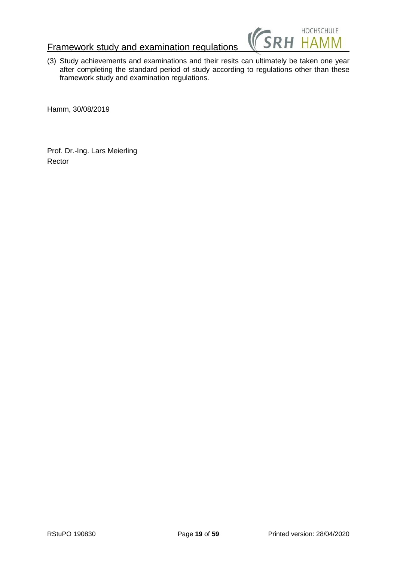

(3) Study achievements and examinations and their resits can ultimately be taken one year after completing the standard period of study according to regulations other than these framework study and examination regulations.

Hamm, 30/08/2019

Prof. Dr.-Ing. Lars Meierling Rector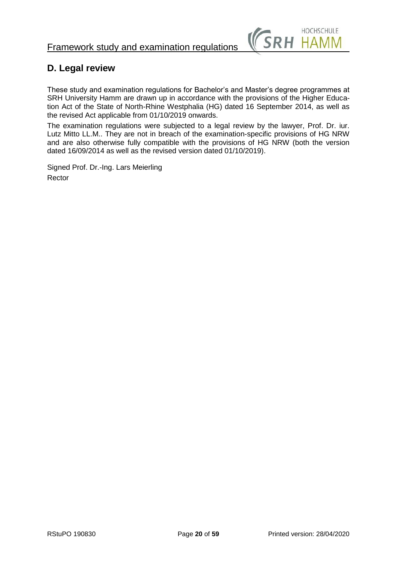

# <span id="page-19-0"></span>**D. Legal review**

These study and examination regulations for Bachelor's and Master's degree programmes at SRH University Hamm are drawn up in accordance with the provisions of the Higher Education Act of the State of North-Rhine Westphalia (HG) dated 16 September 2014, as well as the revised Act applicable from 01/10/2019 onwards.

The examination regulations were subjected to a legal review by the lawyer, Prof. Dr. iur. Lutz Mitto LL.M.. They are not in breach of the examination-specific provisions of HG NRW and are also otherwise fully compatible with the provisions of HG NRW (both the version dated 16/09/2014 as well as the revised version dated 01/10/2019).

Signed Prof. Dr.-Ing. Lars Meierling Rector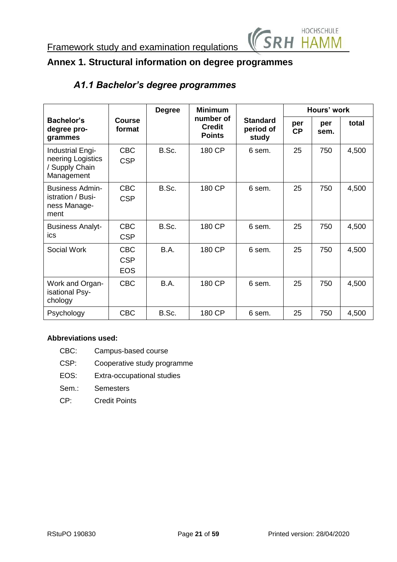

# <span id="page-20-1"></span><span id="page-20-0"></span>**Annex 1. Structural information on degree programmes**

# *A1.1 Bachelor's degree programmes*

|                                                                       |                                        | <b>Degree</b> | <b>Minimum</b>                              |                                       |                  | Hours' work |       |  |  |  |
|-----------------------------------------------------------------------|----------------------------------------|---------------|---------------------------------------------|---------------------------------------|------------------|-------------|-------|--|--|--|
| <b>Bachelor's</b><br>degree pro-<br>grammes                           | Course<br>format                       |               | number of<br><b>Credit</b><br><b>Points</b> | <b>Standard</b><br>period of<br>study | per<br><b>CP</b> | per<br>sem. | total |  |  |  |
| Industrial Engi-<br>neering Logistics<br>/ Supply Chain<br>Management | <b>CBC</b><br><b>CSP</b>               | B.Sc.         | 180 CP                                      | 6 sem.                                | 25               | 750         | 4,500 |  |  |  |
| <b>Business Admin-</b><br>istration / Busi-<br>ness Manage-<br>ment   | <b>CBC</b><br><b>CSP</b>               | B.Sc.         | 180 CP                                      | 6 sem.                                | 25               | 750         | 4,500 |  |  |  |
| <b>Business Analyt-</b><br>ics                                        | <b>CBC</b><br><b>CSP</b>               | B.Sc.         | 180 CP                                      | 6 sem.                                | 25               | 750         | 4,500 |  |  |  |
| Social Work                                                           | <b>CBC</b><br><b>CSP</b><br><b>EOS</b> | <b>B.A.</b>   | 180 CP                                      | 6 sem.                                | 25               | 750         | 4,500 |  |  |  |
| Work and Organ-<br>isational Psy-<br>chology                          | <b>CBC</b>                             | B.A.          | 180 CP                                      | 6 sem.                                | 25               | 750         | 4,500 |  |  |  |
| Psychology                                                            | <b>CBC</b>                             | B.Sc.         | 180 CP                                      | 6 sem.                                | 25               | 750         | 4,500 |  |  |  |

## **Abbreviations used:**

- CBC: Campus-based course
- CSP: Cooperative study programme
- EOS: Extra-occupational studies
- Sem.: Semesters
- CP: Credit Points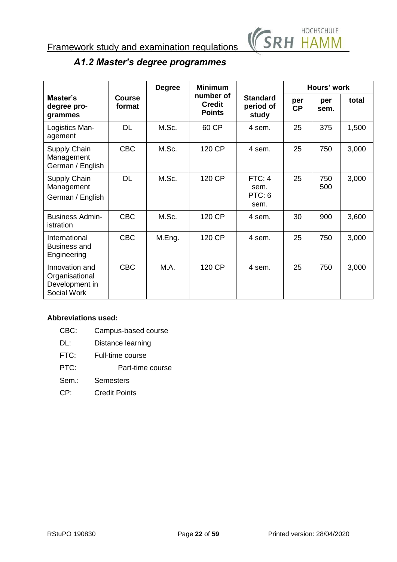

# *A1.2 Master's degree programmes*

<span id="page-21-0"></span>

|                                                                   |                         | <b>Degree</b> | <b>Minimum</b>                              |                                       |           | Hours' work |       |
|-------------------------------------------------------------------|-------------------------|---------------|---------------------------------------------|---------------------------------------|-----------|-------------|-------|
| Master's<br>degree pro-<br>grammes                                | <b>Course</b><br>format |               | number of<br><b>Credit</b><br><b>Points</b> | <b>Standard</b><br>period of<br>study | per<br>CP | per<br>sem. | total |
| Logistics Man-<br>agement                                         | <b>DL</b>               | M.Sc.         | 60 CP                                       | 4 sem.                                | 25        | 375         | 1,500 |
| Supply Chain<br>Management<br>German / English                    | <b>CBC</b>              | M.Sc.         | 120 CP                                      | 4 sem.                                | 25        | 750         | 3,000 |
| Supply Chain<br>Management<br>German / English                    | <b>DL</b>               | M.Sc.         | 120 CP                                      | FTC: 4<br>sem.<br>PTC: 6<br>sem.      | 25        | 750<br>500  | 3,000 |
| <b>Business Admin-</b><br>istration                               | <b>CBC</b>              | M.Sc.         | 120 CP                                      | 4 sem.                                | 30        | 900         | 3,600 |
| International<br><b>Business and</b><br>Engineering               | <b>CBC</b>              | M.Eng.        | 120 CP                                      | 4 sem.                                | 25        | 750         | 3,000 |
| Innovation and<br>Organisational<br>Development in<br>Social Work | <b>CBC</b>              | M.A.          | 120 CP                                      | 4 sem.                                | 25        | 750         | 3,000 |

## **Abbreviations used:**

| CBC: | Campus-based course |
|------|---------------------|
|------|---------------------|

- DL: Distance learning
- FTC: Full-time course
- PTC: Part-time course
- Sem.: Semesters
- CP: Credit Points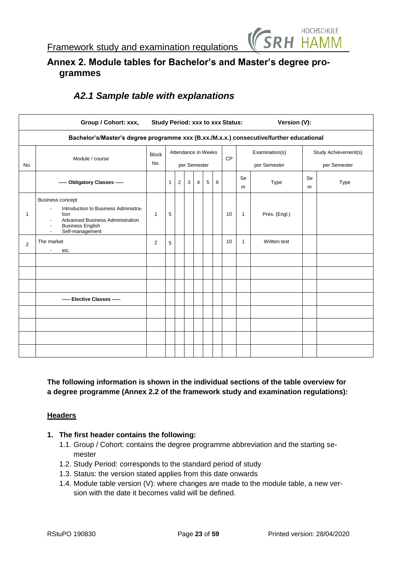

## <span id="page-22-0"></span>**Annex 2. Module tables for Bachelor's and Master's degree programmes**

|              | Group / Cohort: xxx,                                                                                                                                                  | <b>Study Period: xxx to xxx Status:</b> |   |   |   |                                     |   |   |           |                | Version (V):                   |         |                                      |
|--------------|-----------------------------------------------------------------------------------------------------------------------------------------------------------------------|-----------------------------------------|---|---|---|-------------------------------------|---|---|-----------|----------------|--------------------------------|---------|--------------------------------------|
|              | Bachelor's/Master's degree programme xxx (B.xx./M.x.x.) consecutive/further educational                                                                               |                                         |   |   |   |                                     |   |   |           |                |                                |         |                                      |
| No.          | Module / course                                                                                                                                                       | <b>Block</b><br>No.                     |   |   |   | Attendance in Weeks<br>per Semester |   |   | <b>CP</b> |                | Examination(s)<br>per Semester |         | Study Achievement(s)<br>per Semester |
|              | ----- Obligatory Classes -----                                                                                                                                        |                                         | 1 | 2 | 3 | 4                                   | 5 | 6 |           | <b>Se</b><br>m | Type                           | Se<br>m | <b>Type</b>                          |
| $\mathbf{1}$ | <b>Business concept</b><br>Introduction to Business Administra-<br>÷<br>tion<br><b>Advanced Business Administration</b><br><b>Business English</b><br>Self-management | $\mathbf{1}$                            | 5 |   |   |                                     |   |   | 10        | $\mathbf{1}$   | Pres. (Engl.)                  |         |                                      |
| 2            | The market<br>etc.<br>$\overline{\phantom{a}}$                                                                                                                        | 2                                       | 5 |   |   |                                     |   |   | 10        | 1              | Written test                   |         |                                      |
|              |                                                                                                                                                                       |                                         |   |   |   |                                     |   |   |           |                |                                |         |                                      |
|              |                                                                                                                                                                       |                                         |   |   |   |                                     |   |   |           |                |                                |         |                                      |
|              |                                                                                                                                                                       |                                         |   |   |   |                                     |   |   |           |                |                                |         |                                      |
|              | ----- Elective Classes -----                                                                                                                                          |                                         |   |   |   |                                     |   |   |           |                |                                |         |                                      |
|              |                                                                                                                                                                       |                                         |   |   |   |                                     |   |   |           |                |                                |         |                                      |
|              |                                                                                                                                                                       |                                         |   |   |   |                                     |   |   |           |                |                                |         |                                      |
|              |                                                                                                                                                                       |                                         |   |   |   |                                     |   |   |           |                |                                |         |                                      |
|              |                                                                                                                                                                       |                                         |   |   |   |                                     |   |   |           |                |                                |         |                                      |

# <span id="page-22-1"></span>*A2.1 Sample table with explanations*

**The following information is shown in the individual sections of the table overview for a degree programme (Annex 2.2 of the framework study and examination regulations):**

## **Headers**

## **1. The first header contains the following:**

- 1.1. Group / Cohort: contains the degree programme abbreviation and the starting semester
- 1.2. Study Period: corresponds to the standard period of study
- 1.3. Status: the version stated applies from this date onwards
- 1.4. Module table version (V): where changes are made to the module table, a new version with the date it becomes valid will be defined.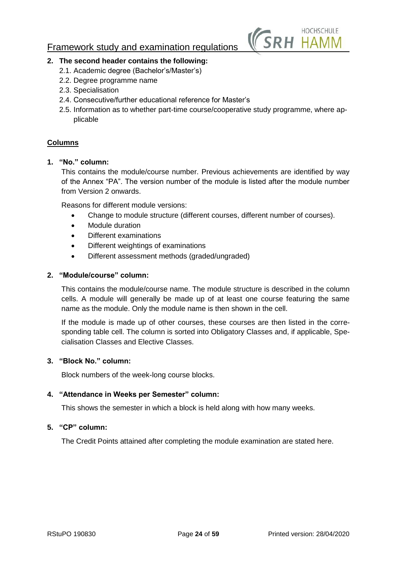

## **2. The second header contains the following:**

- 2.1. Academic degree (Bachelor's/Master's)
- 2.2. Degree programme name
- 2.3. Specialisation
- 2.4. Consecutive/further educational reference for Master's
- 2.5. Information as to whether part-time course/cooperative study programme, where applicable

## **Columns**

## **1. "No." column:**

This contains the module/course number. Previous achievements are identified by way of the Annex "PA". The version number of the module is listed after the module number from Version 2 onwards.

Reasons for different module versions:

- Change to module structure (different courses, different number of courses).
- Module duration
- Different examinations
- Different weightings of examinations
- Different assessment methods (graded/ungraded)

## **2. "Module/course" column:**

This contains the module/course name. The module structure is described in the column cells. A module will generally be made up of at least one course featuring the same name as the module. Only the module name is then shown in the cell.

If the module is made up of other courses, these courses are then listed in the corresponding table cell. The column is sorted into Obligatory Classes and, if applicable, Specialisation Classes and Elective Classes.

## **3. "Block No." column:**

Block numbers of the week-long course blocks.

## **4. "Attendance in Weeks per Semester" column:**

This shows the semester in which a block is held along with how many weeks.

## **5. "CP" column:**

The Credit Points attained after completing the module examination are stated here.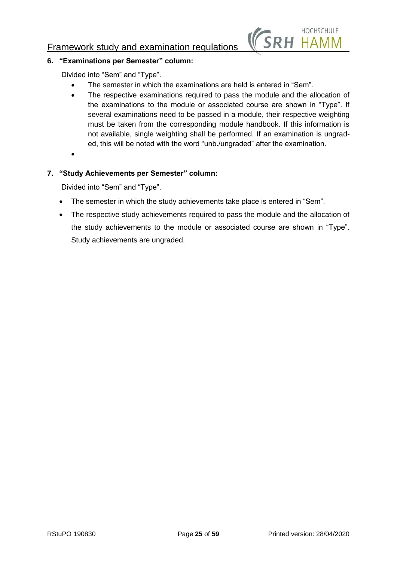

## **6. "Examinations per Semester" column:**

Divided into "Sem" and "Type".

- The semester in which the examinations are held is entered in "Sem".
- The respective examinations required to pass the module and the allocation of the examinations to the module or associated course are shown in "Type". If several examinations need to be passed in a module, their respective weighting must be taken from the corresponding module handbook. If this information is not available, single weighting shall be performed. If an examination is ungraded, this will be noted with the word "unb./ungraded" after the examination.
- $\bullet$

## **7. "Study Achievements per Semester" column:**

Divided into "Sem" and "Type".

- The semester in which the study achievements take place is entered in "Sem".
- The respective study achievements required to pass the module and the allocation of the study achievements to the module or associated course are shown in "Type". Study achievements are ungraded.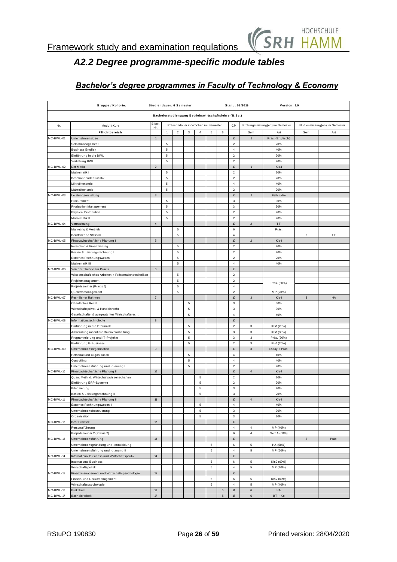

# *A2.2 Degree programme-specific module tables*

<span id="page-25-0"></span>

|           | Gruppe / Kohorte:                                                                   |                           | Studiendauer: 6 Semester   |                         |                                    |                |             |   | Stand: 08/2019                   |                           | Version: 1.0                     |                           |                                 |
|-----------|-------------------------------------------------------------------------------------|---------------------------|----------------------------|-------------------------|------------------------------------|----------------|-------------|---|----------------------------------|---------------------------|----------------------------------|---------------------------|---------------------------------|
|           | Bachelorstudiengang Betriebswirtschaftslehre (B.Sc.)                                |                           |                            |                         |                                    |                |             |   |                                  |                           |                                  |                           |                                 |
|           |                                                                                     | Block                     |                            |                         |                                    |                |             |   |                                  |                           |                                  |                           |                                 |
| Nr.       | Modul / Kurs                                                                        | Nr.                       |                            |                         | Präsenzdauer in Wochen im Semester |                |             |   | CP                               |                           | Prüfungsleistung(en) im Semester |                           | Studienleistung(en) im Semester |
| MC-BWL-01 | Pflichtbereich<br>Unternehmensidee                                                  | $\mathbf{1}$              | $\mathbf{1}$               | $\overline{\mathbf{c}}$ | 3                                  | $\overline{4}$ | 5           | 6 | $10\,$                           | Sem<br>$\overline{1}$     | Art<br>Präs. (Englisch)          | Sem                       | Art                             |
|           | Selbstmanagement                                                                    |                           | 5                          |                         |                                    |                |             |   | $\overline{2}$                   |                           | 20%                              |                           |                                 |
|           | <b>Business English</b>                                                             |                           | 5                          |                         |                                    |                |             |   | $\sqrt{4}$                       |                           | 40%                              |                           |                                 |
|           | Einführung in die BWL                                                               |                           | 5                          |                         |                                    |                |             |   | $\overline{2}$                   |                           | 20%                              |                           |                                 |
|           | Vertiefung BWL                                                                      |                           | $\mathbf 5$                |                         |                                    |                |             |   | $\overline{2}$                   |                           | 20%                              |                           |                                 |
| MC-BWL-02 | Der Markt                                                                           | $\sqrt{2}$                |                            |                         |                                    |                |             |   | $10\,$                           | $\overline{1}$            | KIs4                             |                           |                                 |
|           | Mathematik I                                                                        |                           | $\mathbf 5$                |                         |                                    |                |             |   | $\overline{2}$                   |                           | 20%                              |                           |                                 |
|           | Beschreibende Statistik                                                             |                           | $\mathbf 5$                |                         |                                    |                |             |   | $\overline{2}$                   |                           | 20%                              |                           |                                 |
|           | Mikroökonomie                                                                       |                           | $\mathbf 5$<br>$\mathbf 5$ |                         |                                    |                |             |   | $\sqrt{4}$<br>$\overline{2}$     |                           | 40%<br>20%                       |                           |                                 |
| MC-BWL-03 | Makroökonomie<br>Leistungserstellung                                                | $\ensuremath{\mathsf{3}}$ |                            |                         |                                    |                |             |   | 10                               | $\overline{1}$            | Fallstudie                       |                           |                                 |
|           | Procurement                                                                         |                           | 5                          |                         |                                    |                |             |   | $\mathsf 3$                      |                           | 30%                              |                           |                                 |
|           | Production Management                                                               |                           | $\mathbf 5$                |                         |                                    |                |             |   | $\ensuremath{\mathsf{3}}$        |                           | 30%                              |                           |                                 |
|           | Physical Distribution                                                               |                           | 5                          |                         |                                    |                |             |   | $\overline{2}$                   |                           | 20%                              |                           |                                 |
|           | Mathematik II                                                                       |                           | $\mathbf 5$                |                         |                                    |                |             |   | $\mathbf 2$                      |                           | 20%                              |                           |                                 |
| MC-BWL-04 | Vermarktung                                                                         | $\overline{4}$            |                            |                         |                                    |                |             |   | $10\,$                           | $\sqrt{2}$                | TT                               |                           |                                 |
|           | Marketing & Vertrieb                                                                |                           |                            | $\mathbf 5$             |                                    |                |             |   | $\,6\,$                          |                           | Präs                             |                           |                                 |
|           | <b>Beurteilende Statistik</b>                                                       |                           |                            | $\mathbf 5$             |                                    |                |             |   | $\sqrt{4}$                       |                           |                                  | $\overline{2}$            | TT                              |
| MC-BWL-05 | Finanzwirtschaftliche Planung I                                                     | $\mathbf 5$               |                            |                         |                                    |                |             |   | $10\,$                           | $\overline{c}$            | KIs4                             |                           |                                 |
|           | Investition & Finanzierung<br>Kosten & Leistungsrechnung I                          |                           |                            | $\mathbf 5$<br>5        |                                    |                |             |   | $\overline{2}$<br>$\overline{2}$ |                           | 20%<br>20%                       |                           |                                 |
|           | Externes Rechnungswesen                                                             |                           |                            | 5                       |                                    |                |             |   | $\sqrt{2}$                       |                           | 20%                              |                           |                                 |
|           | Mathematik III                                                                      |                           |                            | $\mathbf 5$             |                                    |                |             |   | $\overline{4}$                   |                           | 40%                              |                           |                                 |
| MC-BWL-06 | Von der Theorie zur Praxis                                                          | $\,6\,$                   |                            |                         |                                    |                |             |   | 10                               |                           |                                  |                           |                                 |
|           | Wissenschaftliches Arbeiten + Präsentationstechniken                                |                           |                            | $\mathbf 5$             |                                    |                |             |   | $\sqrt{2}$                       |                           |                                  |                           |                                 |
|           | Projektmanagement                                                                   |                           |                            | $\mathbf 5$             |                                    |                |             |   | $\sqrt{2}$                       |                           | Präs. (80%)                      |                           |                                 |
|           | Projektseminar (Praxis 1)                                                           |                           |                            | 5                       |                                    |                |             |   | $\overline{4}$                   |                           |                                  |                           |                                 |
|           | Qualitätsmanagement                                                                 |                           |                            | 5                       |                                    |                |             |   | $\mathbf 2$                      |                           | MP (20%)                         |                           |                                 |
| MC-BWL-07 | Rechtlicher Rahmen                                                                  | $\overline{\mathfrak{z}}$ |                            |                         |                                    |                |             |   | $10$                             | $\ensuremath{\mathsf{3}}$ | KIs4                             | $\ensuremath{\mathsf{3}}$ | HA                              |
|           | Öffentliches Recht                                                                  |                           |                            |                         | 5                                  |                |             |   | 3                                |                           | 30%                              |                           |                                 |
|           | Wirtschaftsprivat- & Handelsrecht<br>Gesellschafts- & ausgewähltes Wirtschaftsrecht |                           |                            |                         | 5<br>5                             |                |             |   | $\mathsf 3$<br>$\overline{4}$    |                           | 30%<br>40%                       |                           |                                 |
| MC-BWL-08 | Informationstechnologie                                                             | $\bf{8}$                  |                            |                         |                                    |                |             |   | 10                               |                           |                                  |                           |                                 |
|           | Einführung in die Informatik                                                        |                           |                            |                         | 5                                  |                |             |   | $\overline{2}$                   | 3                         | KIs1(20%)                        |                           |                                 |
|           | Anwendungsorientiere Datenverarbeitung                                              |                           |                            |                         | 5                                  |                |             |   | $\mathsf 3$                      | 3                         | KIs1(30%)                        |                           |                                 |
|           | Programmierung und IT-Projekte                                                      |                           |                            |                         | 5                                  |                |             |   | $\ensuremath{\mathsf{3}}$        | $\ensuremath{\mathsf{3}}$ | Präs. (30%)                      |                           |                                 |
|           | Einführung E-Business                                                               |                           |                            |                         | 5                                  |                |             |   | $\overline{2}$                   | 3                         | KIs1(20%)                        |                           |                                 |
| MC-BWL-09 | Unternehmensorganisation                                                            | $\mathsf g$               |                            |                         |                                    |                |             |   | 10                               | $\mathbf{3}$              | Essay + Präs.                    |                           |                                 |
|           | Personal und Organisation                                                           |                           |                            |                         | 5                                  |                |             |   | $\overline{4}$                   |                           | 40%                              |                           |                                 |
|           | Controlling                                                                         |                           |                            |                         | 5                                  |                |             |   | $\overline{4}$                   |                           | 40%                              |                           |                                 |
| MC-BWL-10 | Unternehmensführung und -planung I<br>Finanzwirtschaftliche Planung II              | $10$                      |                            |                         | 5                                  |                |             |   | $\mathbf 2$<br>10                | $\overline{4}$            | 20%<br>KIs4                      |                           |                                 |
|           | Quan, Meth, d. Wirtschaftswissenschaften                                            |                           |                            |                         |                                    | 5              |             |   | $\mathbf 2$                      |                           | 20%                              |                           |                                 |
|           | Einführung ERP-Systeme                                                              |                           |                            |                         |                                    | 5              |             |   | 2                                |                           | 20%                              |                           |                                 |
|           | Bilanzierung                                                                        |                           |                            |                         |                                    | 5              |             |   | $\ensuremath{\mathsf{3}}$        |                           | 40%                              |                           |                                 |
|           | Kosten & Leistungsrechnung II                                                       |                           |                            |                         |                                    | 5              |             |   | 3                                |                           | 20%                              |                           |                                 |
| MC-BWL-11 | Finanzwirtschaftliche Planung III                                                   | $11\,$                    |                            |                         |                                    |                |             |   | $10\,$                           | $\sqrt{4}$                | KIs4                             |                           |                                 |
|           | Externes Rechnungswesen II                                                          |                           |                            |                         |                                    | 5              |             |   | $\sqrt{4}$                       |                           | 40%                              |                           |                                 |
|           | Unternehmensbesteuerung                                                             |                           |                            |                         |                                    | $\mathbf 5$    |             |   | $\mathsf 3$                      |                           | 30%                              |                           |                                 |
|           | Organisation                                                                        |                           |                            |                         |                                    | 5              |             |   | $\mathbf{3}$                     |                           | 30%                              |                           |                                 |
| MC-BWL-12 | <b>Best Practice</b>                                                                | $12\,$                    |                            |                         |                                    |                |             |   | $10\,$                           |                           |                                  |                           |                                 |
|           | Personalführung<br>Projektseminar 2 (Praxis 2)                                      |                           |                            |                         |                                    |                |             |   | $\sqrt{4}$<br>$\,6\,$            | 4<br>$\overline{4}$       | MP (40%)<br>SemA (60%)           |                           |                                 |
| MC-BWL-13 | Unternehmensführung                                                                 | 13                        |                            |                         |                                    |                |             |   | $10\,$                           |                           |                                  | $\mathbf 5$               | Präs.                           |
|           | Unternehmensgründung und -entwicklung                                               |                           |                            |                         |                                    |                | $\mathbf 5$ |   | $\,6\,$                          | 5                         | HA (50%)                         |                           |                                 |
|           | Unternehmensführung und -planung II                                                 |                           |                            |                         |                                    |                | $\mathbf 5$ |   | $\overline{4}$                   | $\mathbf 5$               | MP (50%)                         |                           |                                 |
| MC-BWL-14 | International Business und Wirtschaftspolitik                                       | $14\,$                    |                            |                         |                                    |                |             |   | $10\,$                           |                           |                                  |                           |                                 |
|           | <b>International Business</b>                                                       |                           |                            |                         |                                    |                | 5           |   | 6                                | 5                         | KIs2 (60%)                       |                           |                                 |
|           | Wirtschaftspolitik                                                                  |                           |                            |                         |                                    |                | $\sqrt{5}$  |   | $\sqrt{4}$                       | $\mathbf 5$               | MP (40%)                         |                           |                                 |
| MC-BWL-15 | Finanzmanagement und Wirtschaftspsychologie                                         | $15\,$                    |                            |                         |                                    |                |             |   | 10                               |                           |                                  |                           |                                 |
|           | Finanz- und Risikomanagement                                                        |                           |                            |                         |                                    |                | $\mathbf 5$ |   | $\,6\,$                          | 5                         | KIs2 (60%)                       |                           |                                 |
|           | Wirtschaftspsychologie                                                              |                           |                            |                         |                                    |                | $\mathbf 5$ | 5 | $\overline{4}$<br>14             | $\mathbf 5$<br>$\,6\,$    | MP (40%)<br>SA                   |                           |                                 |
| MC-BWL-16 | Praktikum                                                                           | 16                        |                            |                         |                                    |                |             |   |                                  |                           |                                  |                           |                                 |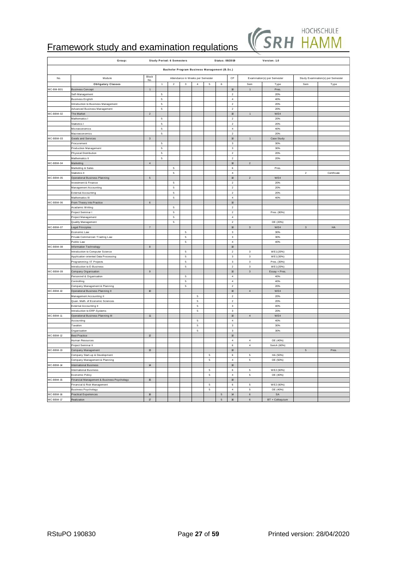

|           | Group:                                                |                   |                  | <b>Study Period: 6 Semesters</b> |                                              |             |                             | Status: 08/2019 |                                     |                           | Version: 1.0                |                           |                                   |
|-----------|-------------------------------------------------------|-------------------|------------------|----------------------------------|----------------------------------------------|-------------|-----------------------------|-----------------|-------------------------------------|---------------------------|-----------------------------|---------------------------|-----------------------------------|
|           |                                                       |                   |                  |                                  | Bachelor Program Business Management (B.Sc.) |             |                             |                 |                                     |                           |                             |                           |                                   |
| No.       | Module                                                | Block             |                  |                                  | Attendance in Weeks per Semester             |             |                             |                 | CP                                  |                           | Examination(s) per Semester |                           | Study Examination(s) per Semester |
|           | <b>Obligatory Classes</b>                             | No.               | $\mathbf{1}$     | $\overline{2}$                   | $\mathbf 3$                                  | $\bf{4}$    | $\,$ 5 $\,$                 | 6               |                                     | Sem                       | Type                        | Sem                       | Type                              |
| MC-BM-B01 | <b>Business Concept</b>                               | $\mathbf 1$       |                  |                                  |                                              |             |                             |                 | $10\,$                              | $\,1\,$                   | Pres.                       |                           |                                   |
|           | Self-Management                                       |                   | $\,$ 5 $\,$      |                                  |                                              |             |                             |                 | $\,2$                               |                           | 20%                         |                           |                                   |
|           | Business English                                      |                   | $\,$ 5 $\,$      |                                  |                                              |             |                             |                 | $\sqrt{4}$                          |                           | 40%                         |                           |                                   |
|           | Introduction to Business Management                   |                   | $\,$ 5 $\,$      |                                  |                                              |             |                             |                 | $\mathbf{2}$                        |                           | 20%                         |                           |                                   |
|           | Advanced Business Management                          |                   | $\,$ 5 $\,$      |                                  |                                              |             |                             |                 | $\mathbf 2$                         |                           | 20%                         |                           |                                   |
| MC-BBM-02 | The Market                                            | $\overline{a}$    |                  |                                  |                                              |             |                             |                 | $10\,$                              | $\mathbf{1}$              | WE4                         |                           |                                   |
|           | Mathematics I                                         |                   | 5                |                                  |                                              |             |                             |                 | $\mathbf 2$                         |                           | 20%                         |                           |                                   |
|           | Statistics I<br>Microeconomics                        |                   | 5<br>$\,$ 5 $\,$ |                                  |                                              |             |                             |                 | $\mathbf 2$<br>$\overline{4}$       |                           | 20%<br>40%                  |                           |                                   |
|           | Macroeconomics                                        |                   | 5                |                                  |                                              |             |                             |                 | $\mathbf{2}$                        |                           | 20%                         |                           |                                   |
| MC-BBM-03 | Goods and Services                                    | $\overline{3}$    |                  |                                  |                                              |             |                             |                 | $10\,$                              | $\overline{1}$            | Case Study                  |                           |                                   |
|           | Procurement                                           |                   | $\,$ 5 $\,$      |                                  |                                              |             |                             |                 | $\ensuremath{\mathsf{3}}$           |                           | 30%                         |                           |                                   |
|           | Production Management                                 |                   | $\mathbf 5$      |                                  |                                              |             |                             |                 | $\ensuremath{\mathsf{3}}$           |                           | 30%                         |                           |                                   |
|           | Physical Distribution                                 |                   | 5                |                                  |                                              |             |                             |                 | $\mathbf 2$                         |                           | 20%                         |                           |                                   |
|           | Mathematics II                                        |                   | $\,$ 5 $\,$      |                                  |                                              |             |                             |                 | $\sqrt{2}$                          |                           | 20%                         |                           |                                   |
| MC-BBM-04 | Marketing                                             | $\sqrt{4}$        |                  |                                  |                                              |             |                             |                 | $10\,$                              | $\sqrt{2}$                |                             |                           |                                   |
|           | Marketing & Sales                                     |                   |                  | $\,$ 5 $\,$                      |                                              |             |                             |                 | 6                                   |                           | Pres.                       |                           |                                   |
| MC-BBM-05 | Statistics II                                         | 5                 |                  | $\,$ 5 $\,$                      |                                              |             |                             |                 | $\sqrt{4}$<br>$10\,$                | $\mathbf{2}$              | WE4                         | $\overline{\mathbf{c}}$   | Certificate                       |
|           | Operational Business Planning<br>Investment & Finance |                   |                  | $\,$ 5 $\,$                      |                                              |             |                             |                 | $\mathbf 2$                         |                           | 20%                         |                           |                                   |
|           | Management Accounting                                 |                   |                  | 5                                |                                              |             |                             |                 | $\mathbf 2$                         |                           | 20%                         |                           |                                   |
|           | External Accounting                                   |                   |                  | 5                                |                                              |             |                             |                 | $\mathbf{2}$                        |                           | 20%                         |                           |                                   |
|           | Mathematics III                                       |                   |                  | 5                                |                                              |             |                             |                 | $\overline{4}$                      |                           | 40%                         |                           |                                   |
| MC-BBM-06 | From Theory into Practice                             | 6                 |                  |                                  |                                              |             |                             |                 | $10\,$                              |                           |                             |                           |                                   |
|           | Acadamic Writing                                      |                   |                  | $\mathbf 5$                      |                                              |             |                             |                 | $\mathbf 2$                         |                           |                             |                           |                                   |
|           | Project Seminar I                                     |                   |                  | $\mathbf 5$                      |                                              |             |                             |                 | $\mathbf 2$                         |                           | Pres. (80%)                 |                           |                                   |
|           | Project Management                                    |                   |                  | $\mathbf 5$                      |                                              |             |                             |                 | $\sqrt{4}$                          |                           |                             |                           |                                   |
|           | Quality Management                                    |                   |                  | $\,$ 5 $\,$                      |                                              |             |                             |                 | $\overline{2}$                      |                           | OE (20%)                    |                           |                                   |
| MC-BBM-07 | egal Principles<br>Economic Law                       | $\scriptstyle{7}$ |                  |                                  | $\,$ 5 $\,$                                  |             |                             |                 | $10\,$<br>$\ensuremath{\mathsf{3}}$ | 3                         | WE4<br>30%                  | $\ensuremath{\mathsf{3}}$ | HA                                |
|           | Private Commercial / Trading Law                      |                   |                  |                                  | $\,$ 5 $\,$                                  |             |                             |                 | $\ensuremath{\mathsf{3}}$           |                           | 30%                         |                           |                                   |
|           | Public Law                                            |                   |                  |                                  | 5                                            |             |                             |                 | $\overline{4}$                      |                           | 40%                         |                           |                                   |
| MC-BBM-08 | Information Technology                                | $^{\rm 8}$        |                  |                                  |                                              |             |                             |                 | $10\,$                              |                           |                             |                           |                                   |
|           | Introduction to Computer Science                      |                   |                  |                                  | $\,$ 5 $\,$                                  |             |                             |                 | $\mathbf{2}$                        | 3                         | WE1(20%)                    |                           |                                   |
|           | Application-oriented Data Processing                  |                   |                  |                                  | 5                                            |             |                             |                 | $\ensuremath{\mathsf{3}}$           | $\mathbf{3}$              | WE1(30%)                    |                           |                                   |
|           | Programming / IT Projects                             |                   |                  |                                  | 5                                            |             |                             |                 | $\ensuremath{\mathsf{3}}$           | $\ensuremath{\mathsf{3}}$ | Pres. (30%)                 |                           |                                   |
|           | Introduction to E-Business                            |                   |                  |                                  | $\,$ 5 $\,$                                  |             |                             |                 | $\mathbf{2}$                        | $\mathsf 3$               | WE1(20%)                    |                           |                                   |
| MC-BBM-09 | Company Organisation<br>Personnel & Organisation      | $\mathsf g$       |                  |                                  | $\mathbf 5$                                  |             |                             |                 | $10\,$<br>$\sqrt{4}$                | $\ensuremath{\mathsf{3}}$ | Essay + Pres.               |                           |                                   |
|           | Controlling                                           |                   |                  |                                  | $\mathbf 5$                                  |             |                             |                 | $\sqrt{4}$                          |                           | 40%<br>40%                  |                           |                                   |
|           | Company Management & Planning                         |                   |                  |                                  | 5                                            |             |                             |                 | $\overline{2}$                      |                           | 20%                         |                           |                                   |
| MC-BBM-10 | Operational Business Planning II                      | $10\,$            |                  |                                  |                                              |             |                             |                 | $10\,$                              | $\sqrt{4}$                | WE4                         |                           |                                   |
|           | Management Accounting II                              |                   |                  |                                  |                                              | $\sqrt{5}$  |                             |                 | $\mathbf 2$                         |                           | 20%                         |                           |                                   |
|           | Quan. Meth. of Economic Sciences                      |                   |                  |                                  |                                              | $\sqrt{5}$  |                             |                 | $\mathbf 2$                         |                           | 20%                         |                           |                                   |
|           | External Accounting II                                |                   |                  |                                  |                                              | 5           |                             |                 | $\ensuremath{\mathsf{3}}$           |                           | 40%                         |                           |                                   |
|           | Introduction to ERP-Systems                           |                   |                  |                                  |                                              | 5           |                             |                 | $\mathbf 3$                         |                           | 20%                         |                           |                                   |
| MC-BBM-11 | Operational Business Planning III                     | 11                |                  |                                  |                                              |             |                             |                 | $10\,$                              | $\sqrt{4}$                | WE4                         |                           |                                   |
|           | Accounting                                            |                   |                  |                                  |                                              | 5<br>5      |                             |                 | $\overline{4}$<br>$\mathbf 3$       |                           | 40%<br>30%                  |                           |                                   |
|           | Taxation<br>Organisation                              |                   |                  |                                  |                                              | $\mathbf 5$ |                             |                 | $\ensuremath{\mathsf{3}}$           |                           | 30%                         |                           |                                   |
| MC-BBM-12 | <b>Best Practice</b>                                  | $12\,$            |                  |                                  |                                              |             |                             |                 | $10\,$                              |                           |                             |                           |                                   |
|           | Human Resources                                       |                   |                  |                                  |                                              |             |                             |                 | $\overline{4}$                      | $\overline{4}$            | OE (40%)                    |                           |                                   |
|           | Project Seminar II                                    |                   |                  |                                  |                                              |             |                             |                 | 6                                   | $\sqrt{4}$                | Sem A (60%)                 |                           |                                   |
| MC-BBM-13 | Company Management                                    | $13\,$            |                  |                                  |                                              |             |                             |                 | $10\,$                              |                           |                             | 5 <sub>5</sub>            | Pres.                             |
|           | Company Start-up & Development                        |                   |                  |                                  |                                              |             | $\,$ 5 $\,$                 |                 | 6                                   | $\mathbf 5$               | HA (50%)                    |                           |                                   |
|           | Company Management & Planning                         |                   |                  |                                  |                                              |             | $\mathbf 5$                 |                 | $\sqrt{4}$                          | $\mathbf 5$               | OE (50%)                    |                           |                                   |
| MC-BBM-14 | International Business                                | $14\,$            |                  |                                  |                                              |             |                             |                 | $10\,$                              |                           |                             |                           |                                   |
|           | International Business<br>Economic Policy             |                   |                  |                                  |                                              |             | $\mathbf 5$<br>$\mathsf{s}$ |                 | 6<br>$\overline{4}$                 | $\mathbf 5$<br>$\sqrt{5}$ | WE2 (60%)<br>OE (40%)       |                           |                                   |
| MC-BBM-15 | Financial Management & Business Psychology            | 15                |                  |                                  |                                              |             |                             |                 | $10\,$                              |                           |                             |                           |                                   |
|           | inancial & Risk Management                            |                   |                  |                                  |                                              |             | $\,$ 5 $\,$                 |                 | $\,$ 6                              | $\sqrt{5}$                | WE2 (60%)                   |                           |                                   |
|           | <b>Business Psychology</b>                            |                   |                  |                                  |                                              |             | $\,$ 5 $\,$                 |                 | $\sqrt{4}$                          | $\,$ 5 $\,$               | OE (40%)                    |                           |                                   |
| MC-BBM-16 | Practical Experiences                                 | $16\,$            |                  |                                  |                                              |             |                             | $\,$ 5 $\,$     | $14\,$                              | $\mathbf 6$               | SA                          |                           |                                   |
| MC-BBM-17 | Realization                                           | $17\,$            |                  |                                  |                                              |             |                             | $\sqrt{5}$      | 16                                  | 6                         | BT + Colloquium             |                           |                                   |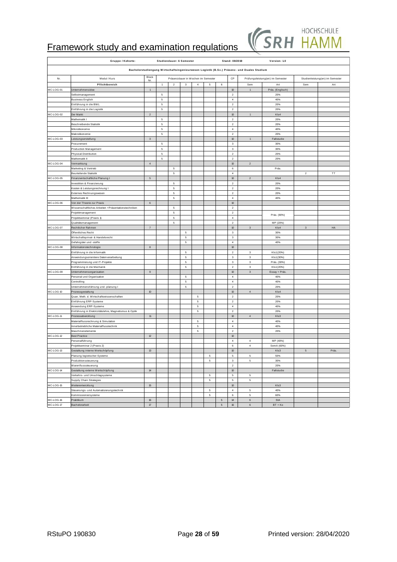

|           | Gruppe / Kohorte:                                                        |                           |                     | Studiendauer: 6 Semester |             |                |                                    |             | Stand: 08/2019                                         |                                                                                            | Version: 1.0                     |                 |                                 |
|-----------|--------------------------------------------------------------------------|---------------------------|---------------------|--------------------------|-------------|----------------|------------------------------------|-------------|--------------------------------------------------------|--------------------------------------------------------------------------------------------|----------------------------------|-----------------|---------------------------------|
|           |                                                                          |                           |                     |                          |             |                |                                    |             |                                                        | Bachelorstudiengang Wirtschaftsingenieurwesen Logistik (B.Sc.) Präsenz- und Duales Studium |                                  |                 |                                 |
| Nr.       | Modul / Kurs                                                             | Block<br>Nr.              |                     |                          |             |                | Präsenzdauer in Wochen im Semester |             | CP                                                     |                                                                                            | Prüfungsleistung(en) im Semester |                 | Studienleistung(en) im Semester |
| MC-LOG-01 | Pflichtbereich<br>Unternehmensidee                                       | $\mathbf 1$               | $\mathbf{1}$        | $\overline{2}$           | 3           | $\overline{4}$ | $\,$ 5 $\,$                        | 6           | 10                                                     | Sem<br>$\mathbf{1}$                                                                        | Art<br>Präs. (Englisch)          | Sem             | Art                             |
|           | Selbstmanagement                                                         |                           | $\,$ 5 $\,$         |                          |             |                |                                    |             | $\mathbf 2$                                            |                                                                                            | 20%                              |                 |                                 |
|           | <b>Business English</b>                                                  |                           | $\,$ 5 $\,$         |                          |             |                |                                    |             | $\sqrt{4}$                                             |                                                                                            | 40%                              |                 |                                 |
|           | Einführung in die BWL                                                    |                           | $\mathbf 5$         |                          |             |                |                                    |             | $\,2\,$                                                |                                                                                            | 20%                              |                 |                                 |
|           | Einführung in die Logistik                                               |                           | $\mathbf 5$         |                          |             |                |                                    |             | $\mathbf 2$                                            |                                                                                            | 20%                              |                 |                                 |
| MC-LOG-02 | Der Markt                                                                | $\sqrt{2}$                |                     |                          |             |                |                                    |             | $10\,$                                                 | $\mathbf 1$                                                                                | KIs4                             |                 |                                 |
|           | Mathematik I                                                             |                           | $\,$ 5 $\,$         |                          |             |                |                                    |             | $\mathbf 2$                                            |                                                                                            | 20%                              |                 |                                 |
|           | Beschreibende Statistik<br>Mikroökonomie                                 |                           | 5<br>$\overline{5}$ |                          |             |                |                                    |             | $\sqrt{2}$<br>$\overline{4}$                           |                                                                                            | 20%<br>40%                       |                 |                                 |
|           | Makroökonomie                                                            |                           | $\,$ 5 $\,$         |                          |             |                |                                    |             | $\mathbf{2}$                                           |                                                                                            | 20%                              |                 |                                 |
| MC-LOG-03 | eistungserstellung                                                       | $\ensuremath{\mathsf{3}}$ |                     |                          |             |                |                                    |             | $10\,$                                                 | $\mathbf{1}$                                                                               | Fallstudie                       |                 |                                 |
|           | Procurement                                                              |                           | $\,$ 5 $\,$         |                          |             |                |                                    |             | $\mathbf 3$                                            |                                                                                            | 30%                              |                 |                                 |
|           | Production Management                                                    |                           | $\mathbf 5$         |                          |             |                |                                    |             | $\ensuremath{\mathsf{3}}$                              |                                                                                            | 30%                              |                 |                                 |
|           | Physical Distribution                                                    |                           | $\,$ 5 $\,$         |                          |             |                |                                    |             | $\mathbf{2}$                                           |                                                                                            | 20%                              |                 |                                 |
|           | Mathematik II                                                            |                           | $\,$ 5 $\,$         |                          |             |                |                                    |             | $\mathbf{2}$                                           |                                                                                            | 20%                              |                 |                                 |
| MC-LOG-04 | /ermarktung                                                              | $\sqrt{4}$                |                     | 5                        |             |                |                                    |             | $10\,$                                                 | $\sqrt{2}$                                                                                 |                                  |                 |                                 |
|           | Marketing & Vertrieb<br>Beurteilende Statistik                           |                           |                     | 5                        |             |                |                                    |             | $\,$ 6<br>$\sqrt{4}$                                   |                                                                                            | Präs.                            | 2               | TT                              |
| MC-LOG-05 | Finanzwirtschaftliche Planung I                                          | $\,$ 5 $\,$               |                     |                          |             |                |                                    |             | $10\,$                                                 | $\sqrt{2}$                                                                                 | KIs4                             |                 |                                 |
|           | nvestition & Finanzierung                                                |                           |                     | 5                        |             |                |                                    |             | $\sqrt{2}$                                             |                                                                                            | 20%                              |                 |                                 |
|           | Kosten & Leistungsrechnung I                                             |                           |                     | 5                        |             |                |                                    |             | $\mathbf{2}$                                           |                                                                                            | 20%                              |                 |                                 |
|           | Externes Rechnungswesen                                                  |                           |                     | $\sqrt{5}$               |             |                |                                    |             | $\,2\,$                                                |                                                                                            | 20%                              |                 |                                 |
|           | Mathematik III                                                           |                           |                     | $\,$ 5 $\,$              |             |                |                                    |             | $\overline{4}$                                         |                                                                                            | 40%                              |                 |                                 |
| MC-LOG-06 | Von der Theorie zur Praxis                                               | $\,6\,$                   |                     |                          |             |                |                                    |             | $10\,$                                                 |                                                                                            |                                  |                 |                                 |
|           | Wissenschaftliches Arbeiten +Präsentationstechniken                      |                           |                     | 5                        |             |                |                                    |             | $\mathbf{2}$                                           |                                                                                            |                                  |                 |                                 |
|           | Projektmanagement<br>Projektseminar (Praxis 1)                           |                           |                     | $\mathbf 5$<br>5         |             |                |                                    |             | $\mathbf{2}$<br>$\overline{4}$                         |                                                                                            | Präs. (80%)                      |                 |                                 |
|           | Qualitätsmanagement                                                      |                           |                     | $\mathbf 5$              |             |                |                                    |             | $\sqrt{2}$                                             |                                                                                            | MP (20%)                         |                 |                                 |
| MC-LOG-07 | Rechtlicher Rahmen                                                       | $\scriptstyle{7}$         |                     |                          |             |                |                                    |             | $10\,$                                                 | $\mathsf 3$                                                                                | KIs4                             | $\mathsf 3$     | ${\sf HA}$                      |
|           | Öffentliches Recht                                                       |                           |                     |                          | 5           |                |                                    |             | $\ensuremath{\mathsf{3}}$                              |                                                                                            | 30%                              |                 |                                 |
|           | Wirtschaftsprivat- & Handelsrecht                                        |                           |                     |                          | 5           |                |                                    |             | $\ensuremath{\mathsf{3}}$                              |                                                                                            | 30%                              |                 |                                 |
|           | Gefahrgüter und -stoffe                                                  |                           |                     |                          | 5           |                |                                    |             | $\sqrt{4}$                                             |                                                                                            | 40%                              |                 |                                 |
| MC-LOG-08 | informationstechnologie                                                  | $^{\rm 8}$                |                     |                          |             |                |                                    |             | $10\,$                                                 |                                                                                            |                                  |                 |                                 |
|           | Einführung in die Informatik                                             |                           |                     |                          | 5<br>5      |                |                                    |             | $\mathbf{2}$                                           | 3                                                                                          | KIs1(20%)                        |                 |                                 |
|           | Anwendungsorientiere Datenverarbeitung<br>Programmierung und IT-Projekte |                           |                     |                          | 5           |                |                                    |             | $\ensuremath{\mathsf{3}}$<br>$\ensuremath{\mathsf{3}}$ | $\ensuremath{\mathsf{3}}$<br>3                                                             | KIs1(30%)<br>Präs. (30%)         |                 |                                 |
|           | Einführung in die Mechanik                                               |                           |                     |                          | 5           |                |                                    |             | $\mathbf{2}$                                           | $\mathbf{3}$                                                                               | KIs1(20%)                        |                 |                                 |
| MC-LOG-09 | Unternehmensorganisation                                                 | $\boldsymbol{9}$          |                     |                          |             |                |                                    |             | 10                                                     | $\mathsf 3$                                                                                | Essay + Präs.                    |                 |                                 |
|           | Personal und Organisation                                                |                           |                     |                          | 5           |                |                                    |             | $\overline{4}$                                         |                                                                                            | 40%                              |                 |                                 |
|           | Controlling                                                              |                           |                     |                          | $\mathbf 5$ |                |                                    |             | $\sqrt{4}$                                             |                                                                                            | 40%                              |                 |                                 |
|           | Unternehmensführung und -planung I                                       |                           |                     |                          | 5           |                |                                    |             | $\mathbf{2}$                                           |                                                                                            | 20%                              |                 |                                 |
| MC-LOG-10 | <sup>2</sup> rozessgestaltung                                            | 10                        |                     |                          |             |                |                                    |             | $10\,$                                                 | $\sqrt{4}$                                                                                 | KIs4                             |                 |                                 |
|           | Quan. Meth. d. Wirtschaftswissenschaften                                 |                           |                     |                          |             | $\,$ 5 $\,$    |                                    |             | $\sqrt{2}$<br>$\mathbf 2$                              |                                                                                            | 20%                              |                 |                                 |
|           | Einführung ERP-Systeme<br>Anwendung ERP-Systeme                          |                           |                     |                          |             | 5<br>5         |                                    |             | $\sqrt{4}$                                             |                                                                                            | 20%<br>40%                       |                 |                                 |
|           | Einführung in Elektrizitätslehre, Magnetismus & Optik                    |                           |                     |                          |             | 5              |                                    |             | $\,2$                                                  |                                                                                            | 20%                              |                 |                                 |
| MC-LOG-11 | Prozessabwicklung                                                        | 11                        |                     |                          |             |                |                                    |             | $10\,$                                                 | $\sqrt{4}$                                                                                 | KIs3                             |                 |                                 |
|           | Materialflussrechnung & Simulation                                       |                           |                     |                          |             | $\,$ 5 $\,$    |                                    |             | $\overline{4}$                                         |                                                                                            | 40%                              |                 |                                 |
|           | Innerbetriebliche Materialflusstechnik                                   |                           |                     |                          |             | 5              |                                    |             | $\overline{4}$                                         |                                                                                            | 40%                              |                 |                                 |
|           | Maschinenelemente                                                        |                           |                     |                          |             | 5              |                                    |             | $\mathbf{2}$                                           |                                                                                            | 20%                              |                 |                                 |
| MC-LOG-12 | Best Practice                                                            | $12\,$                    |                     |                          |             |                |                                    |             | $10\,$                                                 |                                                                                            |                                  |                 |                                 |
|           | Personalführung<br>Projektseminar 2 (Praxis 2)                           |                           |                     |                          |             |                |                                    |             | $\overline{4}$<br>$\,$ 6                               | $\overline{4}$<br>$\sqrt{4}$                                                               | MP (40%)<br>SemA (60%)           |                 |                                 |
| MC-LOG-13 | Gestaltung interne Wertschöpfung                                         | $13\,$                    |                     |                          |             |                |                                    |             | $10\,$                                                 |                                                                                            | KIs3                             | $5\phantom{.0}$ | Präs.                           |
|           | Planung logistischer Systeme                                             |                           |                     |                          |             |                | $\,$ 5 $\,$                        |             | $\mathbf 5$                                            | $\,$ 5 $\,$                                                                                | 50%                              |                 |                                 |
|           | Produktionssteuerung                                                     |                           |                     |                          |             |                | $\,$ 5 $\,$                        |             | $\mathbf 3$                                            | $\,$ 5 $\,$                                                                                | 30%                              |                 |                                 |
|           | Warenflusssteuerung                                                      |                           |                     |                          |             |                |                                    |             | $\,2$                                                  |                                                                                            | 20%                              |                 |                                 |
| MC-LOG-14 | Gestaltung externe Wertschöpfung                                         | $14\,$                    |                     |                          |             |                |                                    |             | $10\,$                                                 |                                                                                            | Fallstudie                       |                 |                                 |
|           | Verkehrs- und Umschlagsysteme                                            |                           |                     |                          |             |                | $\mathbf 5$                        |             | $\mathbf 5$                                            | $\mathbf 5$                                                                                |                                  |                 |                                 |
|           | Supply Chain Strategies                                                  |                           |                     |                          |             |                | $\mathbf 5$                        |             | $\mathbf 5$                                            | $\mathbf 5$                                                                                |                                  |                 |                                 |
| MC-LOG-15 | Weiterentwicklung                                                        | 15                        |                     |                          |             |                |                                    |             | $10\,$                                                 |                                                                                            | KIs3                             |                 |                                 |
|           | Steuerungs- und Automatisierungstechnik<br>Kommissioniersysteme          |                           |                     |                          |             |                | $\mathbf 5$<br>$\,$ 5 $\,$         |             | $\overline{4}$<br>$\,$ 6 $\,$                          | $\,$ 5 $\,$<br>$\,$ 5 $\,$                                                                 | 40%<br>60%                       |                 |                                 |
| MC-LOG-16 | Praktikum                                                                | $16\,$                    |                     |                          |             |                |                                    | $\,$ 5 $\,$ | ${\bf 14}$                                             | $\mathbf 6$                                                                                | StA                              |                 |                                 |
| MC-LOG-17 | Bachelorarbeit                                                           | $17\,$                    |                     |                          |             |                |                                    | $\sqrt{5}$  | 16                                                     | $\,6\,$                                                                                    | $BT + Ko$                        |                 |                                 |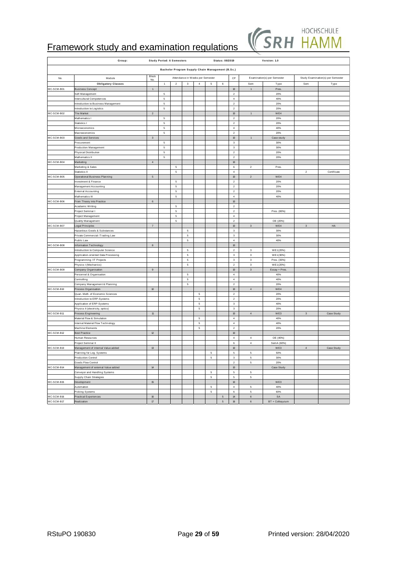

|                          | Group:                                                  |                      |             | <b>Study Period: 6 Semesters</b> |             |                                  |                                                  | Status: 08/2019               |                                           |                            | Version: 1.0                |                           |                                   |
|--------------------------|---------------------------------------------------------|----------------------|-------------|----------------------------------|-------------|----------------------------------|--------------------------------------------------|-------------------------------|-------------------------------------------|----------------------------|-----------------------------|---------------------------|-----------------------------------|
|                          |                                                         |                      |             |                                  |             |                                  |                                                  |                               |                                           |                            |                             |                           |                                   |
|                          |                                                         | Block                |             |                                  |             |                                  | Bachelor Program Supply Chain Management (B.Sc.) |                               |                                           |                            |                             |                           |                                   |
| No.                      | Module                                                  | No.                  |             |                                  |             | Attendance in Weeks per Semester |                                                  |                               | CP                                        |                            | Examination(s) per Semester |                           | Study Examination(s) per Semester |
| MC-SCM-B01               | <b>Obligatory Classes</b>                               | $\mathbf{1}$         | 1           | $\overline{2}$                   | 3           | $\overline{4}$                   | 5                                                | 6                             | $10\,$                                    | Sem<br>$\overline{1}$      | Type                        | Sem                       | Type                              |
|                          | <b>Business Concept</b><br>Self-Management              |                      | 5           |                                  |             |                                  |                                                  |                               | $\overline{2}$                            |                            | Pres.<br>20%                |                           |                                   |
|                          | Intercultural Competences                               |                      | 5           |                                  |             |                                  |                                                  |                               | $\overline{4}$                            |                            | 40%                         |                           |                                   |
|                          | Introduction to Business Management                     |                      | $\,$ 5 $\,$ |                                  |             |                                  |                                                  |                               | $\mathbf{2}$                              |                            | 20%                         |                           |                                   |
|                          | Introduction to Logistics                               |                      | $\,$ 5 $\,$ |                                  |             |                                  |                                                  |                               | $\overline{2}$                            |                            | 20%                         |                           |                                   |
| MC-SCM-B02               | The Market                                              | $\sqrt{2}$           |             |                                  |             |                                  |                                                  |                               | $10\,$                                    | $\mathbf 1$                | WE4                         |                           |                                   |
|                          | Mathematics I                                           |                      | 5           |                                  |             |                                  |                                                  |                               | $\mathbf 2$                               |                            | 20%                         |                           |                                   |
|                          | Statistics I                                            |                      | 5           |                                  |             |                                  |                                                  |                               | $\overline{2}$                            |                            | 20%                         |                           |                                   |
|                          | Microeconomics<br>Macroeconomics                        |                      | 5<br>5      |                                  |             |                                  |                                                  |                               | $\overline{4}$<br>$\overline{z}$          |                            | 40%<br>20%                  |                           |                                   |
| MC-SCM-B03               | Goods and Services                                      | $\mathbf{3}$         |             |                                  |             |                                  |                                                  |                               | 10                                        | $\mathbf{1}$               | Case study                  |                           |                                   |
|                          | Procurement                                             |                      | $\,$ 5 $\,$ |                                  |             |                                  |                                                  |                               | $\mathbf 3$                               |                            | 30%                         |                           |                                   |
|                          | Production Management                                   |                      | 5           |                                  |             |                                  |                                                  |                               | $\mathbf 3$                               |                            | 30%                         |                           |                                   |
|                          | Physical Distribution                                   |                      | $\,$ 5 $\,$ |                                  |             |                                  |                                                  |                               | $\sqrt{2}$                                |                            | 20%                         |                           |                                   |
|                          | Mathematics II                                          |                      | 5           |                                  |             |                                  |                                                  |                               | $\mathbf{2}$                              |                            | 20%                         |                           |                                   |
| MC-SCM-B04               | Marketing                                               | $\sqrt{4}$           |             |                                  |             |                                  |                                                  |                               | $10\,$                                    |                            |                             |                           |                                   |
|                          | Marketing & Sales                                       |                      |             | $\mathbf 5$                      |             |                                  |                                                  |                               | 6                                         | $\boldsymbol{2}$           | Pres.                       |                           |                                   |
|                          | Statistics II                                           | $\mathbf 5$          |             | 5                                |             |                                  |                                                  |                               | $\overline{4}$<br>10                      | $\sqrt{2}$                 | WE4                         | $\boldsymbol{2}$          | Certificate                       |
| MC-SCM-B05               | Operational Business Planning<br>Investment & Finance   |                      |             | $\,$ 5 $\,$                      |             |                                  |                                                  |                               | $\overline{2}$                            |                            | 20%                         |                           |                                   |
|                          | Management Accounting                                   |                      |             | $\,$ 5 $\,$                      |             |                                  |                                                  |                               | $\mathbf{2}$                              |                            | 20%                         |                           |                                   |
|                          | External Accounting                                     |                      |             | $\,$ 5                           |             |                                  |                                                  |                               | $\mathbf{2}$                              |                            | 20%                         |                           |                                   |
|                          | Mathematics III                                         |                      |             | $\,$ 5 $\,$                      |             |                                  |                                                  |                               | $\sqrt{4}$                                |                            | 40%                         |                           |                                   |
| MC-SCM-B06               | From Theory into Practice                               | $\mathbf 6$          |             |                                  |             |                                  |                                                  |                               | $10\,$                                    |                            |                             |                           |                                   |
|                          | Acadamic Writing                                        |                      |             | $\,$ 5 $\,$                      |             |                                  |                                                  |                               | $\overline{2}$                            |                            |                             |                           |                                   |
|                          | Project Seminar I                                       |                      |             | 5                                |             |                                  |                                                  |                               | $\boldsymbol{2}$                          |                            | Pres. (80%)                 |                           |                                   |
|                          | Project Management                                      |                      |             | $\mathbf 5$                      |             |                                  |                                                  |                               | $\overline{4}$<br>$\overline{\mathbf{2}}$ |                            |                             |                           |                                   |
| MC-SCM-B07               | Quality Management<br>Legal Principles                  | $\scriptstyle\rm 7$  |             | $\,$ 5 $\,$                      |             |                                  |                                                  |                               | $10\,$                                    | $\ensuremath{\mathsf{3}}$  | OE (20%)<br>WE4             | $\mathbf{3}$              | ${\sf HA}$                        |
|                          | Hazardous Goods & Substances                            |                      |             |                                  | 5           |                                  |                                                  |                               | $\mathbf 3$                               |                            | 30%                         |                           |                                   |
|                          | Private Commercial / Trading Law                        |                      |             |                                  | ${\bf 5}$   |                                  |                                                  |                               | $\ensuremath{\mathsf{3}}$                 |                            | 30%                         |                           |                                   |
|                          | Public Law                                              |                      |             |                                  | $\mathbf 5$ |                                  |                                                  |                               | $\sqrt{4}$                                |                            | 40%                         |                           |                                   |
| MC-SCM-B08               | Information Technology                                  | $\bf8$               |             |                                  |             |                                  |                                                  |                               | $10\,$                                    |                            |                             |                           |                                   |
|                          | Introduction to Computer Science                        |                      |             |                                  | 5           |                                  |                                                  |                               | $\overline{\mathbf{2}}$                   | $^{\rm 3}$                 | WE1(20%)                    |                           |                                   |
|                          | Application-oriented Data Processing                    |                      |             |                                  | 5           |                                  |                                                  |                               | $\ensuremath{\mathsf{3}}$                 | 3                          | WE1(30%)                    |                           |                                   |
|                          | Programming / IT Projects<br>Physics I (Mechanics)      |                      |             |                                  | 5<br>5      |                                  |                                                  |                               | 3<br>$\mathbf{2}$                         | $^{\rm 3}$<br>$\mathsf 3$  | Pres. (30%)<br>WE1(20%)     |                           |                                   |
| MC-SCM-B09               | Company Organisation                                    | $\mathsf{9}$         |             |                                  |             |                                  |                                                  |                               | $10$                                      | $\ensuremath{\mathsf{3}}$  | Essay + Pres.               |                           |                                   |
|                          | Personnel & Organisation                                |                      |             |                                  | ${\bf 5}$   |                                  |                                                  |                               | $\sqrt{4}$                                |                            | 40%                         |                           |                                   |
|                          | Controlling                                             |                      |             |                                  | 5           |                                  |                                                  |                               | $\bf{4}$                                  |                            | 40%                         |                           |                                   |
|                          | Company Management & Planning                           |                      |             |                                  | 5           |                                  |                                                  |                               | $\overline{2}$                            |                            | 20%                         |                           |                                   |
| MC-SCM-B10               | Process Organisation                                    | $10\,$               |             |                                  |             |                                  |                                                  |                               | $10\,$                                    | $\sqrt{4}$                 | WE4                         |                           |                                   |
|                          | Quan. Meth. of Economic Sciences                        |                      |             |                                  |             | 5                                |                                                  |                               | $\overline{2}$                            |                            | 20%                         |                           |                                   |
|                          | Introduction to ERP-Systems                             |                      |             |                                  |             | $\sqrt{5}$                       |                                                  |                               | $\sqrt{2}$                                |                            | 20%                         |                           |                                   |
|                          | Application of ERP-Systems                              |                      |             |                                  |             | $\,$ 5<br>$\,$ 5                 |                                                  |                               | 3<br>$\mathbf 3$                          |                            | 40%<br>20%                  |                           |                                   |
| MC-SCM-B11               | Physics II (electricity, optics)<br>Process Engineering | ${\mathbf 11}$       |             |                                  |             |                                  |                                                  |                               | 10 <sub>10</sub>                          | $\sqrt{4}$                 | WE3                         | $\ensuremath{\mathsf{3}}$ | Case Study                        |
|                          | Material Flow & Simulation                              |                      |             |                                  |             | $\,$ 5 $\,$                      |                                                  |                               | $\sqrt{4}$                                |                            | 40%                         |                           |                                   |
|                          | Internal Material Flow Technology                       |                      |             |                                  |             | $\mathsf s$                      |                                                  |                               | $\bf{4}$                                  |                            | 40%                         |                           |                                   |
|                          | Machine Elements                                        |                      |             |                                  |             | $\sqrt{5}$                       |                                                  |                               | $\overline{\mathbf{2}}$                   |                            | 20%                         |                           |                                   |
| MC-SCM-B12               | Best Practice                                           | $\mathbf{12}$        |             |                                  |             |                                  |                                                  |                               | $10\,$                                    |                            |                             |                           |                                   |
|                          | Human Resources                                         |                      |             |                                  |             |                                  |                                                  |                               | $\sqrt{4}$                                | $\sqrt{4}$                 | OE (40%)                    |                           |                                   |
|                          | Project Seminar II                                      |                      |             |                                  |             |                                  |                                                  |                               | $\,$ 6                                    | $\,$ 4 $\,$                | SemA (60%)                  |                           |                                   |
| MC-SCM-B13               | Management of internal Value added                      | $\mathbf{13}$        |             |                                  |             |                                  |                                                  |                               | $10\,$                                    |                            | WE3                         | $\sqrt{4}$                | Case Study                        |
|                          | Planning for Log. Systems<br>Production Control         |                      |             |                                  |             |                                  | $\,$ 5 $\,$<br>5                                 |                               | 5<br>$\mathbf 3$                          | $\,$ 5 $\,$<br>5           | 50%<br>30%                  |                           |                                   |
|                          | Goods Flow Control                                      |                      |             |                                  |             |                                  |                                                  |                               | $\mathbf{2}$                              | $\,$ 5 $\,$                | 20%                         |                           |                                   |
| MC-SCM-B14               | Management of external Value added                      | $14\,$               |             |                                  |             |                                  |                                                  |                               | $10\,$                                    |                            | Case Study                  |                           |                                   |
|                          | Conveyor and Handling Systems                           |                      |             |                                  |             |                                  | 5                                                |                               | 5                                         | 5                          |                             |                           |                                   |
|                          | Supply Chain Strategies                                 |                      |             |                                  |             |                                  | $\sqrt{5}$                                       |                               | 5                                         | 5                          |                             |                           |                                   |
| MC-SCM-B15               | Development                                             | ${\bf 15}$           |             |                                  |             |                                  |                                                  |                               | 10                                        |                            | WE3                         |                           |                                   |
|                          | Automation                                              |                      |             |                                  |             |                                  | $\,$ 5 $\,$                                      |                               | $\overline{4}$                            | $\,$ 5                     | 40%                         |                           |                                   |
|                          | Picking Systems                                         |                      |             |                                  |             |                                  | $\,$ 5 $\,$                                      |                               | 6                                         | $\,$ 5 $\,$                | 60%                         |                           |                                   |
| MC-SCM-B16<br>MC-SCM-B17 | <b>Practical Experiences</b><br>Realization             | $16\,$<br>$\sqrt{n}$ |             |                                  |             |                                  |                                                  | $\mathbf 5$<br>$\overline{5}$ | $14\,$<br>16                              | $\mathbf 6$<br>$\mathbf 6$ | SA<br>BT + Colloquium       |                           |                                   |
|                          |                                                         |                      |             |                                  |             |                                  |                                                  |                               |                                           |                            |                             |                           |                                   |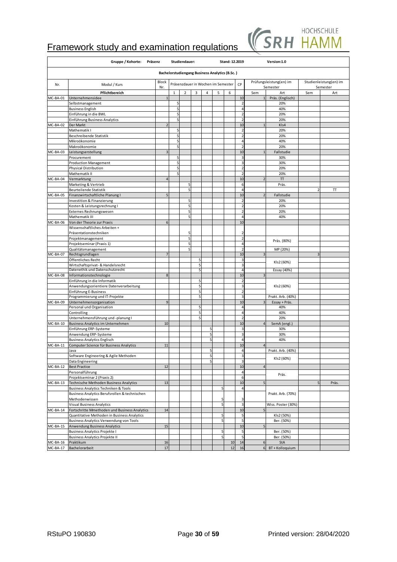

|                        | Gruppe / Kohorte: Präsenz                                                      |                |              | Studiendauer:  |        |   |                                                       | Stand: 12.2019 |                                  |                          | Version:1.0                                      |     |                                    |
|------------------------|--------------------------------------------------------------------------------|----------------|--------------|----------------|--------|---|-------------------------------------------------------|----------------|----------------------------------|--------------------------|--------------------------------------------------|-----|------------------------------------|
|                        |                                                                                |                |              |                |        |   | <b>Bachelorstudiengang Business Analytics (B.Sc.)</b> |                |                                  |                          |                                                  |     |                                    |
| Nr.                    | Modul / Kurs                                                                   | Block<br>Nr.   |              |                |        |   | Präsenzdauer in Wochen im Semester                    |                | CP                               |                          | Prüfungsleistung(en) im<br>Semester              |     | Studienleistung(en) im<br>Semester |
|                        | Pflichtbereich                                                                 |                | $\mathbf{1}$ | $\overline{2}$ | 3      | 4 | 5                                                     | 6              |                                  | Sem                      | Art                                              | Sem | Art                                |
| MC-BA-01               | Unternehmensidee                                                               | $\mathbf{1}$   |              |                |        |   |                                                       |                | 10                               | $\overline{1}$           | Präs. (Englisch)                                 |     |                                    |
|                        | Selbstmanagement                                                               |                | 5            |                |        |   |                                                       |                | $\overline{2}$                   |                          | 20%                                              |     |                                    |
|                        | <b>Business English</b>                                                        |                | 5            |                |        |   |                                                       |                | $\overline{4}$                   |                          | 40%                                              |     |                                    |
|                        | Einführung in die BWL                                                          |                | 5            |                |        |   |                                                       |                | $\overline{2}$                   |                          | 20%                                              |     |                                    |
| MC-BA-02               | Einführung Business Analytics<br>Der Markt                                     |                | 5            |                |        |   |                                                       |                | $\overline{2}$<br>10             |                          | 20%<br>Kls4                                      |     |                                    |
|                        | Mathematik I                                                                   |                | 5            |                |        |   |                                                       |                | $\overline{2}$                   |                          | 20%                                              |     |                                    |
|                        | Beschreibende Statistik                                                        |                | 5            |                |        |   |                                                       |                | $\overline{2}$                   |                          | 20%                                              |     |                                    |
|                        | Mikroökonomie                                                                  |                | 5            |                |        |   |                                                       |                | $\overline{4}$                   |                          | 40%                                              |     |                                    |
|                        | Makroökonomie                                                                  |                | 5            |                |        |   |                                                       |                | $\overline{2}$                   |                          | 20%                                              |     |                                    |
| MC-BA-03               | Leistungserstellung                                                            | 3              |              |                |        |   |                                                       |                | 10                               |                          | Fallstudie                                       |     |                                    |
|                        | Procurement                                                                    |                | 5            |                |        |   |                                                       |                | $\overline{3}$                   |                          | 30%                                              |     |                                    |
|                        | <b>Production Management</b>                                                   |                | 5            |                |        |   |                                                       |                | 3                                |                          | 30%                                              |     |                                    |
|                        | <b>Physical Distribution</b>                                                   |                | 5            |                |        |   |                                                       |                | $\overline{2}$                   |                          | 20%                                              |     |                                    |
|                        | Mathematik II                                                                  |                | 5            |                |        |   |                                                       |                | $\overline{2}$                   |                          | 20%                                              |     |                                    |
| MC-BA-04               | Vermarktung                                                                    | $\overline{a}$ |              |                |        |   |                                                       |                | 10                               | 7                        | $\ensuremath{\mathsf{T}}\ensuremath{\mathsf{T}}$ |     |                                    |
|                        | Marketing & Vertrieb<br><b>Beurteilende Statistik</b>                          |                |              | 5<br>5         |        |   |                                                       |                | 6<br>$\overline{4}$              |                          | Präs.                                            | 2   |                                    |
| MC-BA-05               | Finanzwirtschaftliche Planung I                                                | 5              |              |                |        |   |                                                       |                | 10                               | $\overline{\phantom{a}}$ | Fallstudie                                       |     | π                                  |
|                        | Investition & Finanzierung                                                     |                |              | 5              |        |   |                                                       |                | $\overline{2}$                   |                          | 20%                                              |     |                                    |
|                        | Kosten & Leistungsrechnung I                                                   |                |              | 5              |        |   |                                                       |                | $\overline{2}$                   |                          | 20%                                              |     |                                    |
|                        | Externes Rechnungswesen                                                        |                |              | 5              |        |   |                                                       |                | $\overline{2}$                   |                          | 20%                                              |     |                                    |
|                        | Mathematik III                                                                 |                |              | 5              |        |   |                                                       |                | $\overline{4}$                   |                          | 40%                                              |     |                                    |
| MC-BA-06               | Von der Theorie zur Praxis                                                     | 6              |              |                |        |   |                                                       |                | 10                               |                          |                                                  |     |                                    |
|                        | Wissenschaftliches Arbeiten +                                                  |                |              |                |        |   |                                                       |                |                                  |                          |                                                  |     |                                    |
|                        | Präsentationstechniken                                                         |                |              | 5              |        |   |                                                       |                | $\overline{2}$                   |                          |                                                  |     |                                    |
|                        | Projektmanagement                                                              |                |              | 5              |        |   |                                                       |                | $\overline{2}$                   |                          | Präs. (80%)                                      |     |                                    |
|                        | Projektseminar (Praxis 1)                                                      |                |              | 5              |        |   |                                                       |                | $\overline{4}$                   |                          |                                                  |     |                                    |
|                        | Qualitätsmanagement                                                            |                |              | 5              |        |   |                                                       |                | $\overline{2}$                   |                          | MP (20%)                                         |     |                                    |
| MC-BA-07               | Rechtsgrundlagen                                                               |                |              |                | 5      |   |                                                       |                | 10<br>$\overline{\mathbf{3}}$    | 3                        |                                                  | В   |                                    |
|                        | Öffentliches Recht<br>Wirtschaftsprivat- & Handelsrecht                        |                |              |                | Ę      |   |                                                       |                | $\overline{\mathbf{3}}$          |                          | KIs2 (60%)                                       |     |                                    |
|                        | Datenethik und Datenschutzrecht                                                |                |              |                | 5      |   |                                                       |                | $\overline{4}$                   |                          | Essay (40%)                                      |     |                                    |
| MC-BA-08               | Informationstechnologie                                                        | 8              |              |                |        |   |                                                       |                | 10                               |                          |                                                  |     |                                    |
|                        | Einführung in die Informatik                                                   |                |              |                | 5      |   |                                                       |                | $\overline{2}$                   |                          |                                                  |     |                                    |
|                        | Anwendungsorientiere Datenverarbeitung                                         |                |              |                | 5      |   |                                                       |                | $\overline{\mathbf{3}}$          |                          | KIs2 (60%)                                       |     |                                    |
|                        | Einführung E-Business                                                          |                |              |                | 5      |   |                                                       |                | $\overline{2}$                   |                          |                                                  |     |                                    |
|                        | Programmierung und IT-Projekte                                                 |                |              |                | 5      |   |                                                       |                | 3                                |                          | Prakt. Arb. (40%)                                |     |                                    |
| MC-BA-09               | Unternehmensorganisation                                                       | 9              |              |                |        |   |                                                       |                | 10                               |                          | Essay + Präs.                                    |     |                                    |
|                        | Personal und Organisation                                                      |                |              |                | 5      |   |                                                       |                | $\overline{4}$                   |                          | 40%                                              |     |                                    |
|                        | Controlling<br>Unternehmensführung und -planung I                              |                |              |                | 5<br>5 |   |                                                       |                | $\overline{4}$<br>$\overline{2}$ |                          | 40%<br>20%                                       |     |                                    |
| MC-BA-10               | Business Analytics im Unternehmen                                              | 10             |              |                |        |   |                                                       |                | 10                               |                          | SemA (engl.)                                     |     |                                    |
|                        | Einführung ERP-Systeme                                                         |                |              |                |        | 5 |                                                       |                | 3                                |                          | 30%                                              |     |                                    |
|                        | Anwendung ERP-Systeme                                                          |                |              |                |        | 5 |                                                       |                | $\overline{\mathbf{3}}$          |                          | 30%                                              |     |                                    |
|                        | <b>Business Analytics Englisch</b>                                             |                |              |                |        | 5 |                                                       |                | $\overline{4}$                   |                          | 40%                                              |     |                                    |
| MC-BA-11               | Computer Science für Business Analytics                                        | 11             |              |                |        |   |                                                       |                | 10                               | $\epsilon$               |                                                  |     |                                    |
|                        | Java                                                                           |                |              |                |        | 5 |                                                       |                | $\overline{4}$                   |                          | Prakt. Arb. (40%)                                |     |                                    |
|                        | Software Engineering & Agile Methoden                                          |                |              |                |        |   |                                                       |                |                                  |                          | KIs2 (60%)                                       |     |                                    |
|                        | Data Engineering                                                               |                |              |                |        | 5 |                                                       |                | $\overline{3}$                   |                          |                                                  |     |                                    |
| MC-BA-12               | <b>Best Practice</b>                                                           | 12             |              |                |        |   |                                                       |                | 10                               | $\overline{4}$           |                                                  |     |                                    |
|                        | Personalführung                                                                |                |              |                |        |   |                                                       |                | $\overline{a}$                   |                          | Präs.                                            |     |                                    |
|                        | Projektseminar 2 (Praxis 2)                                                    |                |              |                |        |   |                                                       |                | 6                                |                          |                                                  |     |                                    |
| MC-BA-13               | Technische Methoden Business Analytics<br>Business Analytics Techniken & Tools | 13             |              |                |        |   | 5                                                     |                | 10<br>$\overline{a}$             | 5                        |                                                  | 5   | Präs.                              |
|                        | Business Analytics Berufsrollen & technischen                                  |                |              |                |        |   |                                                       |                |                                  |                          | Prakt. Arb. (70%)                                |     |                                    |
|                        | Methodenwissen                                                                 |                |              |                |        |   | 5                                                     |                | 3                                |                          |                                                  |     |                                    |
|                        | <b>Visual Business Analytics</b>                                               |                |              |                |        |   | 5                                                     |                | 3                                |                          | Wiss. Poster (30%)                               |     |                                    |
| MC-BA-14               | Fortschritte Mmethoden und Business Analytics                                  | 14             |              |                |        |   |                                                       |                | 10                               | 5                        |                                                  |     |                                    |
|                        | Quantitative Methoden in Business Analytics                                    |                |              |                |        |   | 5                                                     |                | 5                                |                          | KIs2 (50%)                                       |     |                                    |
|                        | Business Analytics Verwendung von Tools                                        |                |              |                |        |   | 5                                                     |                | 5                                |                          | Ber. (50%)                                       |     |                                    |
| MC-BA-15               | Anwendung Business Analytics                                                   | 15             |              |                |        |   |                                                       |                | 10                               | 5                        |                                                  |     |                                    |
|                        | <b>Business Analytics Projekte I</b>                                           |                |              |                |        |   | 5                                                     |                | 5 <sub>l</sub>                   |                          | Ber. (50%)                                       |     |                                    |
|                        | <b>Business Analytics Projekte II</b>                                          |                |              |                |        |   | 5                                                     |                | 5                                |                          | Ber. (50%)                                       |     |                                    |
| MC-BA-16<br>$MC-BA-17$ | Praktikum                                                                      | 16             |              |                |        |   |                                                       | 10             | 14                               | 6                        | StA                                              |     |                                    |
|                        | Bachelorarbeit                                                                 | 17             |              |                |        |   |                                                       | 12             | 16                               | 6                        | BT + Kolloquium                                  |     |                                    |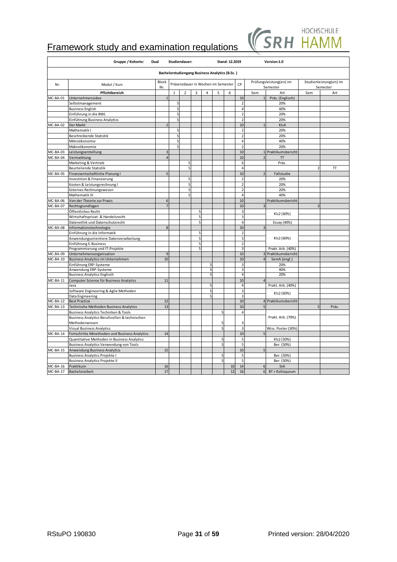

|            | Gruppe / Kohorte:                             | Dual                    |              | Studiendauer:  |   |                |                                                       | Stand: 12.2019 |                         |                | Version:1.0                         |                |                                    |
|------------|-----------------------------------------------|-------------------------|--------------|----------------|---|----------------|-------------------------------------------------------|----------------|-------------------------|----------------|-------------------------------------|----------------|------------------------------------|
|            |                                               |                         |              |                |   |                | <b>Bachelorstudiengang Business Analytics (B.Sc.)</b> |                |                         |                |                                     |                |                                    |
| Nr.        | Modul / Kurs                                  | Block<br>Nr.            |              |                |   |                | Präsenzdauer in Wochen im Semester                    |                | CP                      |                | Prüfungsleistung(en) im<br>Semester |                | Studienleistung(en) im<br>Semester |
|            | Pflichtbereich                                |                         | $\mathbf{1}$ | $\overline{2}$ | 3 | $\overline{4}$ | 5                                                     | 6              |                         | Sem            | Art                                 | Sem            | Art                                |
| MC-BA-01   | Unternehmensidee                              |                         |              |                |   |                |                                                       |                | 10                      | 1              | Präs. (Englisch)                    |                |                                    |
|            | Selbstmanagement                              |                         | 5            |                |   |                |                                                       |                | $\overline{2}$          |                | 20%                                 |                |                                    |
|            | <b>Business English</b>                       |                         | 5            |                |   |                |                                                       |                | $\overline{a}$          |                | 40%                                 |                |                                    |
|            | Einführung in die BWL                         |                         | 5            |                |   |                |                                                       |                | $\overline{2}$          |                | 20%                                 |                |                                    |
|            | Einführung Business Analytics                 |                         | 5            |                |   |                |                                                       |                | $\overline{2}$          |                | 20%                                 |                |                                    |
| MC-BA-02   | Der Markt                                     | $\overline{\mathbf{z}}$ |              |                |   |                |                                                       |                | 10                      |                | KI <sub>s4</sub>                    |                |                                    |
|            | Mathematik I                                  |                         | 5            |                |   |                |                                                       |                | $\overline{2}$          |                | 20%                                 |                |                                    |
|            | Beschreibende Statistik                       |                         | 5            |                |   |                |                                                       |                | $\overline{2}$          |                | 20%                                 |                |                                    |
|            | Mikroökonomie                                 |                         | 5            |                |   |                |                                                       |                | $\overline{4}$          |                | 40%                                 |                |                                    |
|            | Makroökonomie                                 |                         | 5            |                |   |                |                                                       |                | $\overline{2}$          |                | 20%                                 |                |                                    |
| MC-BA-03   | Leistungserstellung                           | 3                       |              |                |   |                |                                                       |                | 10                      |                | 1 Praktikumsbericht                 |                |                                    |
| MC-BA-04   | Vermarktung                                   | $\overline{a}$          |              |                |   |                |                                                       |                | 10                      | $\overline{z}$ | T                                   |                |                                    |
|            | Marketing & Vertrieb                          |                         |              | 5              |   |                |                                                       |                | 6                       |                | Präs                                |                |                                    |
|            | Beurteilende Statistik                        |                         |              | 5              |   |                |                                                       |                | $\overline{4}$          |                |                                     | $\overline{2}$ | TT                                 |
| MC-BA-05   | Finanzwirtschaftliche Planung I               | 5                       |              |                |   |                |                                                       |                | 10                      |                | Fallstudie                          |                |                                    |
|            | Investition & Finanzierung                    |                         |              | 5              |   |                |                                                       |                | $\overline{2}$          |                | 20%                                 |                |                                    |
|            | Kosten & Leistungsrechnung I                  |                         |              | 5              |   |                |                                                       |                | $\overline{2}$          |                | 20%                                 |                |                                    |
|            | Externes Rechnungswesen                       |                         |              | 5              |   |                |                                                       |                | $\overline{2}$          |                | 20%                                 |                |                                    |
|            | Mathematik III                                |                         |              | 5              |   |                |                                                       |                | $\overline{4}$          |                | 40%                                 |                |                                    |
| MC-BA-06   | Von der Theorie zur Praxis                    | 6                       |              |                |   |                |                                                       |                | 10                      |                | Praktikumsbericht                   |                |                                    |
| MC-BA-07   | Rechtsgrundlagen                              |                         |              |                |   |                |                                                       |                | 10                      | p              |                                     | $\mathbf{a}$   |                                    |
|            | Öffentliches Recht                            |                         |              |                | 5 |                |                                                       |                | $\overline{\mathbf{3}}$ |                |                                     |                |                                    |
|            | Wirtschaftsprivat- & Handelsrecht             |                         |              |                | 5 |                |                                                       |                | $\overline{\mathbf{3}}$ |                | KIs2 (60%)                          |                |                                    |
|            | Datenethik und Datenschutzrecht               |                         |              |                | 5 |                |                                                       |                | $\overline{4}$          |                | Essay (40%)                         |                |                                    |
| MC-BA-08   | Informationstechnologie                       | 8                       |              |                |   |                |                                                       |                | 10                      | 3              |                                     |                |                                    |
|            | Einführung in die Informatik                  |                         |              |                | 5 |                |                                                       |                | $\overline{2}$          |                |                                     |                |                                    |
|            | Anwendungsorientiere Datenverarbeitung        |                         |              |                | 5 |                |                                                       |                | 3                       |                | KIs2 (60%)                          |                |                                    |
|            | Einführung E-Business                         |                         |              |                |   |                |                                                       |                | $\overline{2}$          |                |                                     |                |                                    |
|            | Programmierung und IT-Projekte                |                         |              |                | 5 |                |                                                       |                | $\overline{\mathbf{3}}$ |                | Prakt. Arb. (40%)                   |                |                                    |
| MC-BA-09   | Unternehmensorganisation                      | 9                       |              |                |   |                |                                                       |                | 10                      |                | 3 Praktikumsbericht                 |                |                                    |
| MC-BA-10   | Business Analytics im Unternehmen             | 10                      |              |                |   |                |                                                       |                | 10                      | $\overline{4}$ | SemA (engl.)                        |                |                                    |
|            | Einführung ERP-Systeme                        |                         |              |                |   | 5              |                                                       |                | 3                       |                | 20%                                 |                |                                    |
|            | Anwendung ERP-Systeme                         |                         |              |                |   | 5              |                                                       |                | 3                       |                | 40%                                 |                |                                    |
|            | <b>Business Analytics Englisch</b>            |                         |              |                |   | 5              |                                                       |                | $\overline{4}$          |                | 20%                                 |                |                                    |
| MC-BA-11   | Computer Science für Business Analytics       | 11                      |              |                |   |                |                                                       |                | 10                      | $\overline{4}$ |                                     |                |                                    |
|            | Java                                          |                         |              |                |   | 5              |                                                       |                | $\overline{a}$          |                | Prakt. Arb. (40%)                   |                |                                    |
|            | Software Engineering & Agile Methoden         |                         |              |                |   | 5              |                                                       |                | $\overline{\mathbf{3}}$ |                | Kls2 (60%)                          |                |                                    |
|            | Data Engineering                              |                         |              |                |   | 5              |                                                       |                | $\overline{\mathbf{3}}$ |                |                                     |                |                                    |
| $MC-BA-12$ | <b>Best Practice</b>                          | 12                      |              |                |   |                |                                                       |                | 10                      |                | 4 Praktikumsbericht                 |                |                                    |
| MC-BA-13   | Technische Methoden Business Analytics        | 13                      |              |                |   |                |                                                       |                | 10                      | 5              |                                     | 5              | Präs.                              |
|            | Business Analytics Techniken & Tools          |                         |              |                |   |                | 5                                                     |                | $\overline{4}$          |                |                                     |                |                                    |
|            | Business Analytics Berufsrollen & technischen |                         |              |                |   |                |                                                       |                |                         |                | Prakt. Arb. (70%)                   |                |                                    |
|            | Methodenwissen                                |                         |              |                |   |                | 5                                                     |                | 3                       |                |                                     |                |                                    |
|            | <b>Visual Business Analytics</b>              |                         |              |                |   |                | 5                                                     |                | $\overline{\mathbf{3}}$ |                | Wiss. Poster (30%)                  |                |                                    |
| MC-BA-14   | Fortschritte Mmethoden und Business Analytics | 14                      |              |                |   |                |                                                       |                | 10                      | 5              |                                     |                |                                    |
|            | Quantitative Methoden in Business Analytics   |                         |              |                |   |                | 5                                                     |                | 5                       |                | KIs2 (50%)                          |                |                                    |
|            | Business Analytics Verwendung von Tools       |                         |              |                |   |                | 5                                                     |                | 5                       |                | Ber. (50%)                          |                |                                    |
| MC-BA-15   | Anwendung Business Analytics                  | 15                      |              |                |   |                |                                                       |                | 10                      |                |                                     |                |                                    |
|            | <b>Business Analytics Projekte I</b>          |                         |              |                |   |                | 5                                                     |                | 5 <sub>l</sub>          |                | Ber. (50%)                          |                |                                    |
|            | <b>Business Analytics Projekte II</b>         |                         |              |                |   |                | 5                                                     |                | 5                       |                | Ber. (50%)                          |                |                                    |
| MC-BA-16   | Praktikum                                     | 16                      |              |                |   |                |                                                       | 10             | 14                      | 6              | StA                                 |                |                                    |
| $MC-BA-17$ | Bachelorarbeit                                | 17                      |              |                |   |                |                                                       | 12             | 16                      | 6 <sup>1</sup> | BT + Kolloquium                     |                |                                    |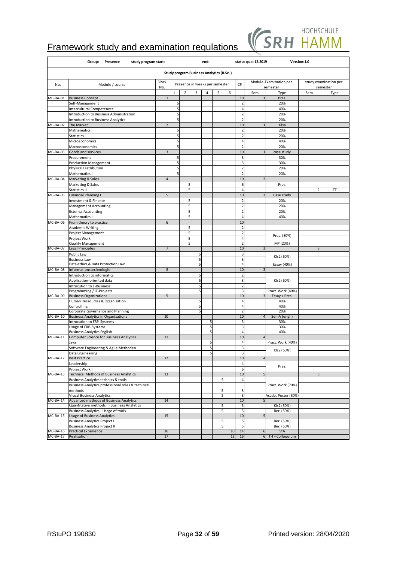

|          | Group:<br>Presence<br>study program start:                                        |                |         |                |        | end:           |                                                 |    |                                  | status quo: 12.2019 |                                    | Version:1.0    |                                   |
|----------|-----------------------------------------------------------------------------------|----------------|---------|----------------|--------|----------------|-------------------------------------------------|----|----------------------------------|---------------------|------------------------------------|----------------|-----------------------------------|
|          |                                                                                   |                |         |                |        |                | <b>Study program Business Analytics (B.Sc.)</b> |    |                                  |                     |                                    |                |                                   |
| No.      | Module / course                                                                   | Block<br>No.   |         |                |        |                | Presence in weeks per semester                  |    | CP                               |                     | Module-Examination per<br>semester |                | study examination per<br>semester |
|          |                                                                                   |                | $\,1\,$ | $\overline{2}$ | 3      | 4              | 5                                               | 6  |                                  | Sem                 | Type                               | Sem            | Type                              |
| MC-BA-01 | <b>Business Concept</b>                                                           | $\overline{1}$ |         |                |        |                |                                                 |    | 10                               |                     | Pres.                              |                |                                   |
|          | Self-Management                                                                   |                | 5<br>5  |                |        |                |                                                 |    | $\overline{2}$<br>$\overline{4}$ |                     | 20%<br>40%                         |                |                                   |
|          | <b>Intercultural Competences</b><br>Introduction to Business Administration       |                | 5       |                |        |                |                                                 |    | $\overline{2}$                   |                     | 20%                                |                |                                   |
|          | Introduction to Business Analytics                                                |                | 5       |                |        |                |                                                 |    | $\overline{2}$                   |                     | 20%                                |                |                                   |
| MC-BA-02 | The Market                                                                        |                |         |                |        |                |                                                 |    | 10                               |                     | KI <sub>s4</sub>                   |                |                                   |
|          | Mathematics I                                                                     |                | 5       |                |        |                |                                                 |    | $\overline{2}$                   |                     | 20%                                |                |                                   |
|          | Statistics I                                                                      |                | 5       |                |        |                |                                                 |    | $\overline{2}$                   |                     | 20%                                |                |                                   |
|          | Microeconomics                                                                    |                | 5       |                |        |                |                                                 |    | $\overline{4}$                   |                     | 40%                                |                |                                   |
|          | Macroeconomics                                                                    |                | 5       |                |        |                |                                                 |    | $\overline{2}$                   |                     | 20%                                |                |                                   |
| MC-BA-03 | Goods and services                                                                |                |         |                |        |                |                                                 |    | 10                               |                     | case study                         |                |                                   |
|          | Procurement                                                                       |                | 5       |                |        |                |                                                 |    | 3                                |                     | 30%                                |                |                                   |
|          | <b>Production Management</b>                                                      |                | 5<br>5  |                |        |                |                                                 |    | 3                                |                     | 30%                                |                |                                   |
|          | <b>Physical Distribution</b><br>Mathematics II                                    |                | 5       |                |        |                |                                                 |    | $\overline{2}$<br>$\overline{2}$ |                     | 20%<br>20%                         |                |                                   |
| MC-BA-04 | Marketing & Sales                                                                 |                |         |                |        |                |                                                 |    | 10                               | $\overline{z}$      |                                    |                |                                   |
|          | Marketing & Sales                                                                 |                |         | 5              |        |                |                                                 |    | 6                                |                     | Pres.                              |                |                                   |
|          | Statistics II                                                                     |                |         | 5              |        |                |                                                 |    | 4                                |                     |                                    | $\overline{2}$ | π                                 |
| MC-BA-05 | <b>Financial Planning I</b>                                                       | 5              |         |                |        |                |                                                 |    | 10                               | $\overline{z}$      | Case study                         |                |                                   |
|          | Investment & Finance                                                              |                |         | 5              |        |                |                                                 |    | $\overline{2}$                   |                     | 20%                                |                |                                   |
|          | Management Accounting                                                             |                |         | 5              |        |                |                                                 |    | $\overline{2}$                   |                     | 20%                                |                |                                   |
|          | <b>External Accounting</b>                                                        |                |         | 5              |        |                |                                                 |    | $\overline{2}$                   |                     | 20%                                |                |                                   |
|          | Mathematics III                                                                   |                |         | 5              |        |                |                                                 |    | $\overline{4}$                   |                     | 40%                                |                |                                   |
| MC-BA-06 | From theory to practice                                                           | 6              |         |                |        |                |                                                 |    | 10<br>$\overline{z}$             |                     |                                    |                |                                   |
|          | <b>Academic Writing</b>                                                           |                |         | 5<br>5         |        |                |                                                 |    | $\overline{a}$                   |                     |                                    |                |                                   |
|          | Project Management<br>Project Work                                                |                |         | 5              |        |                |                                                 |    | $\overline{4}$                   |                     | Pres. (80%)                        |                |                                   |
|          | Quality Management                                                                |                |         | 5              |        |                |                                                 |    |                                  |                     | MP (20%)                           |                |                                   |
| MC-BA-07 | Legal Principles                                                                  |                |         |                |        |                |                                                 |    | 10                               | 3                   |                                    | 3              |                                   |
|          | Public Law                                                                        |                |         |                | 5      |                |                                                 |    | 3                                |                     | KIs2 (60%)                         |                |                                   |
|          | <b>Business Law</b>                                                               |                |         |                | 5      |                |                                                 |    | 3                                |                     |                                    |                |                                   |
|          | Data ethics & Data Protection Law                                                 |                |         |                | 5      |                |                                                 |    | $\overline{4}$                   |                     | Essay (40%)                        |                |                                   |
| MC-BA-08 | Informationstechnologie                                                           | 8              |         |                |        |                |                                                 |    | 10<br>$\overline{\mathbf{z}}$    | 3                   |                                    |                |                                   |
|          | Introduction to informatics<br>Application-oriented data                          |                |         |                | 5<br>5 |                |                                                 |    | 3                                |                     | KIs2 (60%)                         |                |                                   |
|          | Introcution to E-Business                                                         |                |         |                | 5      |                |                                                 |    | $\overline{2}$                   |                     |                                    |                |                                   |
|          | Programming / IT-Projects                                                         |                |         |                | 5      |                |                                                 |    | 3                                |                     | Pract. Work (40%)                  |                |                                   |
| MC-BA-09 | <b>Business Organizations</b>                                                     | 9              |         |                |        |                |                                                 |    | 10                               | В                   | Essay + Pres.                      |                |                                   |
|          | Human Ressources & Organization                                                   |                |         |                | 5      |                |                                                 |    | 4                                |                     | 40%                                |                |                                   |
|          | Controlling                                                                       |                |         |                | 5      |                |                                                 |    | $\overline{4}$                   |                     | 40%                                |                |                                   |
| MC-BA-10 | Corporate Governance and Planning<br><b>Business Analytics in Organizations</b>   | 10             |         |                | 5      |                |                                                 |    | 10                               | $\overline{4}$      | 20%                                |                |                                   |
|          | Introcution to ERP-Systems                                                        |                |         |                |        | 5              |                                                 |    | 3                                |                     | SemA (engl.)<br>30%                |                |                                   |
|          | Usage of ERP-Systems                                                              |                |         |                |        | 5              |                                                 |    | 3                                |                     | 30%                                |                |                                   |
|          | <b>Business Analytics English</b>                                                 |                |         |                |        | 5              |                                                 |    | 4                                |                     | 40%                                |                |                                   |
| MC-BA-11 | <b>Computer Science for Business Analytics</b>                                    | 11             |         |                |        |                |                                                 |    | 10                               | $\overline{4}$      |                                    |                |                                   |
|          | Java                                                                              |                |         |                |        | 5              |                                                 |    | $\overline{a}$                   |                     | Pract. Work (40%)                  |                |                                   |
|          | Software Engineering & Agile Methoden                                             |                |         |                |        | 5              |                                                 |    | $\overline{\mathbf{3}}$          |                     | KIs2 (60%)                         |                |                                   |
| MC-BA-12 | Data Engineering<br><b>Best Practice</b>                                          | 12             |         |                |        | 5 <sub>l</sub> |                                                 |    | $\overline{\mathbf{3}}$<br>10    | $\overline{4}$      |                                    |                |                                   |
|          | Leadership                                                                        |                |         |                |        |                |                                                 |    | $\overline{4}$                   |                     |                                    |                |                                   |
|          | Project Work II                                                                   |                |         |                |        |                |                                                 |    | 6                                |                     | Pres.                              |                |                                   |
| MC-BA-13 | <b>Technical Methods of Business Analytics</b>                                    | 13             |         |                |        |                |                                                 |    | 10                               | 5                   |                                    | 5              |                                   |
|          | Business Analytics technics & tools                                               |                |         |                |        |                | 5                                               |    | $\overline{4}$                   |                     |                                    |                |                                   |
|          | Business Analytics professional roles & techincal<br>methods                      |                |         |                |        |                | 5                                               |    | 3                                |                     | Pract. Work (70%)                  |                |                                   |
|          | Visual Business Analytics                                                         |                |         |                |        |                | 5                                               |    | 3                                |                     | Acade. Poster (30%)                |                |                                   |
| MC-BA-14 | Advanced methods of Business Analytics                                            | 14             |         |                |        |                |                                                 |    | 10                               | 5                   |                                    |                |                                   |
|          | Quantitative methods in Business Analytics<br>Business Analytics - Usage of tools |                |         |                |        |                | 5<br>5                                          |    | 5<br>5                           |                     | KIs2 (50%)<br>Ber. (50%)           |                |                                   |
| MC-BA-15 | <b>Usage of Business Analytics</b>                                                | 15             |         |                |        |                |                                                 |    | 10                               | 5                   |                                    |                |                                   |
|          | <b>Business Analytics Project I</b>                                               |                |         |                |        |                | 5                                               |    | 5                                |                     | Ber. (50%)                         |                |                                   |
|          | <b>Business Analytics Project II</b>                                              |                |         |                |        |                | 5                                               |    | 5                                |                     | Ber. (50%)                         |                |                                   |
| MC-BA-16 | <b>Practical Experience</b>                                                       | 16             |         |                |        |                |                                                 | 10 | 14                               | 6                   | StA                                |                |                                   |
| MC-BA-17 | Realisation                                                                       | 17             |         |                |        |                |                                                 | 12 | 16                               | 6                   | TH + Colloquium                    |                |                                   |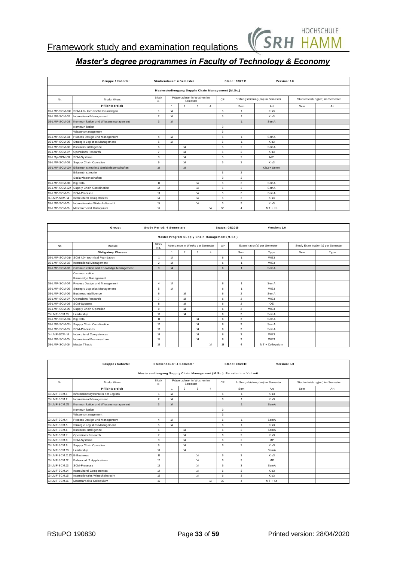

|                | Gruppe / Kohorte:                              |                     |    | Studiendauer: 4 Semester |                                       |                                                   |    | Stand: 08/2019 | Version: 1.0                     |     |                                 |
|----------------|------------------------------------------------|---------------------|----|--------------------------|---------------------------------------|---------------------------------------------------|----|----------------|----------------------------------|-----|---------------------------------|
|                |                                                |                     |    |                          |                                       | Masterstudiengang Supply Chain Management (M.Sc.) |    |                |                                  |     |                                 |
| Nr.            | Modul / Kurs                                   | <b>Block</b><br>Nr. |    |                          | Präsenzdauer in Wochen im<br>Semester |                                                   | CP |                | Prüfungsleistung(en) im Semester |     | Studienleistung(en) im Semester |
|                | Pflichtbereich                                 |                     | 1  | $\overline{2}$           | 3                                     | $\overline{4}$                                    |    | Sem            | Art                              | Sem | Art                             |
|                | 05-LMP-SCM-01n SCM 4.0 - technische Grundlagen |                     | 14 |                          |                                       |                                                   | 6  | 1              | Kls3                             |     |                                 |
| 05-LMP-SCM-02  | International Management                       | $\overline{2}$      | 14 |                          |                                       |                                                   | 6  | $\mathbf{1}$   | Kls3                             |     |                                 |
| 05-LMP-SCM-03  | Kommunikation und Wissensmanagement            | 3                   | 14 |                          |                                       |                                                   |    | $\overline{1}$ | SemA                             |     |                                 |
|                | Kommunikation                                  |                     |    |                          |                                       |                                                   | 3  |                |                                  |     |                                 |
|                | Wissensmanagement                              |                     |    |                          |                                       |                                                   | 3  |                |                                  |     |                                 |
| 05-LMP-SCM-04  | Process Design und Management                  | $\overline{4}$      | 14 |                          |                                       |                                                   | 6  | $\overline{1}$ | SemA                             |     |                                 |
| 05-LMP-SCM-05  | Strategic Logistics Management                 | 5                   | 14 |                          |                                       |                                                   | 6  | $\mathbf{1}$   | KIs3                             |     |                                 |
| 05-LMP-SCM-06  | <b>Business Intelligence</b>                   | 6                   |    | 14                       |                                       |                                                   | 6  | $\overline{2}$ | SemA                             |     |                                 |
| 05-LMP-SCM-07  | <b>Operations Research</b>                     | $\overline{7}$      |    | 14                       |                                       |                                                   | 6  | $\overline{2}$ | KIs3                             |     |                                 |
| 05-LMp-SCM-08  | SCM-Systeme                                    | 8                   |    | 14                       |                                       |                                                   | 6  | $\overline{2}$ | <b>MP</b>                        |     |                                 |
| 05-LMP-SCM-09  | Supply Chain Operation                         | 9                   |    | 14                       |                                       |                                                   | 6  | $\overline{2}$ | KIs3                             |     |                                 |
| 05-LMP-SCM-10n | Erkenntnistheorie & Sozialwissenschaften       | 10                  |    | 14                       |                                       |                                                   |    |                | KIs2 + SemA                      |     |                                 |
|                | Erkenntnistheorie                              |                     |    |                          |                                       |                                                   | 3  | $\overline{2}$ |                                  |     |                                 |
|                | Sozialwissenschaften                           |                     |    |                          |                                       |                                                   | 3  | $\overline{2}$ |                                  |     |                                 |
| 05-LMP-SCM-11n | <b>Big Data</b>                                | 11                  |    |                          | 14                                    |                                                   | 6  | 3              | SemA                             |     |                                 |
|                | 05-LMP-SCM-12n Supply Chain Coordination       | 12                  |    |                          | 14                                    |                                                   | 6  | 3              | SemA                             |     |                                 |
| 05-LMP-SCM-13  | SCM-Prozesse                                   | 13                  |    |                          | 14                                    |                                                   | 6  | 3              | SemA                             |     |                                 |
| 14-LMP-SCM-14  | Intercultural Competences                      | 14                  |    |                          | 14                                    |                                                   | 6  | 3              | Kls3                             |     |                                 |
| 05-LMP-SCM-15  | Internationales Wirtschaftsrecht               | 15                  |    |                          | 14                                    |                                                   | 6  | 3              | KIs3                             |     |                                 |
| 05-LMP-SCM-16  | Masterarbeit & Kolloquium                      | 16                  |    |                          |                                       | 14                                                | 30 | 4              | $MT + Ko$                        |     |                                 |

|                | 05-LMP-SCM-16 Masterarbeit & Kolloquium       | 16                               |                |                |                                                | 14             | 30 | 4               | $MT + Ko$                   |     |                                   |
|----------------|-----------------------------------------------|----------------------------------|----------------|----------------|------------------------------------------------|----------------|----|-----------------|-----------------------------|-----|-----------------------------------|
|                |                                               |                                  |                |                |                                                |                |    |                 |                             |     |                                   |
|                |                                               |                                  |                |                |                                                |                |    |                 |                             |     |                                   |
|                | Group:                                        | <b>Study Period: 4 Semesters</b> |                |                |                                                |                |    | Status: 08/2019 | Version: 1.0                |     |                                   |
|                |                                               |                                  |                |                | Master Program Supply Chain Management (M.Sc.) |                |    |                 |                             |     |                                   |
| No.            | Module                                        | Block<br>No.                     |                |                | Attendance in Weeks per Semester               |                | CP |                 | Examination(s) per Semester |     | Study Examination(s) per Semester |
|                | <b>Obligatory Classes</b>                     |                                  | $\overline{1}$ | $\overline{2}$ | 3                                              | $\overline{4}$ |    | Sem             | Type                        | Sem | Type                              |
|                | 05-LMP-SCM-01n SCM 4.0 - technical Foundation | $\overline{1}$                   | 14             |                |                                                |                | 6  | $\mathbf{1}$    | WE3                         |     |                                   |
| 05-LMP-SCM-02  | International Management                      | $\overline{2}$                   | 14             |                |                                                |                | 6  | $\mathbf{1}$    | WE3                         |     |                                   |
| 05-LMP-SCM-03  | Communication and Knowledge Management        | 3                                | 14             |                |                                                |                | 6  | $\mathbf{1}$    | SemA                        |     |                                   |
|                | Communication                                 |                                  |                |                |                                                |                |    |                 |                             |     |                                   |
|                | Knowledge Management                          |                                  |                |                |                                                |                |    |                 |                             |     |                                   |
| 05-LMP-SCM-04  | Process Design und Management                 | $\overline{4}$                   | 14             |                |                                                |                | 6  | $\mathbf{1}$    | SemA                        |     |                                   |
| 05-LMP-SCM-05  | Strategic Logistics Management                | 5                                | 14             |                |                                                |                | 6  | $\mathbf{1}$    | WF3                         |     |                                   |
| 05-LMP-SCM-06  | <b>Business Intelligence</b>                  | 6                                |                | 14             |                                                |                | 6  | $\overline{2}$  | SemA                        |     |                                   |
| 05-LMP-SCM-07  | <b>Operations Research</b>                    | $\overline{7}$                   |                | 14             |                                                |                | 6  | $\overline{a}$  | WE3                         |     |                                   |
| 05-LMP-SCM-08  | SCM-Systems                                   | 8                                |                | 14             |                                                |                | 6  | $\overline{2}$  | OE                          |     |                                   |
| 05-LMP-SCM-09  | Supply Chain Operation                        | 9                                |                | 14             |                                                |                | 6  | $\overline{2}$  | WE3                         |     |                                   |
| 13-LMF-SCM.10  | Leadership                                    | 10 <sup>°</sup>                  |                | 14             |                                                |                | 6  | $\overline{2}$  | SemA                        |     |                                   |
| 05-LMP-SCM-11n | <b>Big Data</b>                               | 11                               |                |                | 14                                             |                | 6  | 3               | SemA                        |     |                                   |
|                | 05-LMP-SCM-12n Supply Chain Coordination      | 12                               |                |                | 14                                             |                | 6  | 3               | SemA                        |     |                                   |
| 05-LMP-SCM-13  | <b>SCM-Processes</b>                          | 13                               |                |                | 14                                             |                | 6  | 3               | SemA                        |     |                                   |
| 14-LMP-SCM-14  | Intercultural Competences                     | 14                               |                |                | 14                                             |                | 6  | 3               | WE3                         |     |                                   |
| 05-LMP-SCM-15  | International Business Law                    | 15                               |                |                | 14                                             |                | 6  | 3               | WE3                         |     |                                   |
| 05-LMP-SCM-16  | <b>Master Thesis</b>                          | 16                               |                |                |                                                | 14             | 18 | 4               | MT + Colloquium             |     |                                   |

| 05-LMP-SCM-16 Master Thesis |                                     | 16             |                          |                |                                       | 14             | 18 | $\overline{4}$                                                         | MT + Colloquium                  |     |                                 |
|-----------------------------|-------------------------------------|----------------|--------------------------|----------------|---------------------------------------|----------------|----|------------------------------------------------------------------------|----------------------------------|-----|---------------------------------|
|                             |                                     |                |                          |                |                                       |                |    |                                                                        |                                  |     |                                 |
|                             | Gruppe / Kohorte:                   |                | Studiendauer: 4 Semester |                |                                       |                |    | Stand: 08/2019                                                         | Version: 1.0                     |     |                                 |
|                             |                                     |                |                          |                |                                       |                |    | Masterstudiengang Supply Chain Management (M.Sc.) Fernstudium Vollzeit |                                  |     |                                 |
| Nr.                         | Modul / Kurs                        | Block<br>Nr.   |                          |                | Präsenzdauer in Wochen im<br>Semester |                | CP |                                                                        | Prüfungsleistung(en) im Semester |     | Studienleistung(en) im Semester |
|                             | Pflichtbereich                      |                | $\blacktriangleleft$     | $\overline{2}$ | 3                                     | $\overline{4}$ |    | Sem                                                                    | Art                              | Sem | Art                             |
| 13-LMF-SCM.1                | Informationssysteme in der Logistik | $\overline{1}$ | 14                       |                |                                       |                | 6  | $\mathbf{1}$                                                           | KIs3                             |     |                                 |
| 13-LMF-SCM.2                | International Management            | $\overline{2}$ | 14                       |                |                                       |                | 6  | $\mathbf{1}$                                                           | KIs3                             |     |                                 |
| 13-LMF-SCM.1/2              | Kommunikation und Wissensmanagement | 3              | 14                       |                |                                       |                |    | $\overline{1}$                                                         | SemA                             |     |                                 |
|                             | Kommunikation                       |                |                          |                |                                       |                | 3  |                                                                        |                                  |     |                                 |
|                             | Wissensmanagement                   |                |                          |                |                                       |                | 3  |                                                                        |                                  |     |                                 |
| 13-LMF-SCM.4                | Process Design und Management       | $\overline{4}$ | 14                       |                |                                       |                | 6  | $\mathbf{1}$                                                           | SemA                             |     |                                 |
| 13-LMF-SCM.5                | Strategic Logistics Management      | 5              | 14                       |                |                                       |                | 6  | $\mathbf{1}$                                                           | KIs3                             |     |                                 |
| 13-LMF-SCM.6                | <b>Business Intelligence</b>        | 6              |                          | 14             |                                       |                | 6  | $\overline{2}$                                                         | SemA                             |     |                                 |
| 13-LMF-SCM.7                | Operations Research                 | $\overline{7}$ |                          | 14             |                                       |                | 6  | $\overline{2}$                                                         | KIs3                             |     |                                 |
| 13-LMF-SCM.8                | SCM-Systeme                         | 8              |                          | 14             |                                       |                | 6  | $\overline{2}$                                                         | MP                               |     |                                 |
| 13-LMF-SCM.9                | Supply Chain Operation              | 9              |                          | 14             |                                       |                | 6  | $\overline{2}$                                                         | KIs3                             |     |                                 |
| 13-LMF-SCM.10               | Leadership                          | 10             |                          | 14             |                                       |                |    |                                                                        | SemA                             |     |                                 |
| 13-LMF-SCM.11.12 E-Business |                                     | 11             |                          |                | 14                                    |                | 6  | 3                                                                      | KIs3                             |     |                                 |
| 13-LMF-SCM.12               | Enhanced IT Applications            | $\mathfrak{p}$ |                          |                | 14                                    |                | 6  | 3                                                                      | MP                               |     |                                 |
| 13-LMF-SCM.13               | SCM-Prozesse                        | 13             |                          |                | 14                                    |                | 6  | 3                                                                      | SemA                             |     |                                 |
| 13-LMF-SCM.14               | <b>Intercultural Competences</b>    | 14             |                          |                | 14                                    |                | 6  | 3                                                                      | KIs3                             |     |                                 |
| 13-LMF-SCM.15               | Internationales Wirtschaftsrecht    | 15             |                          |                | 14                                    |                | 6  | 3                                                                      | KIs3                             |     |                                 |
| 13-LMF-SCM.16               | Masterarbeit & Kolloquium           | 16             |                          |                |                                       | 14             | 30 | $\overline{4}$                                                         | $MT + Ko$                        |     |                                 |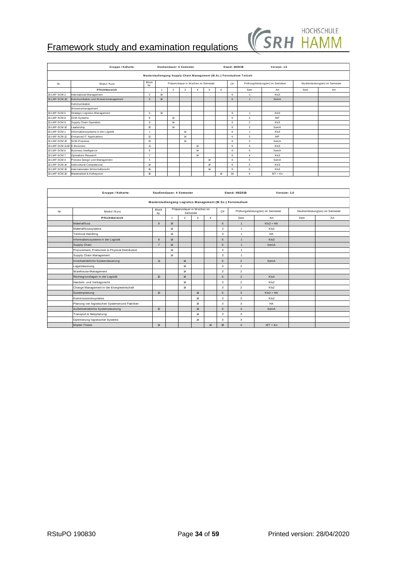

|                             | Framework study and examination regulations |                  |    |                |                          |                                    |    |    |                |                                                                        | <b>JNIT HAIVIIV</b>              |     |                                 |
|-----------------------------|---------------------------------------------|------------------|----|----------------|--------------------------|------------------------------------|----|----|----------------|------------------------------------------------------------------------|----------------------------------|-----|---------------------------------|
|                             |                                             |                  |    |                |                          |                                    |    |    |                |                                                                        |                                  |     |                                 |
|                             | Gruppe / Kohorte:                           |                  |    |                | Studiendauer: 6 Semester |                                    |    |    | Stand: 08/2019 |                                                                        | Version: 1.0                     |     |                                 |
|                             |                                             |                  |    |                |                          |                                    |    |    |                | Masterstudiengang Supply Chain Management (M.Sc.) Fernstudium Teilzeit |                                  |     |                                 |
| Nr.                         | Modul / Kurs                                | Block<br>Nr.     |    |                |                          | Präsenzdauer in Wochen im Semester |    |    | CP             |                                                                        | Prüfungsleistung(en) im Semetser |     | Studienleistung(en) im Semester |
|                             | Pflichtbereich                              |                  | -1 | $\overline{2}$ | 3                        | $\Delta$                           | 5  | 6  |                | Sem                                                                    | Art                              | Sem | Art                             |
| 13-LMF-SCM.2                | International Management                    | $\overline{2}$   | 14 |                |                          |                                    |    |    | 6              |                                                                        | KIs3                             |     |                                 |
| 13-LMF-SCM.1/2              | Kommunikation und Wissensmanagement         | 3                | 14 |                |                          |                                    |    |    | 6              |                                                                        | SemA                             |     |                                 |
|                             | Kommunikation                               |                  |    |                |                          |                                    |    |    |                |                                                                        |                                  |     |                                 |
|                             | Wissensmanagement                           |                  |    |                |                          |                                    |    |    |                |                                                                        |                                  |     |                                 |
| 13-LMF-SCM.5                | Strategic Logistics Management              | 5                | 14 |                |                          |                                    |    |    | 6              | $\overline{1}$                                                         | KIs3                             |     |                                 |
| 13-I ME-SCM 8               | SCM-Systeme                                 | 8                |    | 14             |                          |                                    |    |    | 6              | $\overline{2}$                                                         | MP                               |     |                                 |
| 13-LMF-SCM.9                | Supply Chain Operation                      | 9                |    | 14             |                          |                                    |    |    | 6              | $\overline{2}$                                                         | KIs3                             |     |                                 |
| 13-LMF-SCM.10               | Leadership                                  | 10 <sup>10</sup> |    | 14             |                          |                                    |    |    | 6              | $\overline{2}$                                                         | SemA                             |     |                                 |
| 13-LMF-SCM.1                | Informationssysteme in der Logistik         |                  |    |                | 14                       |                                    |    |    | 6              | $\mathbf{1}$                                                           | KIs3                             |     |                                 |
| 13-LMF-SCM.12               | <b>Enhanced IT Applications</b>             | 12               |    |                | 14                       |                                    |    |    | 6              | 3                                                                      | MP                               |     |                                 |
| 13-LMF-SCM.13               | SCM-Prozesse                                | 13               |    |                | 14                       |                                    |    |    | 6              | 3                                                                      | SemA                             |     |                                 |
| 13-LMF-SCM.11.12 E-Business |                                             | 11               |    |                |                          | 14                                 |    |    | 6              | 3                                                                      | KIs3                             |     |                                 |
| 13-LMF-SCM.6                | <b>Business Intelligence</b>                | 6                |    |                |                          | 14                                 |    |    | 6              | $\boldsymbol{4}$                                                       | SemA                             |     |                                 |
| 13-LMF-SCM.7                | Operations Research                         | $\overline{7}$   |    |                |                          | 14                                 |    |    | 6              | $\boldsymbol{4}$                                                       | KIs3                             |     |                                 |
| 13-LMF-SCM.4                | Process Design und Management               | $\overline{a}$   |    |                |                          |                                    | 14 |    | 6              | 5                                                                      | SemA                             |     |                                 |
| 13-LMF-SCM.14               | Intercultural Competences                   | 14               |    |                |                          |                                    | 14 |    | 6              | 5                                                                      | KIs3                             |     |                                 |
| 13-LMF-SCM.15               | Internationales Wirtschaftsrecht            | 15               |    |                |                          |                                    | 14 |    | 6              | 5                                                                      | KIs3                             |     |                                 |
| 13-LMF-SCM.16               | Masterarbeit & Kolloguium                   | 16               |    |                |                          |                                    |    | 14 | 30             | 6                                                                      | $MT + K0$                        |     |                                 |

| 13-LMF-SCM.16 | Masterarbeit & Kolloquium                       | 16 |                  |                      |                          |                                                            |                | 14 | 30             | 6              | $MT + Ko$                        |     |                                 |
|---------------|-------------------------------------------------|----|------------------|----------------------|--------------------------|------------------------------------------------------------|----------------|----|----------------|----------------|----------------------------------|-----|---------------------------------|
|               |                                                 |    |                  |                      |                          |                                                            |                |    |                |                |                                  |     |                                 |
|               |                                                 |    |                  |                      |                          |                                                            |                |    |                |                |                                  |     |                                 |
|               | Gruppe / Kohorte:                               |    |                  |                      | Studiendauer: 4 Semester |                                                            |                |    | Stand: 08/2019 |                | Version: 1.0                     |     |                                 |
|               |                                                 |    |                  |                      |                          | Masterstudiengang Logistics Management (M.Sc.) Fernstudium |                |    |                |                |                                  |     |                                 |
| Nr.           | Modul / Kurs                                    |    | Block<br>Nr.     |                      |                          | Präsenzdauer in Wochen im<br>Semester                      |                | CP |                |                | Prüfungsleistung(en) im Semester |     | Studienleistung(en) im Semester |
|               | Pflichtbereich                                  |    |                  | $\blacktriangleleft$ | $\overline{2}$           | 3                                                          | $\overline{4}$ |    |                | Sem            | Art                              | Sem | Art                             |
|               | Materialfluss                                   |    | $\mathbf{q}$     | 14                   |                          |                                                            |                | 6  |                | $\overline{1}$ | $Kls2 + HA$                      |     |                                 |
|               | Materialflusssysteme                            |    |                  | 14                   |                          |                                                            |                | 3  |                | $\mathbf{1}$   | KIs2                             |     |                                 |
|               | Terminal Handling                               |    |                  | 14                   |                          |                                                            |                | 3  |                | $\mathbf{1}$   | HA                               |     |                                 |
|               | Informationssysteme in der Logistik             |    | 8                | 14                   |                          |                                                            |                | 6  |                | 1              | KIs3                             |     |                                 |
|               | Supply Chain                                    |    | $\overline{7}$   | 14                   |                          |                                                            |                | 6  |                | $\mathbf{1}$   | SemA                             |     |                                 |
|               | Procurement, Production & Physical Distribution |    |                  | 14                   |                          |                                                            |                | 3  |                | $\mathbf{1}$   |                                  |     |                                 |
|               | Supply Chain Management                         |    |                  | 14                   |                          |                                                            |                | 3  |                | $\mathbf{1}$   |                                  |     |                                 |
|               | Innerbetriebliche Systemsteuerung               |    | 11               |                      | 14                       |                                                            |                | 6  |                | $\overline{2}$ | SemA                             |     |                                 |
|               | Lagersteuerung                                  |    |                  |                      | 14                       |                                                            |                | 3  |                | $\overline{2}$ |                                  |     |                                 |
|               | Warehouse-Management                            |    |                  |                      | 14                       |                                                            |                | 3  |                | $\overline{a}$ |                                  |     |                                 |
|               | Rechtsgrundlagen in der Logistik                |    | 10 <sup>10</sup> |                      | 14                       |                                                            |                | 6  |                | $\overline{2}$ | KIs4                             |     |                                 |
|               | Handels- und Vertragsrecht                      |    |                  |                      | 14                       |                                                            |                | 3  |                | $\overline{2}$ | KIs2                             |     |                                 |
|               | Change Management in der Energiewirtschaft      |    |                  |                      | 14                       |                                                            |                | 3  |                | $\overline{a}$ | KIs2                             |     |                                 |
|               | Systemplanung                                   |    | 13               |                      |                          | 14                                                         |                | 6  |                | 3              | $Kls2 + HA$                      |     |                                 |
|               | Kommissioniersysteme                            |    |                  |                      |                          | 14                                                         |                | 3  |                | 3              | KIs2                             |     |                                 |
|               | Planung von logistischen Systemenund Fabriken   |    |                  |                      |                          | 14                                                         |                | 3  |                | 3              | HA                               |     |                                 |
|               | Außerbetriebliche Systemsteuerung               |    | 12               |                      |                          | 14                                                         |                | 6  |                | 3              | SemA                             |     |                                 |
|               | Transport & Netzplanung                         |    |                  |                      |                          | 14                                                         |                | 3  |                | 3              |                                  |     |                                 |
|               | Optimierung logistischer Systeme                |    |                  |                      |                          | 14                                                         |                | 3  |                | 3              |                                  |     |                                 |
|               | Master-Thesis                                   |    | 14               |                      |                          |                                                            | 14             | 18 |                | $\overline{4}$ | $MT + Ko$                        |     |                                 |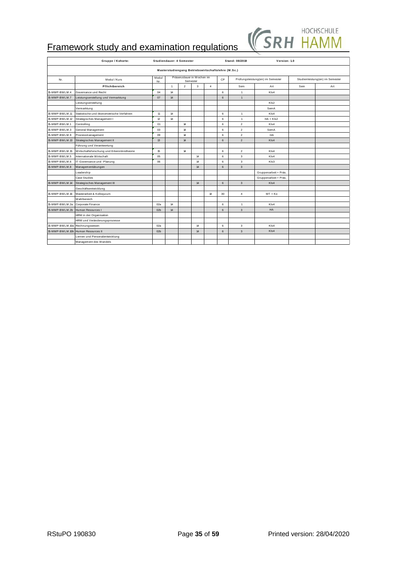|                 | <b>Framework study and examination regulations</b> |                  |                          |             |                                       |                                                    |    | W              | SKH                              |     |                                 |
|-----------------|----------------------------------------------------|------------------|--------------------------|-------------|---------------------------------------|----------------------------------------------------|----|----------------|----------------------------------|-----|---------------------------------|
|                 |                                                    |                  |                          |             |                                       |                                                    |    |                |                                  |     |                                 |
|                 | Gruppe / Kohorte:                                  |                  | Studiendauer: 4 Semester |             |                                       |                                                    |    | Stand: 08/2019 | Version: 1.0                     |     |                                 |
|                 |                                                    |                  |                          |             |                                       | Masterstudiengang Betriebswirtschaftslehre (M.Sc.) |    |                |                                  |     |                                 |
| Nr.             | Modul / Kurs                                       | Modul<br>Nr.     |                          |             | Präsenzdauer in Wochen im<br>Semester |                                                    | CP |                | Prüfungsleistung(en) im Semester |     | Studienleistung(en) im Semester |
|                 | Pflichtbereich                                     |                  | $\overline{1}$           | $\mathbf 2$ | 3                                     | $\overline{4}$                                     |    | Sem            | Art                              | Sem | Art                             |
| 15-MMP-BWLM.4   | Governance und Recht                               | 04               | 14                       |             |                                       |                                                    | 6  | 1              | KIs4                             |     |                                 |
| 15-MMP-BWLM.7   | Leistungserstellung und Vermarktung                | 07               | 14                       |             |                                       |                                                    | 6  | $\mathbf{1}$   |                                  |     |                                 |
|                 | Leistungserstellung                                |                  |                          |             |                                       |                                                    |    |                | KIs2                             |     |                                 |
|                 | Vermarktung                                        |                  |                          |             |                                       |                                                    |    |                | SemA                             |     |                                 |
| 15-MMP-BWLM.11  | Statistische und ökonometrische Verfahren          | 11               | 14                       |             |                                       |                                                    | 6  | $\mathbf{1}$   | KIs4                             |     |                                 |
| 15-MMP-BWLM.12  | Strategisches Management I                         | 12               | 14                       |             |                                       |                                                    | 6  | $\mathbf{1}$   | $HA + Kls2$                      |     |                                 |
| 15-MMP-BWLM.1   | Controlling                                        | 01               |                          | 14          |                                       |                                                    | 6  | $\overline{2}$ | KI <sub>s4</sub>                 |     |                                 |
| 15-MMP-BWLM.3   | General Management                                 | 0.3 <sup>2</sup> |                          | 14          |                                       |                                                    | 6  | $\overline{2}$ | SemA                             |     |                                 |
| 15-MMP-BWLM.9   | Prozessmanagement                                  | 09               |                          | 14          |                                       |                                                    | 6  | $\overline{2}$ | HA                               |     |                                 |
| 15-MMP-BWLM.13  | Strategisches Management II                        | 13               |                          | 14          |                                       |                                                    | 6  | $\overline{2}$ | KIs4                             |     |                                 |
|                 | Führung und Verantwortung                          |                  |                          |             |                                       |                                                    |    |                |                                  |     |                                 |
| 15-MMP-BWLM.15  | Wirtschaftsforschung und Erkenntnistheorie         | 15               |                          | 14          |                                       |                                                    | 6  | $\overline{2}$ | KIs4                             |     |                                 |
| 15-MMP-BWLM.5   | Internationale Wirtschaft                          | 05               |                          |             | 14                                    |                                                    | 6  | 3              | KIs4                             |     |                                 |
| 15-MMP-BWLM.6   | IT-Governance und -Planung                         | 06               |                          |             | 14                                    |                                                    | 6  | 3              | KIs3                             |     |                                 |
| 15-MMP-BWLM.8   | Managementübungen                                  |                  |                          |             | 14                                    |                                                    | 6  | 3              |                                  |     |                                 |
|                 | Leadership                                         |                  |                          |             |                                       |                                                    |    |                | Gruppenarbeit + Präs.            |     |                                 |
|                 | <b>Case Studies</b>                                |                  |                          |             |                                       |                                                    |    |                | Gruppenarbeit + Präs.            |     |                                 |
| 15-MMP-BWLM.14  | Strategisches Management III                       |                  |                          |             | 14                                    |                                                    | 6  | 3              | Kls4                             |     |                                 |
|                 | Geschäftsentwicklung                               |                  |                          |             |                                       |                                                    |    |                |                                  |     |                                 |
| 15-MMP-BWLM.16  | Masterarbeit & Kolloquium                          |                  |                          |             |                                       | 14                                                 | 30 | 4              | MT + Ko                          |     |                                 |
|                 | Wahlbereich                                        |                  |                          |             |                                       |                                                    |    |                |                                  |     |                                 |
| 15-MMP-BWLM.2a  | Corporate Finance                                  | 02a              | 14                       |             |                                       |                                                    | 6  | $\mathbf{1}$   | KIs4                             |     |                                 |
| 15-MMP-BWLM.2b  | Human Resources I                                  | 02 <sub>b</sub>  | 14                       |             |                                       |                                                    | 6  | 3              | HA                               |     |                                 |
|                 | HRM in der Organisation                            |                  |                          |             |                                       |                                                    |    |                |                                  |     |                                 |
|                 | HRM und Veränderungsprozesse                       |                  |                          |             |                                       |                                                    |    |                |                                  |     |                                 |
| 15-MMP-BWLM.10a | Rechnungswesen                                     | 02a              |                          |             | 14                                    |                                                    | 6  | 3              | KIs4                             |     |                                 |
| 15-MMP-BWLM.10b | Human Resources II                                 | 02 <sub>b</sub>  |                          |             | 14                                    |                                                    | 6  | 3              | KIs4                             |     |                                 |
|                 | Lernen und Personalentwicklung                     |                  |                          |             |                                       |                                                    |    |                |                                  |     |                                 |
|                 | Management des Wandels                             |                  |                          |             |                                       |                                                    |    |                |                                  |     |                                 |
|                 |                                                    |                  |                          |             |                                       |                                                    |    |                |                                  |     |                                 |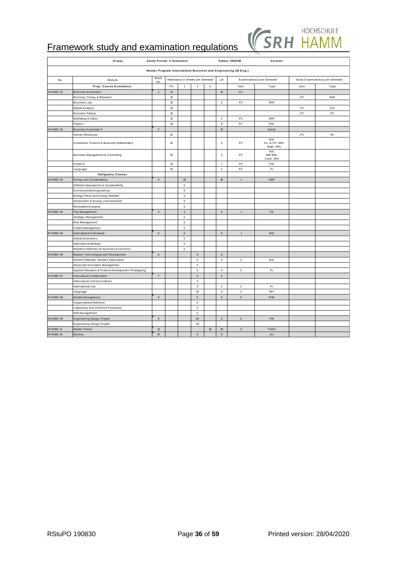

|             | <b>Framework study and examination regulations</b>   |                                  |      |                                  |                 |               |                |                                                                | SK                                 |     |                                   |
|-------------|------------------------------------------------------|----------------------------------|------|----------------------------------|-----------------|---------------|----------------|----------------------------------------------------------------|------------------------------------|-----|-----------------------------------|
|             | Group:                                               | <b>Study Period: 4 Semesters</b> |      |                                  |                 |               |                | Status: 08/2019                                                | Version:                           |     |                                   |
|             |                                                      |                                  |      |                                  |                 |               |                | Master Program International Business and Engineering (M.Eng.) |                                    |     |                                   |
| No.         | Module                                               | Block<br>No.                     |      | Attendance in Weeks per Semester |                 |               | CP             |                                                                | Examination(s) per Semester        |     | Study Examination(s) per Semester |
|             | <b>Prep. Course Economics</b>                        |                                  | PC   | $\overline{1}$                   | $\overline{2}$  | $\mathcal{R}$ |                | Sem                                                            | Type                               | Sem | Type                              |
| M-MIBE-01   | <b>Business Essentials I</b>                         | $\mathbf{1}$                     | 10   |                                  |                 |               | 15             | PC                                                             |                                    |     |                                   |
|             | <b>Business Theory &amp; Research</b>                |                                  | 10   |                                  |                 |               |                |                                                                |                                    | PC  | RaD                               |
|             | <b>Business Law</b>                                  |                                  | $10$ |                                  |                 |               | 3              | PC                                                             | SRP                                |     |                                   |
|             | Market Analysis                                      |                                  | $10$ |                                  |                 |               |                |                                                                |                                    | PC  | Pro                               |
|             | <b>Business Startup</b>                              |                                  | 10   |                                  |                 |               |                |                                                                |                                    | PC  | PC                                |
|             | Marketing & Sales                                    |                                  | 10   |                                  |                 |               | $\sqrt{4}$     | PC                                                             | SRP                                |     |                                   |
|             | Project I                                            |                                  | 10   |                                  |                 |               | 8              | PC                                                             | PW                                 |     |                                   |
| M-MIBE-02   | <b>Business Essentials II</b>                        | $\overline{2}$                   |      |                                  |                 |               | 15             |                                                                | SemA                               |     |                                   |
|             | Human Resources                                      |                                  | $10$ |                                  |                 |               |                |                                                                |                                    | PC  | Ro                                |
|             | Investment, Finance & Business Mathematics           |                                  | 10   |                                  |                 |               | 3              | PC                                                             | WE<br>Inv. & Fin. 66%<br>Math. 34% |     |                                   |
|             | Business Management & Controlling                    |                                  | 10   |                                  |                 |               | 3              | PC.                                                            | WE<br>BM 66%<br>Contr. 34%         |     |                                   |
|             | Project II                                           |                                  | 10   |                                  |                 |               | $\overline{7}$ | PC                                                             | PW                                 |     |                                   |
|             | anguage                                              |                                  | 10   |                                  |                 |               | $\overline{2}$ | PC                                                             | Pr                                 |     |                                   |
|             | <b>Obligatory Classes</b>                            |                                  |      |                                  |                 |               |                |                                                                |                                    |     |                                   |
| M-MIBE-03   | <b>Energy and Sustainability</b>                     | $\mathbf{3}$                     |      | 10                               |                 |               | 16             | $\mathbf{1}$                                                   | SRP                                |     |                                   |
|             | Different Approaches to Sustainability               |                                  |      | $\mathbf 5$                      |                 |               |                |                                                                |                                    |     |                                   |
|             | <b>Environmental Engineering</b>                     |                                  |      | 5                                |                 |               |                |                                                                |                                    |     |                                   |
|             | <b>Energy Policy and Energy Markets</b>              |                                  |      | 5                                |                 |               |                |                                                                |                                    |     |                                   |
|             | Introduction to Energy (conventional)                |                                  |      | $\mathbf 5$                      |                 |               |                |                                                                |                                    |     |                                   |
|             | Renewable Energies                                   |                                  |      | 5                                |                 |               |                |                                                                |                                    |     |                                   |
| M-MIBE-04   | Top Management                                       | $\overline{4}$                   |      | $\mathbf 5$                      |                 |               | 8              | $\overline{1}$                                                 | <b>CS</b>                          |     |                                   |
|             | Strategic Management                                 |                                  |      | 5                                |                 |               |                |                                                                |                                    |     |                                   |
|             | Risk Management                                      |                                  |      | 5                                |                 |               |                |                                                                |                                    |     |                                   |
|             | Project Management                                   |                                  |      | $\mathsf s$                      |                 |               |                |                                                                |                                    |     |                                   |
| M-MIBE-05   | International Framework                              | 5                                |      | $\,$ 5 $\,$                      |                 |               | $\bf8$         | $\mathbf{1}$                                                   | WE                                 |     |                                   |
|             | Global Economics                                     |                                  |      | $\mathsf s$                      |                 |               |                |                                                                |                                    |     |                                   |
|             | International Markets                                |                                  |      | $\mathsf s$                      |                 |               |                |                                                                |                                    |     |                                   |
|             | Research Methods for Business Economics              |                                  |      | 5                                |                 |               |                |                                                                |                                    |     |                                   |
| M-MIBE-06   | Modern Technologies and Development                  | $\,6\,$                          |      |                                  | $5\phantom{.0}$ |               | $\bf8$         |                                                                |                                    |     |                                   |
|             | Modern Materials / Modern Application                |                                  |      |                                  | $\mathfrak s$   |               | $\sqrt{4}$     | $\overline{c}$                                                 | WE                                 |     |                                   |
|             | Advanced Innovation Management                       |                                  |      |                                  | 5               |               |                |                                                                |                                    |     |                                   |
|             | Applied Research & Product Development / Prototyping |                                  |      |                                  | $\overline{5}$  |               | $\overline{4}$ | $\overline{2}$                                                 | Pr                                 |     |                                   |
| M-MIBE-07   | Intercultural Collaboration                          | $\overline{7}$                   |      |                                  | $\sqrt{5}$      |               | 6              |                                                                |                                    |     |                                   |
|             | Intercultural Communications                         |                                  |      |                                  | $\,$ 5 $\,$     |               |                |                                                                |                                    |     |                                   |
|             | International Law                                    |                                  |      |                                  | 5               |               | $\overline{2}$ | $\overline{2}$                                                 | Pr                                 |     |                                   |
|             | anguage                                              |                                  |      |                                  | 20              |               | $\overline{4}$ | $\sqrt{2}$                                                     | <b>RPr</b>                         |     |                                   |
| M-MIBE-08   | Middle Management                                    | 8                                |      |                                  | $\sqrt{5}$      |               | 6              | $\overline{2}$                                                 | PrW                                |     |                                   |
|             | Organisational Behavior                              |                                  |      |                                  | $\,$ 5 $\,$     |               |                |                                                                |                                    |     |                                   |
|             | eadership and Influence Processes                    |                                  |      |                                  | 5               |               |                |                                                                |                                    |     |                                   |
|             | Self-Management                                      |                                  |      |                                  | 5               |               |                |                                                                |                                    |     |                                   |
| M-MIBE-09   | Engineering Design Project                           | 9                                |      |                                  | $20\,$          |               | $\,6\,$        | $\overline{c}$                                                 | PW                                 |     |                                   |
|             | <b>Engineering Design Project</b>                    |                                  |      |                                  | 20              |               |                |                                                                |                                    |     |                                   |
| M-MIBE-11   | Master-Thesis                                        | 11                               |      |                                  |                 | 18            | 26             | $\mathbf{3}$                                                   | <b>TH/Co</b>                       |     |                                   |
| $M-MIBE-10$ | Elective                                             | $10\,$                           |      |                                  | $\,$ 5 $\,$     |               | $\,$ 6 $\,$    |                                                                | div                                |     |                                   |
|             |                                                      |                                  |      |                                  |                 |               |                |                                                                |                                    |     |                                   |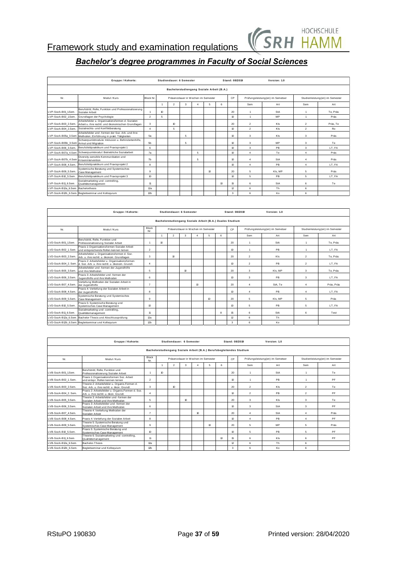

|                                                                        | Gruppe / Kohorte:                                                                                                  |                  |                  | Studiendauer: 6 Semester                  |   |                |    | Stand: 08/2019   |                  |                | Version: 1.0                     |                |                                 |  |
|------------------------------------------------------------------------|--------------------------------------------------------------------------------------------------------------------|------------------|------------------|-------------------------------------------|---|----------------|----|------------------|------------------|----------------|----------------------------------|----------------|---------------------------------|--|
|                                                                        |                                                                                                                    |                  |                  | Bachelorstudiengang Soziale Arbeit (B.A.) |   |                |    |                  |                  |                |                                  |                |                                 |  |
| Präsenzdauer in Wochen im Semester<br>Modul / Kurs<br>Block Nr.<br>Nr. |                                                                                                                    |                  |                  |                                           |   |                |    |                  | <b>CP</b>        |                | Prüfungsleistung(en) im Semetser |                | Studienleistung(en) im Semester |  |
|                                                                        |                                                                                                                    |                  | $\overline{1}$   | $\overline{2}$                            | 3 | $\overline{a}$ | 5  | 6                |                  | Sem            | Art                              | Sem            | Art                             |  |
| LVP-SozA-B01_1.Sem.                                                    | Berufsbild, Rolle, Funktion und Professionalisierung<br>Sozialer Arbeit                                            |                  | 10 <sup>10</sup> |                                           |   |                |    |                  | 20               |                | StA                              |                | Te, Präs                        |  |
| LVP-SozA-B02 1.Sem.                                                    | Grundlagen der Psychologie                                                                                         | $\overline{2}$   | 5                |                                           |   |                |    |                  | 10               | $\mathbf{1}$   | MP                               | $\overline{1}$ | Präs                            |  |
| LVP-SozA-B03 2.Sem.                                                    | Arbeitsfelder u. Organisationsformen d. Sozialen<br>Arbeit u. ihre rechtl. und ökonomischen Grundlagen             | 3                |                  | $\mathbf{v}$                              |   |                |    |                  | 20               | $\overline{2}$ | Kls                              | $\overline{2}$ | Präs. Te                        |  |
| LVP-SozA-B04 2.Sem.                                                    | Sozialrechts- und Konfliktberatung                                                                                 | $\overline{A}$   |                  | 5                                         |   |                |    |                  | 10               | $\overline{2}$ | KIs                              | $\overline{2}$ | Ro                              |  |
|                                                                        | Arbeitsfelder und -formen der Soz. Arb. und ihre<br>LVP-SozA-B05a_3.Sem Methoden; Einführung in prakt. Tätigkeiten | 5a               |                  |                                           | 5 |                |    |                  | 10               | 3              | KIs                              | 3              | Präs                            |  |
| LVP-SozA-B05b_3.Sem Armut und Migration                                | Schwerpunktmodule: Inklusion u. Behindertenhilfe,                                                                  | 5b               |                  |                                           | 5 |                |    |                  | 10               | $\mathbf{3}$   | MP                               | $\overline{a}$ | Te                              |  |
| LVP-SozA-B06 3.Sem.                                                    | Berufsfeldpraktikum und Praxisprojekt 1                                                                            | $6 \overline{6}$ |                  |                                           |   |                |    |                  | 10 <sub>10</sub> | 3              | PB                               | 3              | LT.FA                           |  |
| LVP-SozA-B07a 4.Sem                                                    | Schwerpunktmodul: Betriebliche Sozialarbeit                                                                        | 7a               |                  |                                           |   | 5              |    |                  | 10               | $\overline{4}$ | Te                               | 4              | Präs                            |  |
| LVP-SozA-B07b_4.Sem Krisenintervention                                 | Diversity-sensible Kommunikation und                                                                               | 7b               |                  |                                           |   | 5              |    |                  | 10               | $\overline{a}$ | StA                              | 4              | Präs                            |  |
| LVP-SozA-B08 4.Sem.                                                    | Berufsfeldpraktikum und Praxisproiekt 2                                                                            | 8                |                  |                                           |   |                |    |                  | 10               | $\overline{4}$ | PB                               | 4              | LT. FA                          |  |
| LVP-SozA-B09 5.Sem.                                                    | Systemische Beratung und Systemisches<br>Case Management                                                           | 9                |                  |                                           |   |                | 10 |                  | 20               | 5              | KIs, MP                          | 5              | Präs                            |  |
| LVP-SozA-B10 5.Sem.                                                    | Berufsfeldpraktikum und Praxisprojekt 3                                                                            | 10               |                  |                                           |   |                |    |                  | 10               | 5              | <b>PB</b>                        | 5              | LT.FA                           |  |
| LVP-SozA-B11 6.Sem.                                                    | Sozialmarketing und -controlling,<br>Qualitätsmanagement                                                           | 11               |                  |                                           |   |                |    | 10 <sub>10</sub> | 15               | 6              | <b>StA</b>                       | 6              | Te                              |  |
| LVP-SozA-B12a 6.Sem.                                                   | Bachelorthesis                                                                                                     | 12a              |                  |                                           |   |                |    |                  | 12               | 6              | <b>Th</b>                        | 6              |                                 |  |
|                                                                        | LVP-SozA-B12b_6.Sem. Begleitseminar und Kolloquium                                                                 | 12 <sub>b</sub>  |                  |                                           |   |                |    |                  | 3                | 6              | Ko                               | 6              |                                 |  |

| LVP-SozA-B12b_6.Sem. Begleitseminar und Kolloquium<br>12 <sub>b</sub><br>Ko<br>3<br>6<br>6 |                                                                                                   |                                                    |                |                                                          |                 |                  |                 |   |                  |                |                                  |                                 |            |  |
|--------------------------------------------------------------------------------------------|---------------------------------------------------------------------------------------------------|----------------------------------------------------|----------------|----------------------------------------------------------|-----------------|------------------|-----------------|---|------------------|----------------|----------------------------------|---------------------------------|------------|--|
|                                                                                            |                                                                                                   |                                                    |                |                                                          |                 |                  |                 |   |                  |                |                                  |                                 |            |  |
|                                                                                            | Gruppe / Kohorte:                                                                                 |                                                    |                | Studiendauer: 6 Semester                                 |                 |                  |                 |   | Stand: 08/2019   |                | Version: 1.0                     |                                 |            |  |
|                                                                                            |                                                                                                   |                                                    |                | Bachelorstudiengang Soziale Arbeit (B.A.) Duales Studium |                 |                  |                 |   |                  |                |                                  |                                 |            |  |
| Nr.                                                                                        | Modul / Kurs                                                                                      | Block<br>Präsenzdauer in Wochen im Semester<br>Nr. |                |                                                          |                 |                  |                 |   | CP               |                | Prüfungsleistung(en) im Semetser | Studienleistung(en) im Semester |            |  |
|                                                                                            |                                                                                                   |                                                    | $\overline{1}$ | $\overline{2}$                                           | 3               | $\Delta$         | 5               | 6 |                  | Sem            | Art                              | Sem                             | Art        |  |
| LVD-SozA-B01 1.Sem.                                                                        | Berufsbild, Rolle, Funktion und<br>Professionalisierung Sozialer Arbeit                           | $\overline{1}$                                     | 10             |                                                          |                 |                  |                 |   | 20               |                | StA                              |                                 | Te, Präs   |  |
| LVD-SozA-B02 1. Sem.                                                                       | Praxis 1: Organisationsformen Sozialer Arbeit<br>und entsprechende Rollen kennen lernen           | $\overline{2}$                                     |                |                                                          |                 |                  |                 |   | 10               | 1              | PB                               | $\mathbf{A}$                    | LT. FA     |  |
| LVD-SozA-B03_2.Sem.                                                                        | Arbeitsfelder u. Organisationsformen d. Soz.<br>Arb. u. ihre rechtl. u. ökonom. Grundlagen        | 3                                                  |                | 10 <sup>°</sup>                                          |                 |                  |                 |   | 20               | $\overline{2}$ | KIs                              | $\overline{2}$                  | Te. Präs   |  |
| LVD-SozA-B04 2. Sem.                                                                       | Praxis 2: Arbeitsfelder u. Organisationsformen<br>d. Soz. Arb. u. ihre rechtl. u. ökonom. Grundl. |                                                    |                |                                                          |                 |                  |                 |   | 10               | $\overline{2}$ | PB                               | $\overline{2}$                  | LT. FA     |  |
| LVD-SozA-B05 3.Sem.                                                                        | Arbeitsfelder und -formen der Jugendhilfe<br>und ihre Methoden                                    | 5                                                  |                |                                                          | 10 <sup>°</sup> |                  |                 |   | 20               | 3              | KIs, MP                          | 3                               | Te. Präs   |  |
| LVD-SozA-B06 3.Sem.                                                                        | Praxis 3: Arheitsfelder und -formen der<br>Jugendhilfe und ihre Methoden                          | 6                                                  |                |                                                          |                 |                  |                 |   | 10 <sup>10</sup> | 3              | <b>PB</b>                        | 3                               | LT. FA     |  |
| LVD-SozA-B07 4.Sem.                                                                        | Vertiefung Methoden der Sozialen Arbeit in<br>der Jugendhilfe                                     | $\overline{7}$                                     |                |                                                          |                 | 10 <sup>10</sup> |                 |   | 20               | 4              | StA. Te                          | $\overline{a}$                  | Präs, Präs |  |
| LVD-SozA-B08 4.Sem.                                                                        | Praxis 4: Vertiefung der Sozialen Arbeit in<br>der Jugendhilfe                                    | $\mathbf{a}$                                       |                |                                                          |                 |                  |                 |   | 10 <sub>10</sub> | $\Delta$       | PB                               | $\Delta$                        | LT. FA     |  |
| LVD-SozA-B09 5.Sem.                                                                        | Systemische Beratung und Systemisches<br>Case Management                                          | 9                                                  |                |                                                          |                 |                  | 10 <sup>°</sup> |   | 20               | 5              | KIs, MP                          | 5                               | Präs       |  |
| LVD-SozA-B10 5.Sem.                                                                        | Praxis 5: Systemische Beratung und<br>Systemisches Case Management                                | 10 <sup>°</sup>                                    |                |                                                          |                 |                  |                 |   | 10 <sub>10</sub> | 5              | <b>PB</b>                        | 5                               | LT. FA     |  |
| LVD-SozA-B11 6.Sem.                                                                        | Sozialmarketing und -controlling.<br>Qualitätsmanagement                                          | 11                                                 |                |                                                          |                 |                  |                 | 8 | 15               | 6              | StA                              | 6                               | Test       |  |
| LVD-SozA-B12a 6.Sem                                                                        | Bachelor-Thesis und Abschlussprüfung                                                              | 12a                                                |                |                                                          |                 |                  |                 |   | 12               | 6              | <b>Th</b>                        |                                 |            |  |
|                                                                                            | LVD-SozA-B12b_6.Sem. Begleitseminar und Kolloquium                                                | 12 <sub>b</sub>                                    |                |                                                          |                 |                  |                 |   | 3                | 6              | Ko                               |                                 |            |  |

| Gruppe / Kohorte:<br>Version: 1.0<br>Studiendauer: 6 Semester<br>Stand: 08/2019                                                                                                                 |                |                                 |  |  |  |  |  |  |  |  |  |  |
|-------------------------------------------------------------------------------------------------------------------------------------------------------------------------------------------------|----------------|---------------------------------|--|--|--|--|--|--|--|--|--|--|
| Bachelorstudiengang Soziale Arbeit (B.A.) Berufsbegleitendes Studium                                                                                                                            |                |                                 |  |  |  |  |  |  |  |  |  |  |
| <b>Block</b><br>Präsenzdauer in Wochen im Semester<br>Prüfungsleistung(en) im Semetser<br><b>CP</b><br>Modul / Kurs<br>Nr.<br>Nr.                                                               |                | Studienleistung(en) im Semester |  |  |  |  |  |  |  |  |  |  |
| $\overline{2}$<br>3<br>5<br>6<br>Sem<br>Art<br>$\overline{1}$<br>$\overline{a}$                                                                                                                 | Sem            | Art                             |  |  |  |  |  |  |  |  |  |  |
| Berufsbild, Rolle, Funktion und<br>LVB-SozA-B01 1.Sem.<br>10 <sup>10</sup><br>20<br>StA<br>$\overline{1}$<br>Professionalisierung Sozialer Arbeit                                               | $\overline{1}$ | Te                              |  |  |  |  |  |  |  |  |  |  |
| Praxis 1: Organisationsformen Soz. Arbeit<br>$\overline{2}$<br><b>PB</b><br>LVB-SozA-B02 1. Sem.<br>10 <sub>1</sub><br>$\overline{1}$<br>und entspr. Rollen kennen lernen                       | $\overline{1}$ | PF                              |  |  |  |  |  |  |  |  |  |  |
| Theorie 2: Arbeitsfelder u. Organis.Formen d.<br>LVB-SozA-B03 2.Sem.<br>3<br>10<br>KIs<br>20<br>$\overline{2}$<br>Soz. Arb. u. ihre rechtl. u. ökon. Grundl.                                    | $\overline{2}$ | Te                              |  |  |  |  |  |  |  |  |  |  |
| Praxis 2: Arbeitsfelder u. Organis.Formen d. Soz.<br><b>PB</b><br>$\overline{2}$<br>LVB-SozA-B04 2. Sem.<br>10 <sup>10</sup><br>$\boldsymbol{\Lambda}$<br>Arb. u. ihre rechtl. u. ökon. Grundl. | $\overline{2}$ | PF                              |  |  |  |  |  |  |  |  |  |  |
| Theorie 3: Arbeitsfelder und -formen der<br>LVB-SozA-B05 3.Sem.<br>Kls<br>5<br>10<br>20<br>3<br>Sozialen Arbeit und ihre Methoden                                                               | $\mathbf{3}$   | Te                              |  |  |  |  |  |  |  |  |  |  |
| Praxis 3: Arbeitsfelder und -formen der<br>StA<br>LVB-SozA-B06 3.Sem.<br>6<br>10 <sub>10</sub><br>3<br>Sozialen Arbeit und ihre Methoden                                                        | 3              | PF                              |  |  |  |  |  |  |  |  |  |  |
| Theorie 4: Vertiefung Methoden der<br>$\overline{7}$<br>10 <sub>10</sub><br>StA<br>LVB-SozA-B07 4.Sem.<br>20<br>$\overline{4}$<br>Sozialen Arbeit                                               | $\overline{a}$ | Präs                            |  |  |  |  |  |  |  |  |  |  |
| <b>PB</b><br>LVB-SozA-B08 4.Sem.<br>Praxis 4: Vertiefung der Sozialen Arbeit<br>8<br>10 <sup>10</sup><br>$\overline{4}$                                                                         | $\overline{a}$ | PF                              |  |  |  |  |  |  |  |  |  |  |
| Theorie 5: Systemische Beratung und<br>LVB-SozA-B09 5.Sem.<br>MP<br>9<br>20<br>5<br>10<br>Systemisches Case Management                                                                          | 5              | Präs                            |  |  |  |  |  |  |  |  |  |  |
| Praxis 5: Systemische Beratung und<br>PB<br>10<br>LVB-SozA-B10 5.Sem.<br>10 <sup>10</sup><br>5<br>Systemisches Case Management                                                                  | 5              | PF                              |  |  |  |  |  |  |  |  |  |  |
| Theorie 6: Sozialmarketing und -controlling,<br>11<br>10<br>15<br>6<br>KIs<br>LVB-SozA-B11 6.Sem.<br>Qualitätsmanagement                                                                        | 6              | PF                              |  |  |  |  |  |  |  |  |  |  |
| Bachelor-Thesis<br>12a<br>12<br>6<br>Th<br>LVB-SozA-B12a 6.Sem.                                                                                                                                 | 6              |                                 |  |  |  |  |  |  |  |  |  |  |
| LVB-SozA-B12b 6.Sem.<br>Begleitseminar und Kolloquium<br>12 <sub>b</sub><br>6<br>Ko<br>3                                                                                                        | 6              |                                 |  |  |  |  |  |  |  |  |  |  |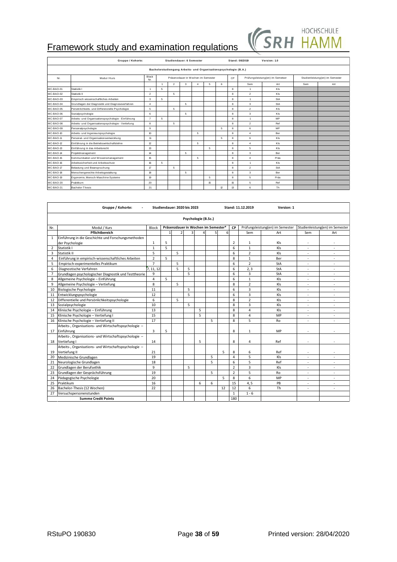

|           | Gruppe / Kohorte:                                  |                     |                                    |                | Studiendauer: 6 Semester                                         |                |     |    |                                  | Stand: 08/2019                  | Version: 1.0 |     |     |
|-----------|----------------------------------------------------|---------------------|------------------------------------|----------------|------------------------------------------------------------------|----------------|-----|----|----------------------------------|---------------------------------|--------------|-----|-----|
|           |                                                    |                     |                                    |                | Bachelorstudiengang Arbeits- und Organisationspsychologie (B.A.) |                |     |    |                                  |                                 |              |     |     |
| Nr.       | Modul /Kurs                                        | <b>Block</b><br>Nr. | Präsenzdauer in Wochen im Semester |                |                                                                  |                | CP. |    | Prüfungsleistung(en) im Semetser | Studienleistung(en) im Semester |              |     |     |
|           |                                                    |                     | $\overline{1}$                     | $\overline{2}$ | 3                                                                | $\overline{a}$ | 5   | 6  |                                  | Sem                             | Art          | Sem | Art |
| MC-BAO-01 | Statistik I                                        | 1                   | 5                                  |                |                                                                  |                |     |    | 8                                | $\mathbf{1}$                    | KIs          |     |     |
| MC-BAO-02 | Statistik II                                       | $\overline{2}$      |                                    | 5              |                                                                  |                |     |    | 8                                | $\overline{a}$                  | KIs          |     |     |
| MC-BAO-03 | Empirisch wissenschaftliches Arbeiten              | 3                   | 5                                  |                |                                                                  |                |     |    | 8                                | $\overline{1}$                  | StA          |     |     |
| MC-BAO-04 | Grundlagen der Diagnostik und Diagnoseverfahren    | $\overline{4}$      |                                    |                | 5                                                                |                |     |    | 8                                | $\overline{3}$                  | <b>StA</b>   |     |     |
| MC-BAO-05 | Persönlichkeits- und Differenzielle Psychologie    | 5                   |                                    | 5              |                                                                  |                |     |    | 8                                | $\overline{2}$                  | KIs          |     |     |
| MC-BAO-06 | Sozialpsychologie                                  | 6                   |                                    |                | 5                                                                |                |     |    | 8                                | 3                               | Kls          |     |     |
| MC-BAO-07 | Arbeits- und Organisationspsychologie - Einführung | $\overline{7}$      | 5                                  |                |                                                                  |                |     |    | 8                                | $\mathbf{1}$                    | <b>MP</b>    |     |     |
| MC-BAO-08 | Arbeits- und Organisationspsychologie - Vertiefung | $\mathbf{R}$        |                                    | 5              |                                                                  |                |     |    | $\mathbf{R}$                     | $\overline{2}$                  | Ref          |     |     |
| MC-BAO-09 | Personalpsychologie                                | $\mathbf{Q}$        |                                    |                |                                                                  |                |     | 5  | 8                                | 6                               | <b>MP</b>    |     |     |
| MC-BAO-10 | Arbeits- und Ingenieurspsychologie                 | 10 <sub>10</sub>    |                                    |                |                                                                  | 5              |     |    | 8                                | $\overline{4}$                  | Ber          |     |     |
| MC-BAO-11 | Personal- und Organisationsentwicklung             | 11                  |                                    |                |                                                                  |                |     | 5  | 8                                | 6                               | KIs          |     |     |
| MC-BAO-12 | Einführung in die Betriebswirtschaftslehre         | 12                  |                                    |                |                                                                  | 5              |     |    | 8                                | $\overline{4}$                  | KIs          |     |     |
| MC-BAO-13 | Einführung in das Arbeitsrecht                     | 13                  |                                    |                |                                                                  |                | 5   |    | 8                                | 5                               | KIs          |     |     |
| MC-BAO-14 | Projektmanagement                                  | 14                  |                                    |                | 5                                                                |                |     |    | 8                                | 3                               | Ber          |     |     |
| MC-BAO-15 | Kommunikation und Wissensmanagement                | 15                  |                                    |                |                                                                  | 5              |     |    | 8                                | $\overline{4}$                  | Präs         |     |     |
| MC-BAO-16 | Arbeitssicherheit und Arbeitsschutz                | 16                  | $\overline{a}$                     |                |                                                                  |                |     |    | 8                                | $\mathbf{1}$                    | KIs          |     |     |
| MC-BAO-17 | Belastung und Beanspruchung                        | 17                  |                                    | 5              |                                                                  |                |     |    | 8                                | $\overline{2}$                  | <b>StA</b>   |     |     |
| MC-BAO-18 | Menschengerechte Arbeitsgestaltung                 | 18                  |                                    |                | 5                                                                |                |     |    | 8                                | 3                               | Ber          |     |     |
| MC-BAO-19 | Ergonomie, Mensch-Maschine-Systeme                 | 19                  |                                    |                |                                                                  |                | 5   |    | 8                                | 5                               | Präs         |     |     |
| MC-BAO-20 | Praktikum                                          | 20                  |                                    |                |                                                                  |                | 15  |    | 15                               | 5                               | Ref          |     |     |
| MC-BAO-21 | Bachelor-Thesis                                    | 21                  |                                    |                |                                                                  |                |     | 12 | 13                               | 6                               | Th           |     |     |

|                | Gruppe / Kohorte:                                     |                |                                                  | Studiendauer: 2020 bis 2023 |   |                     |   |    |                | Stand: 11.12.2019       | Version: 1                       |     |                                 |
|----------------|-------------------------------------------------------|----------------|--------------------------------------------------|-----------------------------|---|---------------------|---|----|----------------|-------------------------|----------------------------------|-----|---------------------------------|
|                |                                                       |                |                                                  |                             |   | Psychologie (B.Sc.) |   |    |                |                         |                                  |     |                                 |
| Nr.            | Modul / Kurs                                          | Block          | Präsenzdauer in Wochen im Semester*<br><b>CP</b> |                             |   |                     |   |    |                |                         | Prüfungsleistung(en) im Semester |     | Studienleistung(en) im Semester |
|                | Pflichtbereich                                        |                | $\mathbf{1}$                                     | $\overline{2}$              |   |                     | 5 | 6  |                | Sem                     | Art                              | Sem | Art                             |
| 1              | Einführung in die Geschichte und Forschungsmethoden   |                |                                                  |                             |   |                     |   |    |                |                         |                                  |     |                                 |
|                | der Psychologie                                       | $\mathbf{1}$   | 5                                                |                             |   |                     |   |    | $\overline{2}$ | $\mathbf{1}$            | Kls                              | ٠   |                                 |
| $\overline{2}$ | Statistik I                                           | $\mathbf{1}$   | 5                                                |                             |   |                     |   |    | 6              | $\mathbf{1}$            | Kls                              | ÷.  |                                 |
| 3              | Statistik II                                          | 5              |                                                  | 5                           |   |                     |   |    | 6              | $\overline{2}$          | Kls                              | ٠   |                                 |
| 4              | Einführung in empirisch-wissenschaftliches Arbeiten   | $\overline{2}$ | 5                                                |                             |   |                     |   |    | 8              | $\mathbf{1}$            | Ber                              | ٠   | ٠                               |
| 5              | Empirisch-experimentelles Praktikum                   | $\overline{7}$ |                                                  | 5                           |   |                     |   |    | 6              | $\overline{2}$          | StA                              |     |                                 |
| 6              | Diagnostische Verfahren                               | 7, 11, 12      |                                                  | 5                           | 5 |                     |   |    | 6              | 2.3                     | StA                              | ÷.  | ä,                              |
| $\overline{7}$ | Grundlagen psychologischer Diagnostik und Testtheorie | 9              |                                                  |                             | 5 |                     |   |    | 6              | 3                       | StA                              | ٠   | ٠                               |
| 8              | Allgemeine Psychologie - Einführung                   | $\overline{4}$ | 5                                                |                             |   |                     |   |    | 6              | $\mathbf{1}$            | Kls                              | ٠   | ÷.                              |
| 9              | Allgemeine Psychologie - Vertiefung                   | 8              |                                                  | 5                           |   |                     |   |    | 8              | $\overline{2}$          | Kls                              | ٠   | ٠                               |
| 10             | Biologische Psychologie                               | 11             |                                                  |                             | 5 |                     |   |    | 6              | 3                       | Kls                              | ٠   | ٠                               |
| 11             | Entwicklungspsychologie                               | 12             |                                                  |                             | 5 |                     |   |    | 6              | 3                       | Kls                              | ٠   | ÷.                              |
| 12             | Differentielle und Persönlichkeitspsychologie         | 6              |                                                  | 5                           |   |                     |   |    | 8              | $\overline{2}$          | Kls                              | ٠   | ÷.                              |
| 13             | Sozialpsychologie                                     | 10             |                                                  |                             | 5 |                     |   |    | 8              | 3                       | Kls                              | ٠   |                                 |
| 14             | Klinische Psychologie - Einführung                    | 13             |                                                  |                             |   | 5                   |   |    | 8              | $\overline{\mathbf{4}}$ | Kls                              | ä,  | ٠                               |
| 15             | Klinische Psychologie - Vertiefung I                  | 15             |                                                  |                             |   | 5                   |   |    | 8              | 4                       | MP                               | ٠   | ٠                               |
| 16             | Klinische Psychologie - Vertiefung II                 | 17             |                                                  |                             |   |                     | 5 |    | 8              | 5                       | R <sub>0</sub>                   | ٠   | ÷                               |
|                | Arbeits-, Organisations- und Wirtschaftspsychologie - |                |                                                  |                             |   |                     |   |    |                |                         |                                  |     |                                 |
| 17             | Einführung                                            | 3              | 5                                                |                             |   |                     |   |    | 8              | $\mathbf{1}$            | MP                               |     |                                 |
|                | Arbeits-, Organisations- und Wirtschaftspsychologie - |                |                                                  |                             |   |                     |   |    |                |                         |                                  |     |                                 |
| 18             | Vertiefung I                                          | 14             |                                                  |                             |   | 5                   |   |    | 8              | 4                       | Ref                              |     |                                 |
|                | Arbeits-, Organisations- und Wirtschaftspsychologie - |                |                                                  |                             |   |                     |   |    |                |                         |                                  |     |                                 |
| 19             | Vertiefung II                                         | 21             |                                                  |                             |   |                     |   | 5  | 8              | 6                       | Ref                              |     |                                 |
| 20             | Medizinische Grundlagen                               | 19             |                                                  |                             |   |                     | 5 |    | $\overline{a}$ | 5                       | Kls                              | ٠   | ٠                               |
| 21             | Neurologische Grundlagen                              | 18             |                                                  |                             |   |                     | 5 |    | 6              | 5                       | Ref                              | ٠   | ÷.                              |
| 22             | Grundlagen der Berufsethik                            | 9              |                                                  |                             | 5 |                     |   |    | $\overline{2}$ | 3                       | Kls                              | ٠   | ٠                               |
| 23             | Grundlagen der Gesprächsführung                       | 19             |                                                  |                             |   |                     | 5 |    | $\overline{2}$ | 5                       | Ro                               | ٠   | ٠                               |
| 24             | Pädagogische Psychologie                              | 20             |                                                  |                             |   |                     |   | 5  | 8              | 6                       | MP                               | ٠   | ä,                              |
| 25             | Praktikum                                             | 16             |                                                  |                             |   | 6                   | 6 |    | 15             | 4, 5                    | PB                               | ٠   | ÷.                              |
| 26             | Bachelor-Thesis (12 Wochen)                           | 22             |                                                  |                             |   |                     |   | 12 | 12             | 6                       | Th                               | ٠   | ٠                               |
| 27             | Versuchspersonenstunden                               |                |                                                  |                             |   |                     |   |    | $\mathbf{1}$   | $1 - 6$                 |                                  |     |                                 |
|                | <b>Summe Credit Points</b>                            |                |                                                  |                             |   |                     |   |    | 180            |                         |                                  |     |                                 |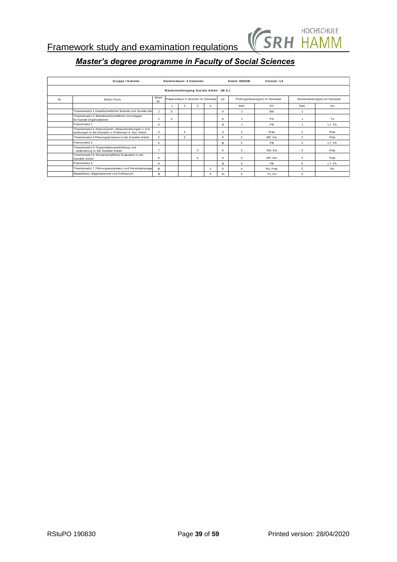

|     | Gruppe / Kohorte:                                                                                                   |                |   | Studiendauer: 4 Semester |                                    |                                           |                 |                | Version: 1.0                     |                |                                 |
|-----|---------------------------------------------------------------------------------------------------------------------|----------------|---|--------------------------|------------------------------------|-------------------------------------------|-----------------|----------------|----------------------------------|----------------|---------------------------------|
|     |                                                                                                                     |                |   |                          |                                    | Masterstudiengang Soziale Arbeit - (M.A.) |                 |                |                                  |                |                                 |
| Nr. | Modul / Kurs                                                                                                        | Block<br>Nr.   |   |                          | Präsenzdauer in Wochen im Semester |                                           | CP              |                | Prüfungsleistung(en) im Semetser |                | Studienleistung(en) im Semester |
|     |                                                                                                                     |                |   | $\overline{2}$           | 3                                  | $\overline{4}$                            |                 | Sem            | Art                              | Sem            | Art                             |
|     | Theoriemodul 1: Gesellschaftlicher Wandel und Soziale Arb                                                           |                | 5 |                          |                                    |                                           | 9               | $\mathbf{1}$   | StA                              |                |                                 |
|     | Theoriemodul 2: Betriebswirtschaftliche Grundlagen<br>für Soziale Organisationen                                    | $\overline{2}$ | 5 |                          |                                    |                                           | 9               |                | PA                               |                | Te                              |
|     | Praxismodul 1                                                                                                       | 3              |   |                          |                                    |                                           | 12              |                | PB                               |                | LT. FA                          |
|     | Theoriemodul 3: Diskussionen, Herausforderungen u. Ent-<br>wicklungen in der Disziplin u. Profession d. Soz. Arbeit | 4              |   | 5                        |                                    |                                           | 9               | $\overline{2}$ | Präs                             | $\overline{2}$ | Präs                            |
|     | Theoriemodul 4 Planungsprozesse in der Sozialen Arbeit                                                              | 5              |   | 5                        |                                    |                                           | 9               | $\mathfrak{D}$ | MP. KIs                          | $\overline{2}$ | Präs                            |
|     | Praxismodul 2                                                                                                       | 6              |   |                          |                                    |                                           | 12 <sup>°</sup> | $\overline{2}$ | PB                               | $\mathfrak{p}$ | LT.FA                           |
|     | Theoriemodul 5: Organisationsentwicklung und<br>- veränderung in der Sozialen Arbeit                                | 7              |   |                          | 5                                  |                                           | 9               | 3              | StA, KIs                         | 3              | Präs                            |
|     | Theoriemodul 6: Wissenschaftliche Evaluation in der<br>Sozialen Arbeit                                              | 8              |   |                          | 5                                  |                                           | 9               | 3              | MP. KIs                          | 3              | Präs                            |
|     | Praxismodul 3                                                                                                       | 9              |   |                          |                                    |                                           | 12              | 3              | PB                               | 3              | LT. FA                          |
|     | Theoriemodul 7: Führungskompetenz und Personalmanage                                                                | 10             |   |                          |                                    | 5                                         | 9               | 4              | Kls. Präs                        | 3              | Ro                              |
|     | Masterthesis, Begleitseminar und Kolloquium                                                                         | 11             |   |                          |                                    | 5                                         | 21              | Δ              | Th. Ko                           | 4              |                                 |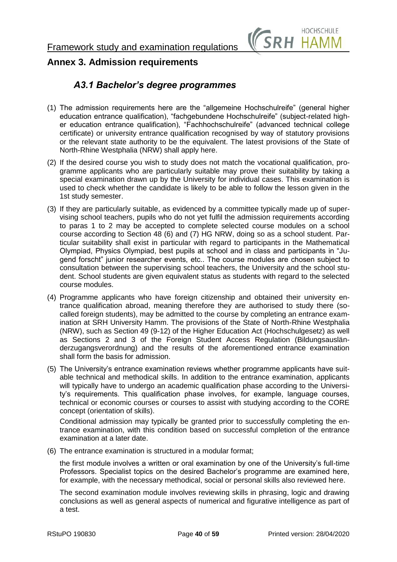

## <span id="page-39-1"></span><span id="page-39-0"></span>**Annex 3. Admission requirements**

## *A3.1 Bachelor's degree programmes*

- (1) The admission requirements here are the "allgemeine Hochschulreife" (general higher education entrance qualification), "fachgebundene Hochschulreife" (subject-related higher education entrance qualification), "Fachhochschulreife" (advanced technical college certificate) or university entrance qualification recognised by way of statutory provisions or the relevant state authority to be the equivalent. The latest provisions of the State of North-Rhine Westphalia (NRW) shall apply here.
- (2) If the desired course you wish to study does not match the vocational qualification, programme applicants who are particularly suitable may prove their suitability by taking a special examination drawn up by the University for individual cases. This examination is used to check whether the candidate is likely to be able to follow the lesson given in the 1st study semester.
- (3) If they are particularly suitable, as evidenced by a committee typically made up of supervising school teachers, pupils who do not yet fulfil the admission requirements according to paras 1 to 2 may be accepted to complete selected course modules on a school course according to Section 48 (6) and (7) HG NRW, doing so as a school student. Particular suitability shall exist in particular with regard to participants in the Mathematical Olympiad, Physics Olympiad, best pupils at school and in class and participants in "Jugend forscht" junior researcher events, etc.. The course modules are chosen subject to consultation between the supervising school teachers, the University and the school student. School students are given equivalent status as students with regard to the selected course modules.
- (4) Programme applicants who have foreign citizenship and obtained their university entrance qualification abroad, meaning therefore they are authorised to study there (socalled foreign students), may be admitted to the course by completing an entrance examination at SRH University Hamm. The provisions of the State of North-Rhine Westphalia (NRW), such as Section 49 (9-12) of the Higher Education Act (Hochschulgesetz) as well as Sections 2 and 3 of the Foreign Student Access Regulation (Bildungsausländerzugangsverordnung) and the results of the aforementioned entrance examination shall form the basis for admission.
- (5) The University's entrance examination reviews whether programme applicants have suitable technical and methodical skills. In addition to the entrance examination, applicants will typically have to undergo an academic qualification phase according to the University's requirements. This qualification phase involves, for example, language courses, technical or economic courses or courses to assist with studying according to the CORE concept (orientation of skills).

Conditional admission may typically be granted prior to successfully completing the entrance examination, with this condition based on successful completion of the entrance examination at a later date.

(6) The entrance examination is structured in a modular format;

the first module involves a written or oral examination by one of the University's full-time Professors. Specialist topics on the desired Bachelor's programme are examined here, for example, with the necessary methodical, social or personal skills also reviewed here.

The second examination module involves reviewing skills in phrasing, logic and drawing conclusions as well as general aspects of numerical and figurative intelligence as part of a test.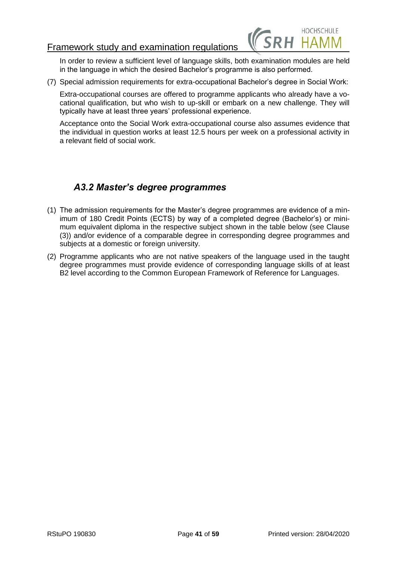

In order to review a sufficient level of language skills, both examination modules are held in the language in which the desired Bachelor's programme is also performed.

(7) Special admission requirements for extra-occupational Bachelor's degree in Social Work:

Extra-occupational courses are offered to programme applicants who already have a vocational qualification, but who wish to up-skill or embark on a new challenge. They will typically have at least three years' professional experience.

Acceptance onto the Social Work extra-occupational course also assumes evidence that the individual in question works at least 12.5 hours per week on a professional activity in a relevant field of social work.

# <span id="page-40-0"></span>*A3.2 Master's degree programmes*

- (1) The admission requirements for the Master's degree programmes are evidence of a minimum of 180 Credit Points (ECTS) by way of a completed degree (Bachelor's) or minimum equivalent diploma in the respective subject shown in the table below (see Clause (3)) and/or evidence of a comparable degree in corresponding degree programmes and subjects at a domestic or foreign university.
- (2) Programme applicants who are not native speakers of the language used in the taught degree programmes must provide evidence of corresponding language skills of at least B2 level according to the Common European Framework of Reference for Languages.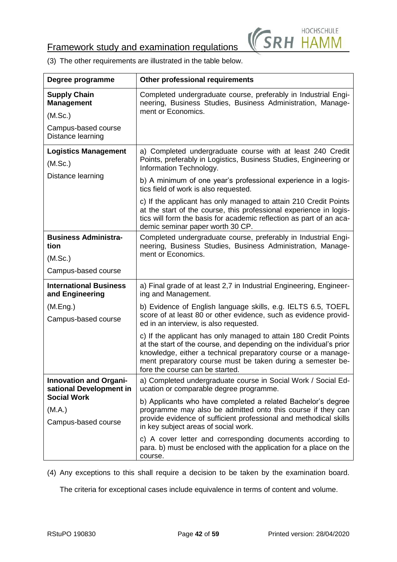

(3) The other requirements are illustrated in the table below.

| Degree programme                                         | <b>Other professional requirements</b>                                                                                                                                                                                                                                                                     |
|----------------------------------------------------------|------------------------------------------------------------------------------------------------------------------------------------------------------------------------------------------------------------------------------------------------------------------------------------------------------------|
| <b>Supply Chain</b><br><b>Management</b>                 | Completed undergraduate course, preferably in Industrial Engi-<br>neering, Business Studies, Business Administration, Manage-                                                                                                                                                                              |
| (M.Sc.)                                                  | ment or Economics.                                                                                                                                                                                                                                                                                         |
| Campus-based course<br>Distance learning                 |                                                                                                                                                                                                                                                                                                            |
| <b>Logistics Management</b><br>(M.Sc.)                   | a) Completed undergraduate course with at least 240 Credit<br>Points, preferably in Logistics, Business Studies, Engineering or<br>Information Technology.                                                                                                                                                 |
| Distance learning                                        | b) A minimum of one year's professional experience in a logis-<br>tics field of work is also requested.                                                                                                                                                                                                    |
|                                                          | c) If the applicant has only managed to attain 210 Credit Points<br>at the start of the course, this professional experience in logis-<br>tics will form the basis for academic reflection as part of an aca-<br>demic seminar paper worth 30 CP.                                                          |
| <b>Business Administra-</b><br>tion                      | Completed undergraduate course, preferably in Industrial Engi-<br>neering, Business Studies, Business Administration, Manage-                                                                                                                                                                              |
| (M.Sc.)                                                  | ment or Economics.                                                                                                                                                                                                                                                                                         |
| Campus-based course                                      |                                                                                                                                                                                                                                                                                                            |
| <b>International Business</b><br>and Engineering         | a) Final grade of at least 2,7 in Industrial Engineering, Engineer-<br>ing and Management.                                                                                                                                                                                                                 |
| (M.Eng.)<br>Campus-based course                          | b) Evidence of English language skills, e.g. IELTS 6.5, TOEFL<br>score of at least 80 or other evidence, such as evidence provid-<br>ed in an interview, is also requested.                                                                                                                                |
|                                                          | c) If the applicant has only managed to attain 180 Credit Points<br>at the start of the course, and depending on the individual's prior<br>knowledge, either a technical preparatory course or a manage-<br>ment preparatory course must be taken during a semester be-<br>fore the course can be started. |
| <b>Innovation and Organi-</b><br>sational Development in | a) Completed undergraduate course in Social Work / Social Ed-<br>ucation or comparable degree programme.                                                                                                                                                                                                   |
| <b>Social Work</b><br>(M.A.)<br>Campus-based course      | b) Applicants who have completed a related Bachelor's degree<br>programme may also be admitted onto this course if they can<br>provide evidence of sufficient professional and methodical skills<br>in key subject areas of social work.                                                                   |
|                                                          | c) A cover letter and corresponding documents according to<br>para. b) must be enclosed with the application for a place on the<br>course.                                                                                                                                                                 |

(4) Any exceptions to this shall require a decision to be taken by the examination board.

The criteria for exceptional cases include equivalence in terms of content and volume.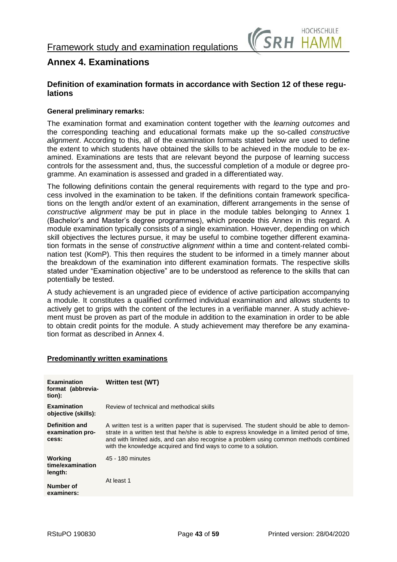

## <span id="page-42-0"></span>**Annex 4. Examinations**

## **Definition of examination formats in accordance with Section 12 of these regulations**

## **General preliminary remarks:**

The examination format and examination content together with the *learning outcomes* and the corresponding teaching and educational formats make up the so-called *constructive alignment*. According to this, all of the examination formats stated below are used to define the extent to which students have obtained the skills to be achieved in the module to be examined. Examinations are tests that are relevant beyond the purpose of learning success controls for the assessment and, thus, the successful completion of a module or degree programme. An examination is assessed and graded in a differentiated way.

The following definitions contain the general requirements with regard to the type and process involved in the examination to be taken. If the definitions contain framework specifications on the length and/or extent of an examination, different arrangements in the sense of *constructive alignment* may be put in place in the module tables belonging to Annex 1 (Bachelor's and Master's degree programmes), which precede this Annex in this regard. A module examination typically consists of a single examination. However, depending on which skill objectives the lectures pursue, it may be useful to combine together different examination formats in the sense of *constructive alignment* within a time and content-related combination test (KomP). This then requires the student to be informed in a timely manner about the breakdown of the examination into different examination formats. The respective skills stated under "Examination objective" are to be understood as reference to the skills that can potentially be tested.

A study achievement is an ungraded piece of evidence of active participation accompanying a module. It constitutes a qualified confirmed individual examination and allows students to actively get to grips with the content of the lectures in a verifiable manner. A study achievement must be proven as part of the module in addition to the examination in order to be able to obtain credit points for the module. A study achievement may therefore be any examination format as described in Annex 4.

## **Predominantly written examinations**

| <b>Examination</b><br>format (abbrevia-<br>tion):  | Written test (WT)                                                                                                                                                                                                                                                                                                                                         |
|----------------------------------------------------|-----------------------------------------------------------------------------------------------------------------------------------------------------------------------------------------------------------------------------------------------------------------------------------------------------------------------------------------------------------|
| <b>Examination</b><br>objective (skills):          | Review of technical and methodical skills                                                                                                                                                                                                                                                                                                                 |
| <b>Definition and</b><br>examination pro-<br>cess: | A written test is a written paper that is supervised. The student should be able to demon-<br>strate in a written test that he/she is able to express knowledge in a limited period of time,<br>and with limited aids, and can also recognise a problem using common methods combined<br>with the knowledge acquired and find ways to come to a solution. |
| Working<br>time/examination<br>length:             | 45 - 180 minutes                                                                                                                                                                                                                                                                                                                                          |
| Number of<br>examiners:                            | At least 1                                                                                                                                                                                                                                                                                                                                                |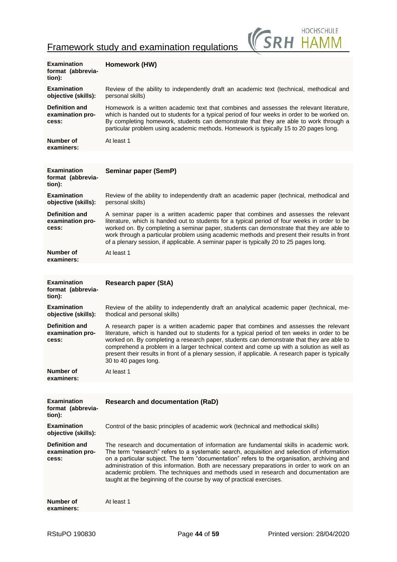

| <b>Examination</b><br>format (abbrevia-<br>tion):  | Homework (HW)                                                                                                                                                                                                                                                                                                                                                                                                                                                                                                                                     |
|----------------------------------------------------|---------------------------------------------------------------------------------------------------------------------------------------------------------------------------------------------------------------------------------------------------------------------------------------------------------------------------------------------------------------------------------------------------------------------------------------------------------------------------------------------------------------------------------------------------|
| <b>Examination</b><br>objective (skills):          | Review of the ability to independently draft an academic text (technical, methodical and<br>personal skills)                                                                                                                                                                                                                                                                                                                                                                                                                                      |
| <b>Definition and</b><br>examination pro-<br>cess: | Homework is a written academic text that combines and assesses the relevant literature,<br>which is handed out to students for a typical period of four weeks in order to be worked on.<br>By completing homework, students can demonstrate that they are able to work through a<br>particular problem using academic methods. Homework is typically 15 to 20 pages long.                                                                                                                                                                         |
| Number of<br>examiners:                            | At least 1                                                                                                                                                                                                                                                                                                                                                                                                                                                                                                                                        |
|                                                    |                                                                                                                                                                                                                                                                                                                                                                                                                                                                                                                                                   |
| <b>Examination</b><br>format (abbrevia-<br>tion):  | Seminar paper (SemP)                                                                                                                                                                                                                                                                                                                                                                                                                                                                                                                              |
| <b>Examination</b><br>objective (skills):          | Review of the ability to independently draft an academic paper (technical, methodical and<br>personal skills)                                                                                                                                                                                                                                                                                                                                                                                                                                     |
| <b>Definition and</b><br>examination pro-<br>cess: | A seminar paper is a written academic paper that combines and assesses the relevant<br>literature, which is handed out to students for a typical period of four weeks in order to be<br>worked on. By completing a seminar paper, students can demonstrate that they are able to<br>work through a particular problem using academic methods and present their results in front<br>of a plenary session, if applicable. A seminar paper is typically 20 to 25 pages long.                                                                         |
| <b>Number of</b><br>examiners:                     | At least 1                                                                                                                                                                                                                                                                                                                                                                                                                                                                                                                                        |
|                                                    |                                                                                                                                                                                                                                                                                                                                                                                                                                                                                                                                                   |
| <b>Examination</b><br>format (abbrevia-<br>tion):  | <b>Research paper (StA)</b>                                                                                                                                                                                                                                                                                                                                                                                                                                                                                                                       |
| <b>Examination</b><br>objective (skills):          | Review of the ability to independently draft an analytical academic paper (technical, me-<br>thodical and personal skills)                                                                                                                                                                                                                                                                                                                                                                                                                        |
| <b>Definition and</b><br>examination pro-<br>cess: | A research paper is a written academic paper that combines and assesses the relevant<br>literature, which is handed out to students for a typical period of ten weeks in order to be<br>worked on. By completing a research paper, students can demonstrate that they are able to<br>comprehend a problem in a larger technical context and come up with a solution as well as<br>present their results in front of a plenary session, if applicable. A research paper is typically<br>30 to 40 pages long.                                       |
| Number of<br>examiners:                            | At least 1                                                                                                                                                                                                                                                                                                                                                                                                                                                                                                                                        |
|                                                    |                                                                                                                                                                                                                                                                                                                                                                                                                                                                                                                                                   |
| <b>Examination</b><br>format (abbrevia-<br>tion):  | <b>Research and documentation (RaD)</b>                                                                                                                                                                                                                                                                                                                                                                                                                                                                                                           |
| <b>Examination</b><br>objective (skills):          | Control of the basic principles of academic work (technical and methodical skills)                                                                                                                                                                                                                                                                                                                                                                                                                                                                |
| <b>Definition and</b><br>examination pro-<br>cess: | The research and documentation of information are fundamental skills in academic work.<br>The term "research" refers to a systematic search, acquisition and selection of information<br>on a particular subject. The term "documentation" refers to the organisation, archiving and<br>administration of this information. Both are necessary preparations in order to work on an<br>academic problem. The techniques and methods used in research and documentation are<br>taught at the beginning of the course by way of practical exercises. |
| Number of<br>examiners:                            | At least 1                                                                                                                                                                                                                                                                                                                                                                                                                                                                                                                                        |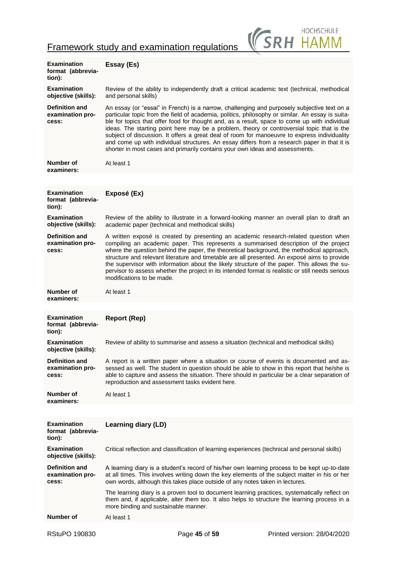

| <b>Examination</b><br>format (abbrevia-<br>tion):  | Essay (Es)                                                                                                                                                                                                                                                                                                                                                                                                                                                                                                                                                                                                                                                                     |
|----------------------------------------------------|--------------------------------------------------------------------------------------------------------------------------------------------------------------------------------------------------------------------------------------------------------------------------------------------------------------------------------------------------------------------------------------------------------------------------------------------------------------------------------------------------------------------------------------------------------------------------------------------------------------------------------------------------------------------------------|
| <b>Examination</b><br>objective (skills):          | Review of the ability to independently draft a critical academic text (technical, methodical<br>and personal skills)                                                                                                                                                                                                                                                                                                                                                                                                                                                                                                                                                           |
| <b>Definition and</b><br>examination pro-<br>cess: | An essay (or "essai" in French) is a narrow, challenging and purposely subjective text on a<br>particular topic from the field of academia, politics, philosophy or similar. An essay is suita-<br>ble for topics that offer food for thought and, as a result, space to come up with individual<br>ideas. The starting point here may be a problem, theory or controversial topic that is the<br>subject of discussion. It offers a great deal of room for manoeuvre to express individuality<br>and come up with individual structures. An essay differs from a research paper in that it is<br>shorter in most cases and primarily contains your own ideas and assessments. |
| Number of<br>examiners:                            | At least 1                                                                                                                                                                                                                                                                                                                                                                                                                                                                                                                                                                                                                                                                     |
|                                                    |                                                                                                                                                                                                                                                                                                                                                                                                                                                                                                                                                                                                                                                                                |
| <b>Examination</b><br>format (abbrevia-<br>tion):  | Exposé (Ex)                                                                                                                                                                                                                                                                                                                                                                                                                                                                                                                                                                                                                                                                    |
| <b>Examination</b><br>objective (skills):          | Review of the ability to illustrate in a forward-looking manner an overall plan to draft an<br>academic paper (technical and methodical skills)                                                                                                                                                                                                                                                                                                                                                                                                                                                                                                                                |
| <b>Definition and</b><br>examination pro-<br>cess: | A written exposé is created by presenting an academic research-related question when<br>compiling an academic paper. This represents a summarised description of the project<br>where the question behind the paper, the theoretical background, the methodical approach,<br>structure and relevant literature and timetable are all presented. An exposé aims to provide<br>the supervisor with information about the likely structure of the paper. This allows the su-<br>pervisor to assess whether the project in its intended format is realistic or still needs serious<br>modifications to be made.                                                                    |
| Number of<br>examiners:                            | At least 1                                                                                                                                                                                                                                                                                                                                                                                                                                                                                                                                                                                                                                                                     |
|                                                    |                                                                                                                                                                                                                                                                                                                                                                                                                                                                                                                                                                                                                                                                                |
| <b>Examination</b><br>format (abbrevia-<br>tion):  | <b>Report (Rep)</b>                                                                                                                                                                                                                                                                                                                                                                                                                                                                                                                                                                                                                                                            |
| <b>Examination</b><br>objective (skills):          | Review of ability to summarise and assess a situation (technical and methodical skills)                                                                                                                                                                                                                                                                                                                                                                                                                                                                                                                                                                                        |
| <b>Definition and</b><br>examination pro-<br>cess: | A report is a written paper where a situation or course of events is documented and as-<br>sessed as well. The student in question should be able to show in this report that he/she is<br>able to capture and assess the situation. There should in particular be a clear separation of<br>reproduction and assessment tasks evident here.                                                                                                                                                                                                                                                                                                                                    |
| Number of<br>examiners:                            | At least 1                                                                                                                                                                                                                                                                                                                                                                                                                                                                                                                                                                                                                                                                     |
|                                                    |                                                                                                                                                                                                                                                                                                                                                                                                                                                                                                                                                                                                                                                                                |
| <b>Examination</b><br>format (abbrevia-<br>tion):  | Learning diary (LD)                                                                                                                                                                                                                                                                                                                                                                                                                                                                                                                                                                                                                                                            |
| <b>Examination</b><br>objective (skills):          | Critical reflection and classification of learning experiences (technical and personal skills)                                                                                                                                                                                                                                                                                                                                                                                                                                                                                                                                                                                 |
| <b>Definition and</b><br>examination pro-<br>cess: | A learning diary is a student's record of his/her own learning process to be kept up-to-date<br>at all times. This involves writing down the key elements of the subject matter in his or her<br>own words, although this takes place outside of any notes taken in lectures.                                                                                                                                                                                                                                                                                                                                                                                                  |
|                                                    | The learning diary is a proven tool to document learning practices, systematically reflect on<br>them and, if applicable, alter them too. It also helps to structure the learning process in a<br>more binding and sustainable manner.                                                                                                                                                                                                                                                                                                                                                                                                                                         |
| Number of                                          | At least 1                                                                                                                                                                                                                                                                                                                                                                                                                                                                                                                                                                                                                                                                     |
|                                                    |                                                                                                                                                                                                                                                                                                                                                                                                                                                                                                                                                                                                                                                                                |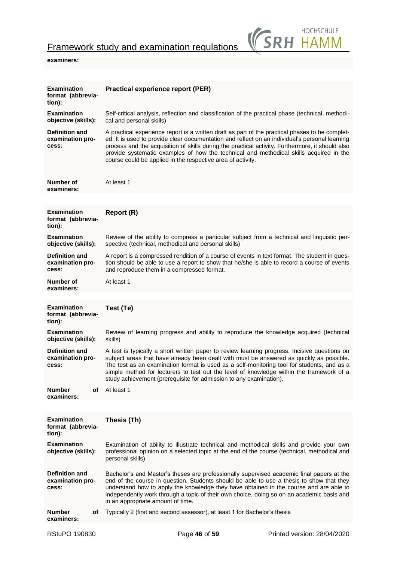

## **examiners:**

| <b>Examination</b><br>format (abbrevia-<br>tion):  |    | <b>Practical experience report (PER)</b>                                                                                                                                                                                                                                                                                                                                                                                                                       |
|----------------------------------------------------|----|----------------------------------------------------------------------------------------------------------------------------------------------------------------------------------------------------------------------------------------------------------------------------------------------------------------------------------------------------------------------------------------------------------------------------------------------------------------|
| <b>Examination</b><br>objective (skills):          |    | Self-critical analysis, reflection and classification of the practical phase (technical, methodi-<br>cal and personal skills)                                                                                                                                                                                                                                                                                                                                  |
| <b>Definition and</b><br>examination pro-<br>cess: |    | A practical experience report is a written draft as part of the practical phases to be complet-<br>ed. It is used to provide clear documentation and reflect on an individual's personal learning<br>process and the acquisition of skills during the practical activity. Furthermore, it should also<br>provide systematic examples of how the technical and methodical skills acquired in the<br>course could be applied in the respective area of activity. |
| Number of<br>examiners:                            |    | At least 1                                                                                                                                                                                                                                                                                                                                                                                                                                                     |
|                                                    |    |                                                                                                                                                                                                                                                                                                                                                                                                                                                                |
| <b>Examination</b><br>format (abbrevia-<br>tion):  |    | Report (R)                                                                                                                                                                                                                                                                                                                                                                                                                                                     |
| <b>Examination</b><br>objective (skills):          |    | Review of the ability to compress a particular subject from a technical and linguistic per-<br>spective (technical, methodical and personal skills)                                                                                                                                                                                                                                                                                                            |
| <b>Definition and</b><br>examination pro-<br>cess: |    | A report is a compressed rendition of a course of events in text format. The student in ques-<br>tion should be able to use a report to show that he/she is able to record a course of events<br>and reproduce them in a compressed format.                                                                                                                                                                                                                    |
| Number of<br>examiners:                            |    | At least 1                                                                                                                                                                                                                                                                                                                                                                                                                                                     |
|                                                    |    |                                                                                                                                                                                                                                                                                                                                                                                                                                                                |
| <b>Examination</b><br>format (abbrevia-<br>tion):  |    | Test (Te)                                                                                                                                                                                                                                                                                                                                                                                                                                                      |
| <b>Examination</b><br>objective (skills):          |    | Review of learning progress and ability to reproduce the knowledge acquired (technical<br>skills)                                                                                                                                                                                                                                                                                                                                                              |
| <b>Definition and</b><br>examination pro-<br>cess: |    | A test is typically a short written paper to review learning progress. Incisive questions on<br>subject areas that have already been dealt with must be answered as quickly as possible.<br>The test as an examination format is used as a self-monitoring tool for students, and as a<br>simple method for lecturers to test out the level of knowledge within the framework of a<br>study achievement (prerequisite for admission to any examination).       |
| <b>Number</b><br>examiners:                        | оf | At least 1                                                                                                                                                                                                                                                                                                                                                                                                                                                     |
|                                                    |    |                                                                                                                                                                                                                                                                                                                                                                                                                                                                |
| <b>Examination</b><br>format (abbrevia-<br>tion):  |    | Thesis (Th)                                                                                                                                                                                                                                                                                                                                                                                                                                                    |
| <b>Examination</b><br>objective (skills):          |    | Examination of ability to illustrate technical and methodical skills and provide your own<br>professional opinion on a selected topic at the end of the course (technical, methodical and<br>personal skills)                                                                                                                                                                                                                                                  |
| <b>Definition and</b><br>examination pro-<br>cess: |    | Bachelor's and Master's theses are professionally supervised academic final papers at the<br>end of the course in question. Students should be able to use a thesis to show that they<br>understand how to apply the knowledge they have obtained in the course and are able to<br>independently work through a topic of their own choice, doing so on an academic basis and<br>in an appropriate amount of time.                                              |
| Number<br>examiners:                               | οf | Typically 2 (first and second assessor), at least 1 for Bachelor's thesis                                                                                                                                                                                                                                                                                                                                                                                      |
|                                                    |    |                                                                                                                                                                                                                                                                                                                                                                                                                                                                |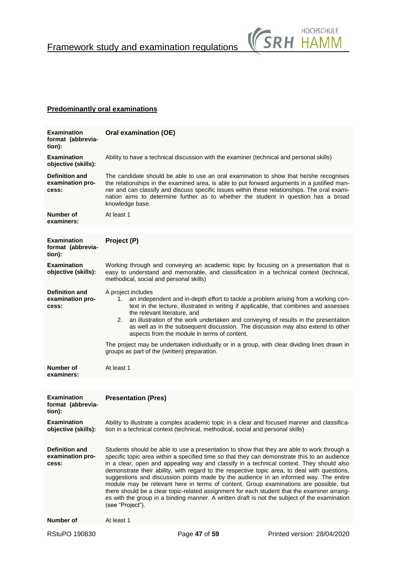

## **Predominantly oral examinations**

| <b>Examination</b><br>format (abbrevia-<br>tion):  | Oral examination (OE)                                                                                                                                                                                                                                                                                                                                                                                                                                                                                                                                                                                                                                                                                                                                                                       |                                                                                                                                                                                                                                                                                                                                                                                                                                                                                                        |                             |
|----------------------------------------------------|---------------------------------------------------------------------------------------------------------------------------------------------------------------------------------------------------------------------------------------------------------------------------------------------------------------------------------------------------------------------------------------------------------------------------------------------------------------------------------------------------------------------------------------------------------------------------------------------------------------------------------------------------------------------------------------------------------------------------------------------------------------------------------------------|--------------------------------------------------------------------------------------------------------------------------------------------------------------------------------------------------------------------------------------------------------------------------------------------------------------------------------------------------------------------------------------------------------------------------------------------------------------------------------------------------------|-----------------------------|
| <b>Examination</b><br>objective (skills):          |                                                                                                                                                                                                                                                                                                                                                                                                                                                                                                                                                                                                                                                                                                                                                                                             | Ability to have a technical discussion with the examiner (technical and personal skills)                                                                                                                                                                                                                                                                                                                                                                                                               |                             |
| <b>Definition and</b><br>examination pro-<br>cess: | knowledge base.                                                                                                                                                                                                                                                                                                                                                                                                                                                                                                                                                                                                                                                                                                                                                                             | The candidate should be able to use an oral examination to show that he/she recognises<br>the relationships in the examined area, is able to put forward arguments in a justified man-<br>ner and can classify and discuss specific issues within these relationships. The oral exami-<br>nation aims to determine further as to whether the student in question has a broad                                                                                                                           |                             |
| Number of<br>examiners:                            | At least 1                                                                                                                                                                                                                                                                                                                                                                                                                                                                                                                                                                                                                                                                                                                                                                                  |                                                                                                                                                                                                                                                                                                                                                                                                                                                                                                        |                             |
|                                                    |                                                                                                                                                                                                                                                                                                                                                                                                                                                                                                                                                                                                                                                                                                                                                                                             |                                                                                                                                                                                                                                                                                                                                                                                                                                                                                                        |                             |
| <b>Examination</b><br>format (abbrevia-<br>tion):  | Project (P)                                                                                                                                                                                                                                                                                                                                                                                                                                                                                                                                                                                                                                                                                                                                                                                 |                                                                                                                                                                                                                                                                                                                                                                                                                                                                                                        |                             |
| <b>Examination</b><br>objective (skills):          | methodical, social and personal skills)                                                                                                                                                                                                                                                                                                                                                                                                                                                                                                                                                                                                                                                                                                                                                     | Working through and conveying an academic topic by focusing on a presentation that is<br>easy to understand and memorable, and classification in a technical context (technical,                                                                                                                                                                                                                                                                                                                       |                             |
| <b>Definition and</b><br>examination pro-<br>cess: | A project includes<br>1.<br>the relevant literature, and<br>2.                                                                                                                                                                                                                                                                                                                                                                                                                                                                                                                                                                                                                                                                                                                              | an independent and in-depth effort to tackle a problem arising from a working con-<br>text in the lecture, illustrated in writing if applicable, that combines and assesses<br>an illustration of the work undertaken and conveying of results in the presentation<br>as well as in the subsequent discussion. The discussion may also extend to other<br>aspects from the module in terms of content.<br>The project may be undertaken individually or in a group, with clear dividing lines drawn in |                             |
|                                                    | groups as part of the (written) preparation.                                                                                                                                                                                                                                                                                                                                                                                                                                                                                                                                                                                                                                                                                                                                                |                                                                                                                                                                                                                                                                                                                                                                                                                                                                                                        |                             |
| Number of<br>examiners:                            | At least 1                                                                                                                                                                                                                                                                                                                                                                                                                                                                                                                                                                                                                                                                                                                                                                                  |                                                                                                                                                                                                                                                                                                                                                                                                                                                                                                        |                             |
|                                                    |                                                                                                                                                                                                                                                                                                                                                                                                                                                                                                                                                                                                                                                                                                                                                                                             |                                                                                                                                                                                                                                                                                                                                                                                                                                                                                                        |                             |
| <b>Examination</b><br>format (abbrevia-<br>tion):  | <b>Presentation (Pres)</b>                                                                                                                                                                                                                                                                                                                                                                                                                                                                                                                                                                                                                                                                                                                                                                  |                                                                                                                                                                                                                                                                                                                                                                                                                                                                                                        |                             |
| <b>Examination</b><br>objective (skills):          |                                                                                                                                                                                                                                                                                                                                                                                                                                                                                                                                                                                                                                                                                                                                                                                             | Ability to illustrate a complex academic topic in a clear and focused manner and classifica-<br>tion in a technical context (technical, methodical, social and personal skills)                                                                                                                                                                                                                                                                                                                        |                             |
| <b>Definition and</b><br>examination pro-<br>cess: | Students should be able to use a presentation to show that they are able to work through a<br>specific topic area within a specified time so that they can demonstrate this to an audience<br>in a clear, open and appealing way and classify in a technical context. They should also<br>demonstrate their ability, with regard to the respective topic area, to deal with questions,<br>suggestions and discussion points made by the audience in an informed way. The entire<br>module may be relevant here in terms of content. Group examinations are possible, but<br>there should be a clear topic-related assignment for each student that the examiner arrang-<br>es with the group in a binding manner. A written draft is not the subject of the examination<br>(see "Project"). |                                                                                                                                                                                                                                                                                                                                                                                                                                                                                                        |                             |
| <b>Number of</b>                                   | At least 1                                                                                                                                                                                                                                                                                                                                                                                                                                                                                                                                                                                                                                                                                                                                                                                  |                                                                                                                                                                                                                                                                                                                                                                                                                                                                                                        |                             |
| RStuPO 190830                                      |                                                                                                                                                                                                                                                                                                                                                                                                                                                                                                                                                                                                                                                                                                                                                                                             | Page 47 of 59                                                                                                                                                                                                                                                                                                                                                                                                                                                                                          | Printed version: 28/04/2020 |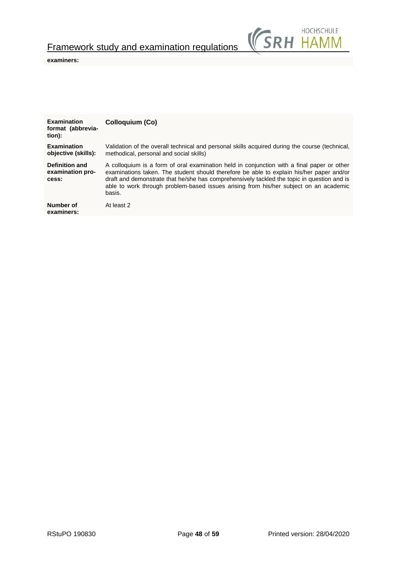

## **examiners:**

| <b>Examination</b><br>format (abbrevia-<br>tion): | Colloquium (Co)                                                                                                                                                                                                                                                                                                                                                                         |
|---------------------------------------------------|-----------------------------------------------------------------------------------------------------------------------------------------------------------------------------------------------------------------------------------------------------------------------------------------------------------------------------------------------------------------------------------------|
| <b>Examination</b><br>objective (skills):         | Validation of the overall technical and personal skills acquired during the course (technical,<br>methodical, personal and social skills)                                                                                                                                                                                                                                               |
| Definition and<br>examination pro-<br>cess:       | A colloquium is a form of oral examination held in conjunction with a final paper or other<br>examinations taken. The student should therefore be able to explain his/her paper and/or<br>draft and demonstrate that he/she has comprehensively tackled the topic in question and is<br>able to work through problem-based issues arising from his/her subject on an academic<br>basis. |
| Number of<br>examiners:                           | At least 2                                                                                                                                                                                                                                                                                                                                                                              |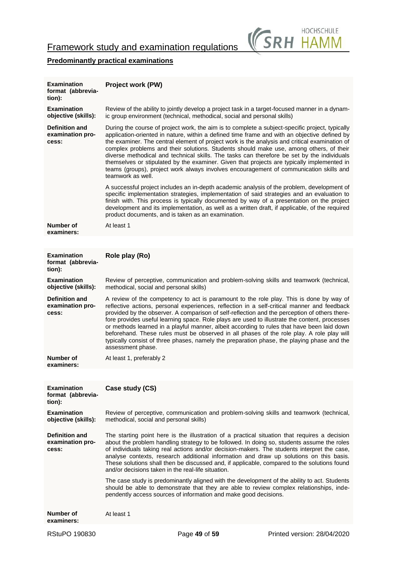

## **Predominantly practical examinations**

| <b>Examination</b><br>format (abbrevia-<br>tion):  | <b>Project work (PW)</b>                                                                                                                                                                                                                                                                                                                                                                                                                                                                                                                                                                                                                                                                               |
|----------------------------------------------------|--------------------------------------------------------------------------------------------------------------------------------------------------------------------------------------------------------------------------------------------------------------------------------------------------------------------------------------------------------------------------------------------------------------------------------------------------------------------------------------------------------------------------------------------------------------------------------------------------------------------------------------------------------------------------------------------------------|
| <b>Examination</b><br>objective (skills):          | Review of the ability to jointly develop a project task in a target-focused manner in a dynam-<br>ic group environment (technical, methodical, social and personal skills)                                                                                                                                                                                                                                                                                                                                                                                                                                                                                                                             |
| <b>Definition and</b><br>examination pro-<br>cess: | During the course of project work, the aim is to complete a subject-specific project, typically<br>application-oriented in nature, within a defined time frame and with an objective defined by<br>the examiner. The central element of project work is the analysis and critical examination of<br>complex problems and their solutions. Students should make use, among others, of their<br>diverse methodical and technical skills. The tasks can therefore be set by the individuals<br>themselves or stipulated by the examiner. Given that projects are typically implemented in<br>teams (groups), project work always involves encouragement of communication skills and<br>teamwork as well.  |
|                                                    | A successful project includes an in-depth academic analysis of the problem, development of<br>specific implementation strategies, implementation of said strategies and an evaluation to<br>finish with. This process is typically documented by way of a presentation on the project<br>development and its implementation, as well as a written draft, if applicable, of the required<br>product documents, and is taken as an examination.                                                                                                                                                                                                                                                          |
| Number of<br>examiners:                            | At least 1                                                                                                                                                                                                                                                                                                                                                                                                                                                                                                                                                                                                                                                                                             |
|                                                    |                                                                                                                                                                                                                                                                                                                                                                                                                                                                                                                                                                                                                                                                                                        |
| <b>Examination</b><br>format (abbrevia-<br>tion):  | Role play (Ro)                                                                                                                                                                                                                                                                                                                                                                                                                                                                                                                                                                                                                                                                                         |
| <b>Examination</b><br>objective (skills):          | Review of perceptive, communication and problem-solving skills and teamwork (technical,<br>methodical, social and personal skills)                                                                                                                                                                                                                                                                                                                                                                                                                                                                                                                                                                     |
| <b>Definition and</b><br>examination pro-<br>cess: | A review of the competency to act is paramount to the role play. This is done by way of<br>reflective actions, personal experiences, reflection in a self-critical manner and feedback<br>provided by the observer. A comparison of self-reflection and the perception of others there-<br>fore provides useful learning space. Role plays are used to illustrate the content, processes<br>or methods learned in a playful manner, albeit according to rules that have been laid down<br>beforehand. These rules must be observed in all phases of the role play. A role play will<br>typically consist of three phases, namely the preparation phase, the playing phase and the<br>assessment phase. |
| Number of<br>examiners:                            | At least 1, preferably 2                                                                                                                                                                                                                                                                                                                                                                                                                                                                                                                                                                                                                                                                               |
|                                                    |                                                                                                                                                                                                                                                                                                                                                                                                                                                                                                                                                                                                                                                                                                        |
| <b>Examination</b><br>format (abbrevia-<br>tion):  | Case study (CS)                                                                                                                                                                                                                                                                                                                                                                                                                                                                                                                                                                                                                                                                                        |
| <b>Examination</b><br>objective (skills):          | Review of perceptive, communication and problem-solving skills and teamwork (technical,<br>methodical, social and personal skills)                                                                                                                                                                                                                                                                                                                                                                                                                                                                                                                                                                     |
| <b>Definition and</b><br>examination pro-<br>cess: | The starting point here is the illustration of a practical situation that requires a decision<br>about the problem handling strategy to be followed. In doing so, students assume the roles<br>of individuals taking real actions and/or decision-makers. The students interpret the case,<br>analyse contexts, research additional information and draw up solutions on this basis.<br>These solutions shall then be discussed and, if applicable, compared to the solutions found<br>and/or decisions taken in the real-life situation.                                                                                                                                                              |
|                                                    | The case study is predominantly aligned with the development of the ability to act. Students<br>should be able to demonstrate that they are able to review complex relationships, inde-<br>pendently access sources of information and make good decisions.                                                                                                                                                                                                                                                                                                                                                                                                                                            |
| Number of<br>examiners:                            | At least 1                                                                                                                                                                                                                                                                                                                                                                                                                                                                                                                                                                                                                                                                                             |
|                                                    |                                                                                                                                                                                                                                                                                                                                                                                                                                                                                                                                                                                                                                                                                                        |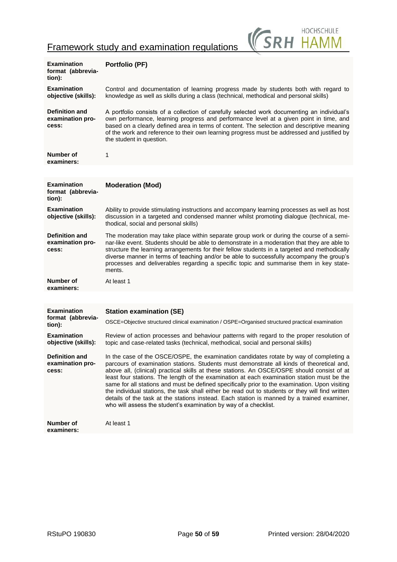

| <b>Examination</b><br>format (abbrevia-<br>tion):  | <b>Portfolio (PF)</b>                                                                                                                                                                                                                                                                                                                                                                                                                                                                                                                                                                                                                                                                                                                                    |
|----------------------------------------------------|----------------------------------------------------------------------------------------------------------------------------------------------------------------------------------------------------------------------------------------------------------------------------------------------------------------------------------------------------------------------------------------------------------------------------------------------------------------------------------------------------------------------------------------------------------------------------------------------------------------------------------------------------------------------------------------------------------------------------------------------------------|
| <b>Examination</b><br>objective (skills):          | Control and documentation of learning progress made by students both with regard to<br>knowledge as well as skills during a class (technical, methodical and personal skills)                                                                                                                                                                                                                                                                                                                                                                                                                                                                                                                                                                            |
| <b>Definition and</b><br>examination pro-<br>cess: | A portfolio consists of a collection of carefully selected work documenting an individual's<br>own performance, learning progress and performance level at a given point in time, and<br>based on a clearly defined area in terms of content. The selection and descriptive meaning<br>of the work and reference to their own learning progress must be addressed and justified by<br>the student in question.                                                                                                                                                                                                                                                                                                                                           |
| Number of<br>examiners:                            | 1                                                                                                                                                                                                                                                                                                                                                                                                                                                                                                                                                                                                                                                                                                                                                        |
|                                                    |                                                                                                                                                                                                                                                                                                                                                                                                                                                                                                                                                                                                                                                                                                                                                          |
| <b>Examination</b><br>format (abbrevia-<br>tion):  | <b>Moderation (Mod)</b>                                                                                                                                                                                                                                                                                                                                                                                                                                                                                                                                                                                                                                                                                                                                  |
| Examination<br>objective (skills):                 | Ability to provide stimulating instructions and accompany learning processes as well as host<br>discussion in a targeted and condensed manner whilst promoting dialogue (technical, me-<br>thodical, social and personal skills)                                                                                                                                                                                                                                                                                                                                                                                                                                                                                                                         |
| <b>Definition and</b><br>examination pro-<br>cess: | The moderation may take place within separate group work or during the course of a semi-<br>nar-like event. Students should be able to demonstrate in a moderation that they are able to<br>structure the learning arrangements for their fellow students in a targeted and methodically<br>diverse manner in terms of teaching and/or be able to successfully accompany the group's<br>processes and deliverables regarding a specific topic and summarise them in key state-<br>ments.                                                                                                                                                                                                                                                                 |
| Number of                                          | At least 1                                                                                                                                                                                                                                                                                                                                                                                                                                                                                                                                                                                                                                                                                                                                               |
| examiners:                                         |                                                                                                                                                                                                                                                                                                                                                                                                                                                                                                                                                                                                                                                                                                                                                          |
|                                                    |                                                                                                                                                                                                                                                                                                                                                                                                                                                                                                                                                                                                                                                                                                                                                          |
| <b>Examination</b>                                 | <b>Station examination (SE)</b>                                                                                                                                                                                                                                                                                                                                                                                                                                                                                                                                                                                                                                                                                                                          |
| format (abbrevia-<br>tion):                        | OSCE=Objective structured clinical examination / OSPE=Organised structured practical examination                                                                                                                                                                                                                                                                                                                                                                                                                                                                                                                                                                                                                                                         |
| <b>Examination</b><br>objective (skills):          | Review of action processes and behaviour patterns with regard to the proper resolution of<br>topic and case-related tasks (technical, methodical, social and personal skills)                                                                                                                                                                                                                                                                                                                                                                                                                                                                                                                                                                            |
| <b>Definition and</b><br>examination pro-<br>cess: | In the case of the OSCE/OSPE, the examination candidates rotate by way of completing a<br>parcours of examination stations. Students must demonstrate all kinds of theoretical and,<br>above all, (clinical) practical skills at these stations. An OSCE/OSPE should consist of at<br>least four stations. The length of the examination at each examination station must be the<br>same for all stations and must be defined specifically prior to the examination. Upon visiting<br>the individual stations, the task shall either be read out to students or they will find written<br>details of the task at the stations instead. Each station is manned by a trained examiner,<br>who will assess the student's examination by way of a checklist. |
| Number of<br>examiners:                            | At least 1                                                                                                                                                                                                                                                                                                                                                                                                                                                                                                                                                                                                                                                                                                                                               |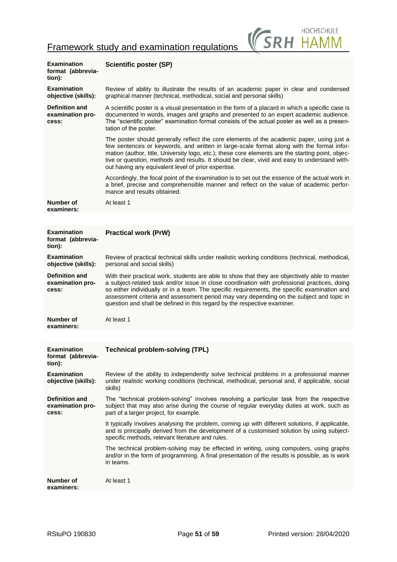

| <b>Examination</b><br>format (abbrevia-<br>tion):  | <b>Scientific poster (SP)</b>                                                                                                                                                                                                                                                                                                                                                                                                                                         |  |
|----------------------------------------------------|-----------------------------------------------------------------------------------------------------------------------------------------------------------------------------------------------------------------------------------------------------------------------------------------------------------------------------------------------------------------------------------------------------------------------------------------------------------------------|--|
| <b>Examination</b><br>objective (skills):          | Review of ability to illustrate the results of an academic paper in clear and condensed<br>graphical manner (technical, methodical, social and personal skills)                                                                                                                                                                                                                                                                                                       |  |
| <b>Definition and</b><br>examination pro-<br>cess: | A scientific poster is a visual presentation in the form of a placard in which a specific case is<br>documented in words, images and graphs and presented to an expert academic audience.<br>The "scientific poster" examination format consists of the actual poster as well as a presen-<br>tation of the poster.                                                                                                                                                   |  |
|                                                    | The poster should generally reflect the core elements of the academic paper, using just a<br>few sentences or keywords, and written in large-scale format along with the formal infor-<br>mation (author, title, University logo, etc.); these core elements are the starting point, objec-<br>tive or question, methods and results. It should be clear, vivid and easy to understand with-<br>out having any equivalent level of prior expertise.                   |  |
|                                                    | Accordingly, the focal point of the examination is to set out the essence of the actual work in<br>a brief, precise and comprehensible manner and reflect on the value of academic perfor-<br>mance and results obtained.                                                                                                                                                                                                                                             |  |
| Number of<br>examiners:                            | At least 1                                                                                                                                                                                                                                                                                                                                                                                                                                                            |  |
|                                                    |                                                                                                                                                                                                                                                                                                                                                                                                                                                                       |  |
| <b>Examination</b><br>format (abbrevia-<br>tion):  | <b>Practical work (PrW)</b>                                                                                                                                                                                                                                                                                                                                                                                                                                           |  |
| <b>Examination</b><br>objective (skills):          | Review of practical technical skills under realistic working conditions (technical, methodical,<br>personal and social skills)                                                                                                                                                                                                                                                                                                                                        |  |
| <b>Definition and</b><br>examination pro-<br>cess: | With their practical work, students are able to show that they are objectively able to master<br>a subject-related task and/or issue in close coordination with professional practices, doing<br>so either individually or in a team. The specific requirements, the specific examination and<br>assessment criteria and assessment period may vary depending on the subject and topic in<br>question and shall be defined in this regard by the respective examiner. |  |
| <b>Number of</b><br>examiners:                     | At least 1                                                                                                                                                                                                                                                                                                                                                                                                                                                            |  |
|                                                    |                                                                                                                                                                                                                                                                                                                                                                                                                                                                       |  |
| <b>Examination</b><br>format (abbrevia-<br>tion):  | <b>Technical problem-solving (TPL)</b>                                                                                                                                                                                                                                                                                                                                                                                                                                |  |
| <b>Examination</b><br>objective (skills):          | Review of the ability to independently solve technical problems in a professional manner<br>under realistic working conditions (technical, methodical, personal and, if applicable, social<br>skills)                                                                                                                                                                                                                                                                 |  |
| <b>Definition and</b><br>examination pro-<br>cess: | The "technical problem-solving" involves resolving a particular task from the respective<br>subject that may also arise during the course of regular everyday duties at work, such as<br>part of a larger project, for example.                                                                                                                                                                                                                                       |  |
|                                                    | It typically involves analysing the problem, coming up with different solutions, if applicable,<br>and is principally derived from the development of a customised solution by using subject-<br>specific methods, relevant literature and rules.                                                                                                                                                                                                                     |  |
|                                                    | The technical problem-solving may be effected in writing, using computers, using graphs<br>and/or in the form of programming. A final presentation of the results is possible, as is work<br>in teams.                                                                                                                                                                                                                                                                |  |
| Number of<br>examiners:                            | At least 1                                                                                                                                                                                                                                                                                                                                                                                                                                                            |  |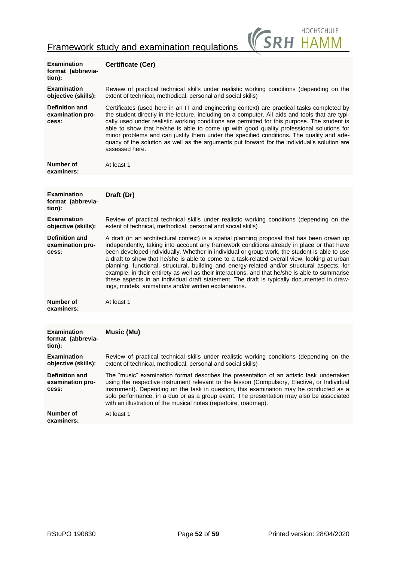

| Examination<br>format (abbrevia-<br>tion):         | <b>Certificate (Cer)</b>                                                                                                                                                                                                                                                                                                                                                                                                                                                                                                                                                                                                                                                                                                                          |
|----------------------------------------------------|---------------------------------------------------------------------------------------------------------------------------------------------------------------------------------------------------------------------------------------------------------------------------------------------------------------------------------------------------------------------------------------------------------------------------------------------------------------------------------------------------------------------------------------------------------------------------------------------------------------------------------------------------------------------------------------------------------------------------------------------------|
| <b>Examination</b><br>objective (skills):          | Review of practical technical skills under realistic working conditions (depending on the<br>extent of technical, methodical, personal and social skills)                                                                                                                                                                                                                                                                                                                                                                                                                                                                                                                                                                                         |
| <b>Definition and</b><br>examination pro-<br>cess: | Certificates (used here in an IT and engineering context) are practical tasks completed by<br>the student directly in the lecture, including on a computer. All aids and tools that are typi-<br>cally used under realistic working conditions are permitted for this purpose. The student is<br>able to show that he/she is able to come up with good quality professional solutions for<br>minor problems and can justify them under the specified conditions. The quality and ade-<br>quacy of the solution as well as the arguments put forward for the individual's solution are<br>assessed here.                                                                                                                                           |
| Number of<br>examiners:                            | At least 1                                                                                                                                                                                                                                                                                                                                                                                                                                                                                                                                                                                                                                                                                                                                        |
|                                                    |                                                                                                                                                                                                                                                                                                                                                                                                                                                                                                                                                                                                                                                                                                                                                   |
| <b>Examination</b><br>format (abbrevia-<br>tion):  | Draft (Dr)                                                                                                                                                                                                                                                                                                                                                                                                                                                                                                                                                                                                                                                                                                                                        |
| <b>Examination</b><br>objective (skills):          | Review of practical technical skills under realistic working conditions (depending on the<br>extent of technical, methodical, personal and social skills)                                                                                                                                                                                                                                                                                                                                                                                                                                                                                                                                                                                         |
| <b>Definition and</b><br>examination pro-<br>cess: | A draft (in an architectural context) is a spatial planning proposal that has been drawn up<br>independently, taking into account any framework conditions already in place or that have<br>been developed individually. Whether in individual or group work, the student is able to use<br>a draft to show that he/she is able to come to a task-related overall view, looking at urban<br>planning, functional, structural, building and energy-related and/or structural aspects, for<br>example, in their entirety as well as their interactions, and that he/she is able to summarise<br>these aspects in an individual draft statement. The draft is typically documented in draw-<br>ings, models, animations and/or written explanations. |
| Number of<br>examiners:                            | At least 1                                                                                                                                                                                                                                                                                                                                                                                                                                                                                                                                                                                                                                                                                                                                        |
|                                                    |                                                                                                                                                                                                                                                                                                                                                                                                                                                                                                                                                                                                                                                                                                                                                   |
| <b>Examination</b><br>format (abbrevia-<br>tion):  | Music (Mu)                                                                                                                                                                                                                                                                                                                                                                                                                                                                                                                                                                                                                                                                                                                                        |
| <b>Examination</b><br>objective (skills):          | Review of practical technical skills under realistic working conditions (depending on the<br>extent of technical, methodical, personal and social skills)                                                                                                                                                                                                                                                                                                                                                                                                                                                                                                                                                                                         |
| <b>Definition and</b><br>examination pro-<br>cess: | The "music" examination format describes the presentation of an artistic task undertaken<br>using the respective instrument relevant to the lesson (Compulsory, Elective, or Individual<br>instrument). Depending on the task in question, this examination may be conducted as a<br>solo performance, in a duo or as a group event. The presentation may also be associated<br>with an illustration of the musical notes (repertoire, roadmap).                                                                                                                                                                                                                                                                                                  |
| Number of<br>examiners:                            | At least 1                                                                                                                                                                                                                                                                                                                                                                                                                                                                                                                                                                                                                                                                                                                                        |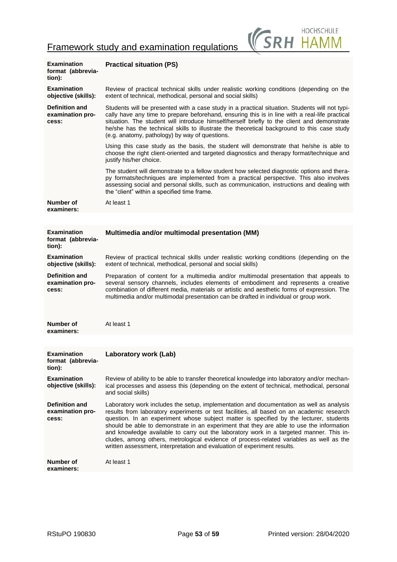| RH HAMM; | <b>HOCHSCHULF</b> |
|----------|-------------------|
|----------|-------------------|

| <b>Examination</b><br>format (abbrevia-<br>tion):  | <b>Practical situation (PS)</b>                                                                                                                                                                                                                                                                                                                                                                                                                                                                                                                                                                                                               |
|----------------------------------------------------|-----------------------------------------------------------------------------------------------------------------------------------------------------------------------------------------------------------------------------------------------------------------------------------------------------------------------------------------------------------------------------------------------------------------------------------------------------------------------------------------------------------------------------------------------------------------------------------------------------------------------------------------------|
| <b>Examination</b><br>objective (skills):          | Review of practical technical skills under realistic working conditions (depending on the<br>extent of technical, methodical, personal and social skills)                                                                                                                                                                                                                                                                                                                                                                                                                                                                                     |
| <b>Definition and</b><br>examination pro-<br>cess: | Students will be presented with a case study in a practical situation. Students will not typi-<br>cally have any time to prepare beforehand, ensuring this is in line with a real-life practical<br>situation. The student will introduce himself/herself briefly to the client and demonstrate<br>he/she has the technical skills to illustrate the theoretical background to this case study<br>(e.g. anatomy, pathology) by way of questions.                                                                                                                                                                                              |
|                                                    | Using this case study as the basis, the student will demonstrate that he/she is able to<br>choose the right client-oriented and targeted diagnostics and therapy format/technique and<br>justify his/her choice.                                                                                                                                                                                                                                                                                                                                                                                                                              |
|                                                    | The student will demonstrate to a fellow student how selected diagnostic options and thera-<br>py formats/techniques are implemented from a practical perspective. This also involves<br>assessing social and personal skills, such as communication, instructions and dealing with<br>the "client" within a specified time frame.                                                                                                                                                                                                                                                                                                            |
| Number of<br>examiners:                            | At least 1                                                                                                                                                                                                                                                                                                                                                                                                                                                                                                                                                                                                                                    |
|                                                    |                                                                                                                                                                                                                                                                                                                                                                                                                                                                                                                                                                                                                                               |
| <b>Examination</b><br>format (abbrevia-<br>tion):  | Multimedia and/or multimodal presentation (MM)                                                                                                                                                                                                                                                                                                                                                                                                                                                                                                                                                                                                |
| <b>Examination</b><br>objective (skills):          | Review of practical technical skills under realistic working conditions (depending on the<br>extent of technical, methodical, personal and social skills)                                                                                                                                                                                                                                                                                                                                                                                                                                                                                     |
| <b>Definition and</b><br>examination pro-<br>cess: | Preparation of content for a multimedia and/or multimodal presentation that appeals to<br>several sensory channels, includes elements of embodiment and represents a creative<br>combination of different media, materials or artistic and aesthetic forms of expression. The<br>multimedia and/or multimodal presentation can be drafted in individual or group work.                                                                                                                                                                                                                                                                        |
| Number of<br>examiners:                            | At least 1                                                                                                                                                                                                                                                                                                                                                                                                                                                                                                                                                                                                                                    |
|                                                    |                                                                                                                                                                                                                                                                                                                                                                                                                                                                                                                                                                                                                                               |
| Examination<br>format (abbrevia-<br>tion):         | Laboratory work (Lab)                                                                                                                                                                                                                                                                                                                                                                                                                                                                                                                                                                                                                         |
| <b>Examination</b><br>objective (skills):          | Review of ability to be able to transfer theoretical knowledge into laboratory and/or mechan-<br>ical processes and assess this (depending on the extent of technical, methodical, personal<br>and social skills)                                                                                                                                                                                                                                                                                                                                                                                                                             |
| <b>Definition and</b><br>examination pro-<br>cess: | Laboratory work includes the setup, implementation and documentation as well as analysis<br>results from laboratory experiments or test facilities, all based on an academic research<br>question. In an experiment whose subject matter is specified by the lecturer, students<br>should be able to demonstrate in an experiment that they are able to use the information<br>and knowledge available to carry out the laboratory work in a targeted manner. This in-<br>cludes, among others, metrological evidence of process-related variables as well as the<br>written assessment, interpretation and evaluation of experiment results. |
| Number of<br>examiners:                            | At least 1                                                                                                                                                                                                                                                                                                                                                                                                                                                                                                                                                                                                                                    |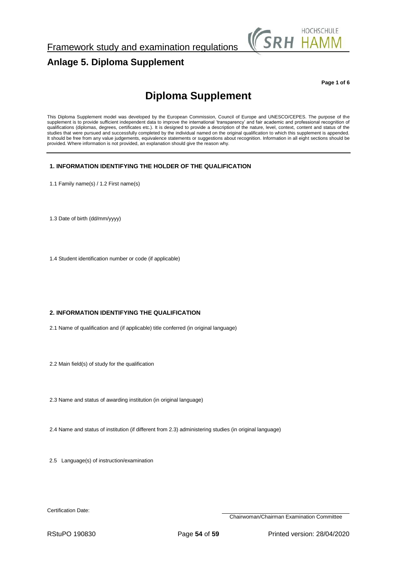

# <span id="page-53-0"></span>**Anlage 5. Diploma Supplement**

**Page 1 of 6**

# **Diploma Supplement**

This Diploma Supplement model was developed by the European Commission, Council of Europe and UNESCO/CEPES. The purpose of the supplement is to provide sufficient independent data to improve the international 'transparency' and fair academic and professional recognition of qualifications (diplomas, degrees, certificates etc.). It is designed to provide a description of the nature, level, context, content and status of the studies that were pursued and successfully completed by the individual named on the original qualification to which this supplement is appended. It should be free from any value judgements, equivalence statements or suggestions about recognition. Information in all eight sections should be provided. Where information is not provided, an explanation should give the reason why.

## **1. INFORMATION IDENTIFYING THE HOLDER OF THE QUALIFICATION**

1.1 Family name(s) / 1.2 First name(s)

1.3 Date of birth (dd/mm/yyyy)

1.4 Student identification number or code (if applicable)

## **2. INFORMATION IDENTIFYING THE QUALIFICATION**

2.1 Name of qualification and (if applicable) title conferred (in original language)

2.2 Main field(s) of study for the qualification

2.3 Name and status of awarding institution (in original language)

2.4 Name and status of institution (if different from 2.3) administering studies (in original language)

2.5 Language(s) of instruction/examination

Certification Date:

Chairwoman/Chairman Examination Committee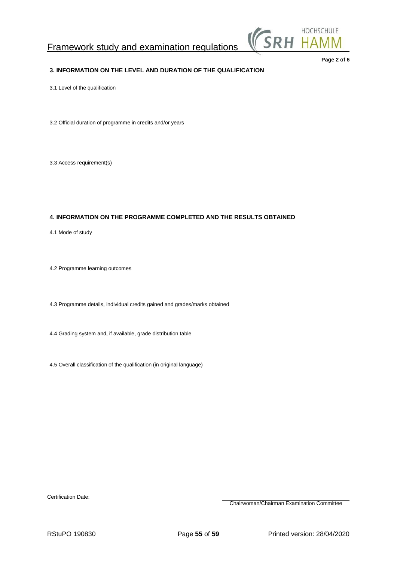

## **3. INFORMATION ON THE LEVEL AND DURATION OF THE QUALIFICATION**

**Page 2 of 6**

## 3.1 Level of the qualification

3.2 Official duration of programme in credits and/or years

3.3 Access requirement(s)

## **4. INFORMATION ON THE PROGRAMME COMPLETED AND THE RESULTS OBTAINED**

4.1 Mode of study

4.2 Programme learning outcomes

4.3 Programme details, individual credits gained and grades/marks obtained

4.4 Grading system and, if available, grade distribution table

4.5 Overall classification of the qualification (in original language)

Certification Date:

Chairwoman/Chairman Examination Committee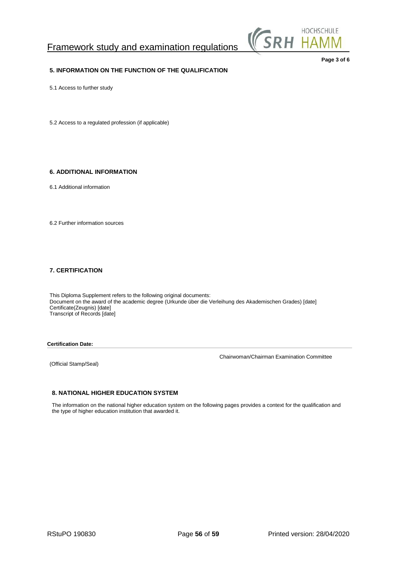

## **5. INFORMATION ON THE FUNCTION OF THE QUALIFICATION**

**Page 3 of 6**

5.1 Access to further study

5.2 Access to a regulated profession (if applicable)

## **6. ADDITIONAL INFORMATION**

6.1 Additional information

6.2 Further information sources

## **7. CERTIFICATION**

This Diploma Supplement refers to the following original documents: Document on the award of the academic degree (Urkunde über die Verleihung des Akademischen Grades) [date] Certificate(Zeugnis) [date] Transcript of Records [date]

**Certification Date:**

(Official Stamp/Seal)

Chairwoman/Chairman Examination Committee

## **8. NATIONAL HIGHER EDUCATION SYSTEM**

The information on the national higher education system on the following pages provides a context for the qualification and the type of higher education institution that awarded it.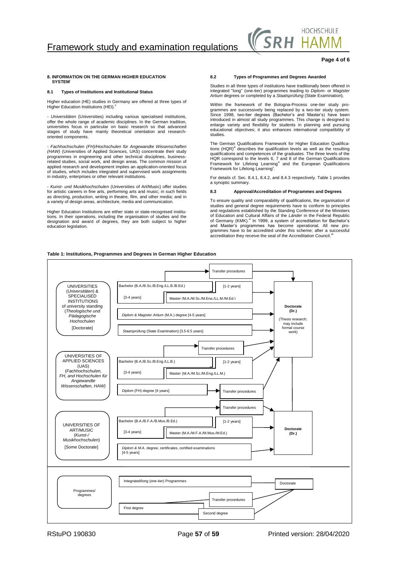

## **Page 4 of 6**

### **8. INFORMATION ON THE GERMAN HIGHER EDUCATION SYSTEM**<sup>i</sup>

### **8.1 Types of Institutions and Institutional Status**

Higher education (HE) studies in Germany are offered at three types of<br>Higher Education Institutions (HEI).<sup>8</sup>

*- Universitäten* (Universities) including various specialised institutions, offer the whole range of academic disciplines. In the German tradition, universities focus in particular on basic research so that advanced stages of study have mainly theoretical orientation and researchoriented components.

*- Fachhochschulen (FH)/Hochschulen für Angewandte Wissenschaften (HAW)* (Universities of Applied Sciences, UAS) concentrate their study programmes in engineering and other technical disciplines, businessrelated studies, social work, and design areas. The common mission of applied research and development implies an application-oriented focus of studies, which includes integrated and supervised work assignments in industry, enterprises or other relevant institutions.

*- Kunst- und Musikhochschulen* (Universities of Art/Music) offer studies for artistic careers in fine arts, performing arts and music; in such fields as directing, production, writing in theatre, film, and other media; and in a variety of design areas, architecture, media and communication.

Higher Education Institutions are either state or state-recognised institutions. In their operations, including the organisation of studies and the designation and award of degrees, they are both subject to higher education legislation.

## **8.2 Types of Programmes and Degrees Awarded**

Studies in all three types of institutions have traditionally been offered in integrated "long" (one-tier) programmes leading to *Diplom*- or *Magister Artium* degrees or completed by a *Staatsprüfung* (State Examination).

Within the framework of the Bologna-Process one-tier study programmes are successively being replaced by a two-tier study system. Since 1998, two-tier degrees (Bachelor's and Master's) have been introduced in almost all study programmes. This change is designed to enlarge variety and flexibility for students in planning and pursuing educational objectives; it also enhances international compatibility of studies.

The German Qualifications Framework for Higher Education Qualifica-<br>tions (HQR)<sup>ii</sup> describes the qualification levels as well as the resulting qualifications and competences of the graduates. The three levels of the HQR correspond to the levels 6, 7 and 8 of the German Qualifications Framework for Lifelong Learning<sup>iv</sup> and the European Qualifications Framework for Lifelong Learning<sup>v</sup>.

For details cf. Sec. 8.4.1, 8.4.2, and 8.4.3 respectively. Table 1 provides a synoptic summary.

### **8.3 Approval/Accreditation of Programmes and Degrees**

To ensure quality and comparability of qualifications, the organisation of studies and general degree requirements have to conform to principles and regulations established by the Standing Conference of the Ministers of Education and Cultural Affairs of the *Länder* in the Federal Republic of Germany (KMK).<sup>vi</sup> In 1999, a system of accreditation for Bachelor's and Master's programmes has become operational. All new pro-grammes have to be accredited under this scheme; after a successful accreditation they receive the seal of the Accreditation Council.<sup>vi</sup>

### **Table 1: Institutions, Programmes and Degrees in German Higher Education**

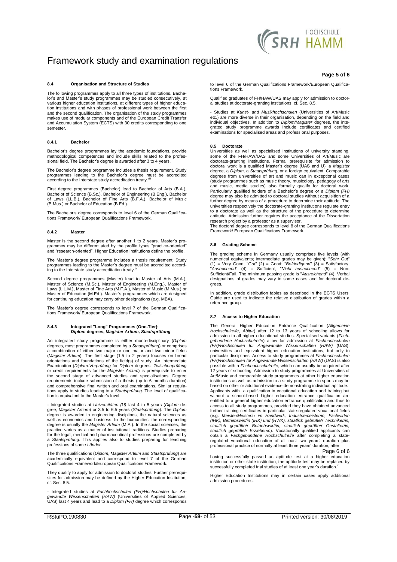

## **8.4 Organisation and Structure of Studies**

The following programmes apply to all three types of institutions. Bache-lor's and Master's study programmes may be studied consecutively, at various higher education institutions, at different types of higher education institutions and with phases of professional work between the first and the second qualification. The organisation of the study programmes makes use of modular components and of the European Credit Transfer and Accumulation System (ECTS) with 30 credits corresponding to one semester.

### **8.4.1 Bachelor**

Bachelor's degree programmes lay the academic foundations, provide methodological competences and include skills related to the professional field. The Bachelor's degree is awarded after 3 to 4 years.

The Bachelor's degree programme includes a thesis requirement. Study programmes leading to the Bachelor's degree must be accredited<br>according to the Interstate study accreditation treaty.<sup>viii</sup>

First degree programmes (Bachelor) lead to Bachelor of Arts (B.A.), Bachelor of Science (B.Sc.), Bachelor of Engineering (B.Eng.), Bachelor of Laws (LL.B.), Bachelor of Fine Arts (B.F.A.), Bachelor of Music (B.Mus.) or Bachelor of Education (B.Ed.).

The Bachelor's degree corresponds to level 6 of the German Qualifications Framework/ European Qualifications Framework.

### **8.4.2 Master**

Master is the second degree after another 1 to 2 years. Master's pro-grammes may be differentiated by the profile types "practice-oriented" and "research-oriented". Higher Education Institutions define the profile.

The Master's degree programme includes a thesis requirement. Study programmes leading to the Master's degree must be accredited accord-<br>ing to the Interstate study accreditation treaty.<sup>ix</sup>

Second degree programmes (Master) lead to Master of Arts (M.A.), Master of Science (M.Sc.), Master of Engineering (M.Eng.), Master of Laws (L.L.M.), Master of Fine Arts (M.F.A.), Master of Music (M.Mus.) or Master of Education (M.Ed.). Master´s programmes which are designed for continuing education may carry other designations (e.g. MBA).

The Master's degree corresponds to level 7 of the German Qualifica-tions Framework/ European Qualifications Framework.

## **8.4.3 Integrated "Long" Programmes (One-Tier):** *Diplom* **degrees,** *Magister Artium, Staatsprüfung*

An integrated study programme is either mono-disciplinary (*Diplom* degrees, most programmes completed by a *Staatsprüfung*) or comprises a combination of either two major or one major and two minor fields (*Magister Artium*). The first stage (1.5 to 2 years) focuses on broad orientations and foundations of the field(s) of study. An Intermediate<br>Examination (*Diplom-Vorprüfung* for *Diplom* degrees; *Zwischenprüfung*<br>or credit requirements for the *Magister Artium*) is prerequisite to enter the second stage of advanced studies and specialisations. Degree requirements include submission of a thesis (up to 6 months duration) and comprehensive final written and oral examinations. Similar regulations apply to studies leading to a *Staatsprüfung*. The level of qualifica-tion is equivalent to the Master's level.

- Integrated studies at *Universitäten (U)* last 4 to 5 years (*Diplom* degree, *Magister Artium*) or 3.5 to 6.5 years (*Staatsprüfung*). The *Diplom*<br>degree is awarded in engineering disciplines, the natural sciences as<br>well as economics and business. In the humanities, the corresponding degree is usually the *Magister Artium* (M.A.). In the social sciences, the practice varies as a matter of institutional traditions. Studies preparing for the legal, medical and pharmaceutical professions are completed by a *Staatsprüfung*. This applies also to studies preparing for teaching professions of some *Länder.*

The three qualifications (*Diplom*, *Magister Artium* and *Staatsprüfung*) are academically equivalent and correspond to level 7 of the German Qualifications Framework/European Qualifications Framework.

They qualify to apply for admission to doctoral studies. Further prerequisites for admission may be defined by the Higher Education Institution, cf. Sec. 8.5.

- Integrated studies at *Fachhochschulen (FH)/Hochschulen für An-gewandte Wissenschaften (HAW)* (Universities of Applied Sciences, UAS) last 4 years and lead to a *Diplom (FH)* degree which corresponds

### **Page 5 of 6**

to level 6 of the German Qualifications Framework/European Qualifications Framework.

Qualified graduates of FH/HAW/UAS may apply for admission to doctor-al studies at doctorate-granting institutions, cf. Sec. 8.5.

- Studies at *Kunst- and Musikhochschulen* (Universities of Art/Music etc.) are more diverse in their organisation, depending on the field and individual objectives. In addition to *Diplom/Magister* degrees, the integrated study programme awards include certificates and certified examinations for specialised areas and professional purposes.

### **8.5 Doctorate**

Universities as well as specialised institutions of university standing, some of the FH/HAW/UAS and some Universities of Art/Music are doctorate-granting institutions. Formal prerequisite for admission to doctoral work is a qualified Master's degree (UAS and U), a Magister<br>degree, a Diplom, a Staatsprüfung, or a foreign equivalent. Comparable<br>degrees from universities of art and music can in exceptional cases (study programmes such as music theory, musicology, pedagogy of arts and music, media studies) also formally qualify for doctoral work. Particularly qualified holders of a Bachelor's degree or a *Diplom (FH)* degree may also be admitted to doctoral studies without acquisition of a further degree by means of a procedure to determine their aptitude. The universities respectively the doctorate-granting institutions regulate entry to a doctorate as well as the structure of the procedure to determine aptitude. Admission further requires the acceptance of the Dissertation research project by a professor as a supervisor.

The doctoral degree corresponds to level 8 of the German Qualifications Framework/ European Qualifications Framework.

### **8.6 Grading Scheme**

The grading scheme in Germany usually comprises five levels (with numerical equivalents; intermediate grades may be given): "Sehr Gut" (1) = Very Good; "Berridigtend" (3) = Satisfactory; "Ausreichend" (4) = Sufficienti; " designations of grades may vary in some cases and for doctoral degrees.

In addition, grade distribution tables as described in the ECTS Users' Guide are used to indicate the relative distribution of grades within a reference group.

### **8.7 Access to Higher Education**

The General Higher Education Entrance Qualification (*Allgemeine Hochschulreife*, *Abitur*) after 12 to 13 years of schooling allows for admission to all higher educational studies. Specialised variants (*Fachgebundene Hochschulreife*) allow for admission at *Fachhochsch*ule*n (FH)/Hochschulen für Angewandte Wissenschaften (HAW)* (UAS), universities and equivalent higher education institutions, but only in particular disciplines. Access to study programmes at *Fachhochschulen*  (FH)/Hochschulen für Angewandte Wissenschaften (HAW) (UAS) is also<br>possible with a Fachhochschulreife, which can usually be acquired after<br>12 years of schooling. Admission to study programmes at Universities of Art/Music and comparable study programmes at other higher education institutions as well as admission to a study programme in sports may be based on other or additional evidence demonstrating individual aptitude. Applicants with a qualification in vocational education and training but without a school-based higher education entrance qualification are entitled to a general higher education entrance qualification and thus to access to all study programmes, provided they have obtained advanced further training certificates in particular state-regulated vocational fields (e.g. *Meister/Meisterin im Handwerk, Industriemeister/in, Fachwirt/in*  (IHK), Betriebswirt/in (IHK) und (HWK), staatlich gebrüfte/r Techniker/in,<br>staatlich geprüfte/r Betriebswirt/in, staatlich geprüfte/r Gestalter/in,<br>staatlich geprüfte/r Erzieher/in). Vocationally qualified applicants can obtain a *Fachgebundene Hochschulreife* after completing a state-regulated vocational education of at least two years' duration plus professional practice of normally at least three years' duration, after Page 6 of 6

having successfully passed an aptitude test at a higher education institution or other state institution; the aptitude test may be replaced by successfully completed trial studies of at least one year's duration.<sup>x</sup>

Higher Education Institutions may in certain cases apply additional admission procedures.